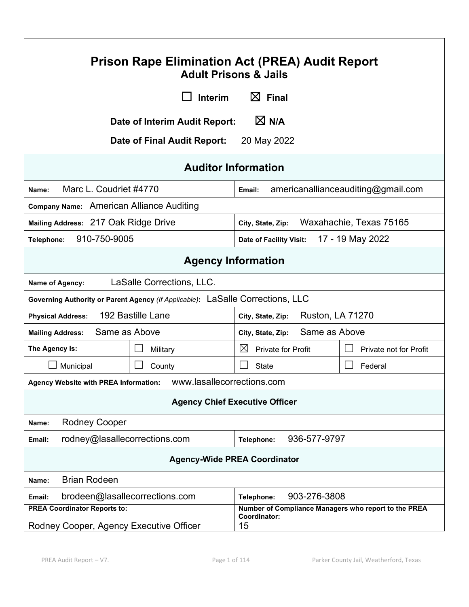| <b>Prison Rape Elimination Act (PREA) Audit Report</b><br><b>Adult Prisons &amp; Jails</b>                  |                                |                                    |                                    |
|-------------------------------------------------------------------------------------------------------------|--------------------------------|------------------------------------|------------------------------------|
|                                                                                                             | <b>Interim</b>                 | $\boxtimes$ Final                  |                                    |
|                                                                                                             | Date of Interim Audit Report:  | $\boxtimes$ N/A                    |                                    |
|                                                                                                             | Date of Final Audit Report:    | 20 May 2022                        |                                    |
|                                                                                                             | <b>Auditor Information</b>     |                                    |                                    |
| Marc L. Coudriet #4770<br>Name:                                                                             |                                | Email:                             | americanallianceauditing@gmail.com |
| Company Name: American Alliance Auditing                                                                    |                                |                                    |                                    |
| Mailing Address: 217 Oak Ridge Drive                                                                        |                                | City, State, Zip:                  | Waxahachie, Texas 75165            |
| 910-750-9005<br>Telephone:                                                                                  |                                | Date of Facility Visit:            | 17 - 19 May 2022                   |
| <b>Agency Information</b>                                                                                   |                                |                                    |                                    |
| Name of Agency:                                                                                             | LaSalle Corrections, LLC.      |                                    |                                    |
| Governing Authority or Parent Agency (If Applicable): LaSalle Corrections, LLC                              |                                |                                    |                                    |
| 192 Bastille Lane<br><b>Ruston, LA 71270</b><br><b>Physical Address:</b><br>City, State, Zip:               |                                |                                    |                                    |
| Same as Above<br><b>Mailing Address:</b>                                                                    |                                | Same as Above<br>City, State, Zip: |                                    |
| The Agency Is:                                                                                              | Military                       | $\boxtimes$<br>Private for Profit  | Private not for Profit             |
| Municipal                                                                                                   | County                         | <b>State</b>                       | Federal                            |
| Agency Website with PREA Information:    WWW.lasallecorrections.com                                         |                                |                                    |                                    |
| <b>Agency Chief Executive Officer</b>                                                                       |                                |                                    |                                    |
| <b>Rodney Cooper</b><br>Name:                                                                               |                                |                                    |                                    |
| 936-577-9797<br>rodney@lasallecorrections.com<br>Telephone:<br>Email:                                       |                                |                                    |                                    |
| <b>Agency-Wide PREA Coordinator</b>                                                                         |                                |                                    |                                    |
| <b>Brian Rodeen</b><br>Name:                                                                                |                                |                                    |                                    |
| Email:                                                                                                      | brodeen@lasallecorrections.com | 903-276-3808<br>Telephone:         |                                    |
| <b>PREA Coordinator Reports to:</b><br>Number of Compliance Managers who report to the PREA<br>Coordinator: |                                |                                    |                                    |
| Rodney Cooper, Agency Executive Officer                                                                     |                                | 15                                 |                                    |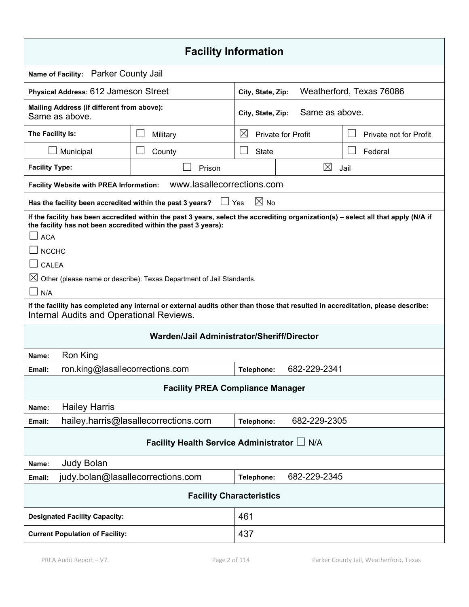| <b>Facility Information</b>                                                                                                                                                                                                                                                                                                                                                                                                                                                                                            |                                                                         |                                          |                |                          |
|------------------------------------------------------------------------------------------------------------------------------------------------------------------------------------------------------------------------------------------------------------------------------------------------------------------------------------------------------------------------------------------------------------------------------------------------------------------------------------------------------------------------|-------------------------------------------------------------------------|------------------------------------------|----------------|--------------------------|
| Name of Facility: Parker County Jail                                                                                                                                                                                                                                                                                                                                                                                                                                                                                   |                                                                         |                                          |                |                          |
| <b>Physical Address: 612 Jameson Street</b>                                                                                                                                                                                                                                                                                                                                                                                                                                                                            |                                                                         | City, State, Zip:                        |                | Weatherford, Texas 76086 |
| Mailing Address (if different from above):<br>Same as above.                                                                                                                                                                                                                                                                                                                                                                                                                                                           |                                                                         | City, State, Zip:                        | Same as above. |                          |
| The Facility Is:                                                                                                                                                                                                                                                                                                                                                                                                                                                                                                       | Military                                                                | $\boxtimes$<br><b>Private for Profit</b> |                | Private not for Profit   |
| Municipal                                                                                                                                                                                                                                                                                                                                                                                                                                                                                                              | County                                                                  | <b>State</b>                             |                | Federal                  |
| <b>Facility Type:</b>                                                                                                                                                                                                                                                                                                                                                                                                                                                                                                  | Prison                                                                  |                                          | $\boxtimes$    | Jail                     |
| <b>Facility Website with PREA Information:</b>                                                                                                                                                                                                                                                                                                                                                                                                                                                                         | www.lasallecorrections.com                                              |                                          |                |                          |
|                                                                                                                                                                                                                                                                                                                                                                                                                                                                                                                        | $\Box$ Yes<br>Has the facility been accredited within the past 3 years? | $\boxtimes$ No                           |                |                          |
| If the facility has been accredited within the past 3 years, select the accrediting organization(s) - select all that apply (N/A if<br>the facility has not been accredited within the past 3 years):<br><b>ACA</b><br><b>NCCHC</b><br>CALEA<br>$\boxtimes$ Other (please name or describe): Texas Department of Jail Standards.<br>N/A<br>If the facility has completed any internal or external audits other than those that resulted in accreditation, please describe:<br>Internal Audits and Operational Reviews. |                                                                         |                                          |                |                          |
| Warden/Jail Administrator/Sheriff/Director                                                                                                                                                                                                                                                                                                                                                                                                                                                                             |                                                                         |                                          |                |                          |
| Ron King<br>Name:                                                                                                                                                                                                                                                                                                                                                                                                                                                                                                      |                                                                         |                                          |                |                          |
| Email:                                                                                                                                                                                                                                                                                                                                                                                                                                                                                                                 | ron.king@lasallecorrections.com                                         |                                          | 682-229-2341   |                          |
| <b>Facility PREA Compliance Manager</b>                                                                                                                                                                                                                                                                                                                                                                                                                                                                                |                                                                         |                                          |                |                          |
| <b>Hailey Harris</b><br>Name:                                                                                                                                                                                                                                                                                                                                                                                                                                                                                          |                                                                         |                                          |                |                          |
| Email:                                                                                                                                                                                                                                                                                                                                                                                                                                                                                                                 | hailey.harris@lasallecorrections.com                                    | Telephone:                               | 682-229-2305   |                          |
| Facility Health Service Administrator L N/A                                                                                                                                                                                                                                                                                                                                                                                                                                                                            |                                                                         |                                          |                |                          |
| <b>Judy Bolan</b><br>Name:                                                                                                                                                                                                                                                                                                                                                                                                                                                                                             |                                                                         |                                          |                |                          |
| Email:                                                                                                                                                                                                                                                                                                                                                                                                                                                                                                                 | judy.bolan@lasallecorrections.com                                       | Telephone:                               | 682-229-2345   |                          |
| <b>Facility Characteristics</b>                                                                                                                                                                                                                                                                                                                                                                                                                                                                                        |                                                                         |                                          |                |                          |
|                                                                                                                                                                                                                                                                                                                                                                                                                                                                                                                        | 461<br><b>Designated Facility Capacity:</b>                             |                                          |                |                          |
| 437<br><b>Current Population of Facility:</b>                                                                                                                                                                                                                                                                                                                                                                                                                                                                          |                                                                         |                                          |                |                          |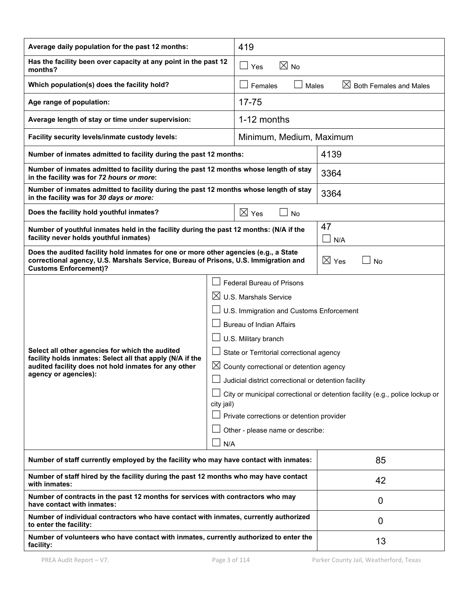| Average daily population for the past 12 months:                                                                                                                                                            |  | 419                                                                                                                                                                                                                                                                                                                                                                                                                                    |                                                                              |  |
|-------------------------------------------------------------------------------------------------------------------------------------------------------------------------------------------------------------|--|----------------------------------------------------------------------------------------------------------------------------------------------------------------------------------------------------------------------------------------------------------------------------------------------------------------------------------------------------------------------------------------------------------------------------------------|------------------------------------------------------------------------------|--|
| Has the facility been over capacity at any point in the past 12<br>months?                                                                                                                                  |  | $\boxtimes$ No<br>$\Box$ Yes                                                                                                                                                                                                                                                                                                                                                                                                           |                                                                              |  |
| Which population(s) does the facility hold?                                                                                                                                                                 |  | Females<br>Males                                                                                                                                                                                                                                                                                                                                                                                                                       | $\boxtimes$ Both Females and Males                                           |  |
| Age range of population:                                                                                                                                                                                    |  | $17 - 75$                                                                                                                                                                                                                                                                                                                                                                                                                              |                                                                              |  |
| Average length of stay or time under supervision:                                                                                                                                                           |  | 1-12 months                                                                                                                                                                                                                                                                                                                                                                                                                            |                                                                              |  |
| Facility security levels/inmate custody levels:                                                                                                                                                             |  | Minimum, Medium, Maximum                                                                                                                                                                                                                                                                                                                                                                                                               |                                                                              |  |
| Number of inmates admitted to facility during the past 12 months:                                                                                                                                           |  |                                                                                                                                                                                                                                                                                                                                                                                                                                        | 4139                                                                         |  |
| Number of inmates admitted to facility during the past 12 months whose length of stay<br>in the facility was for 72 hours or more:                                                                          |  |                                                                                                                                                                                                                                                                                                                                                                                                                                        | 3364                                                                         |  |
| Number of inmates admitted to facility during the past 12 months whose length of stay<br>in the facility was for 30 days or more:                                                                           |  |                                                                                                                                                                                                                                                                                                                                                                                                                                        | 3364                                                                         |  |
| Does the facility hold youthful inmates?                                                                                                                                                                    |  | $\boxtimes$ Yes<br><b>No</b>                                                                                                                                                                                                                                                                                                                                                                                                           |                                                                              |  |
| Number of youthful inmates held in the facility during the past 12 months: (N/A if the<br>facility never holds youthful inmates)                                                                            |  |                                                                                                                                                                                                                                                                                                                                                                                                                                        | 47<br>$\perp$<br>N/A                                                         |  |
| Does the audited facility hold inmates for one or more other agencies (e.g., a State<br>correctional agency, U.S. Marshals Service, Bureau of Prisons, U.S. Immigration and<br><b>Customs Enforcement)?</b> |  | $\boxtimes$ Yes<br><b>No</b>                                                                                                                                                                                                                                                                                                                                                                                                           |                                                                              |  |
| Select all other agencies for which the audited<br>facility holds inmates: Select all that apply (N/A if the<br>audited facility does not hold inmates for any other<br>agency or agencies):<br>city jail)  |  | <b>Federal Bureau of Prisons</b><br>$\boxtimes$ U.S. Marshals Service<br>U.S. Immigration and Customs Enforcement<br><b>Bureau of Indian Affairs</b><br>U.S. Military branch<br>State or Territorial correctional agency<br>$\boxtimes$ County correctional or detention agency<br>$\Box$ Judicial district correctional or detention facility<br>Private corrections or detention provider<br>Other - please name or describe:<br>N/A | City or municipal correctional or detention facility (e.g., police lockup or |  |
| Number of staff currently employed by the facility who may have contact with inmates:                                                                                                                       |  | 85                                                                                                                                                                                                                                                                                                                                                                                                                                     |                                                                              |  |
| Number of staff hired by the facility during the past 12 months who may have contact<br>with inmates:                                                                                                       |  | 42                                                                                                                                                                                                                                                                                                                                                                                                                                     |                                                                              |  |
| Number of contracts in the past 12 months for services with contractors who may<br>have contact with inmates:                                                                                               |  | 0                                                                                                                                                                                                                                                                                                                                                                                                                                      |                                                                              |  |
| Number of individual contractors who have contact with inmates, currently authorized<br>to enter the facility:                                                                                              |  | 0                                                                                                                                                                                                                                                                                                                                                                                                                                      |                                                                              |  |
| Number of volunteers who have contact with inmates, currently authorized to enter the<br>facility:                                                                                                          |  | 13                                                                                                                                                                                                                                                                                                                                                                                                                                     |                                                                              |  |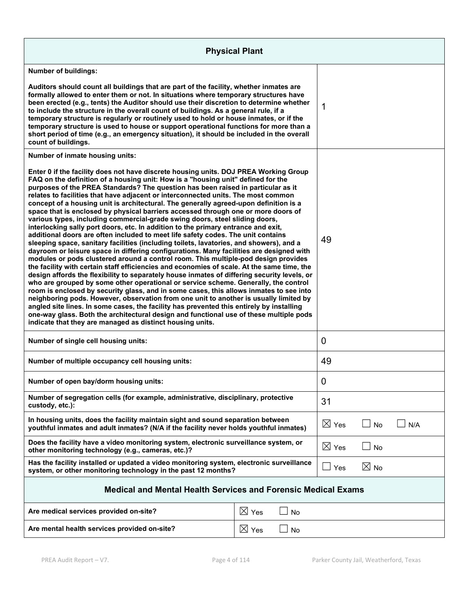| <b>Physical Plant</b>                                                                                                                                                                                                                                                                                                                                                                                                                                                                                                                                                                                                                                                                                                                                                                                                                                                                                                                                                                                                                                                                                                                                                                                                                                                                                                                                                                                                                                                                                                                                                                                                                                                                                                                                                                         |                 |                 |                 |           |  |
|-----------------------------------------------------------------------------------------------------------------------------------------------------------------------------------------------------------------------------------------------------------------------------------------------------------------------------------------------------------------------------------------------------------------------------------------------------------------------------------------------------------------------------------------------------------------------------------------------------------------------------------------------------------------------------------------------------------------------------------------------------------------------------------------------------------------------------------------------------------------------------------------------------------------------------------------------------------------------------------------------------------------------------------------------------------------------------------------------------------------------------------------------------------------------------------------------------------------------------------------------------------------------------------------------------------------------------------------------------------------------------------------------------------------------------------------------------------------------------------------------------------------------------------------------------------------------------------------------------------------------------------------------------------------------------------------------------------------------------------------------------------------------------------------------|-----------------|-----------------|-----------------|-----------|--|
| <b>Number of buildings:</b>                                                                                                                                                                                                                                                                                                                                                                                                                                                                                                                                                                                                                                                                                                                                                                                                                                                                                                                                                                                                                                                                                                                                                                                                                                                                                                                                                                                                                                                                                                                                                                                                                                                                                                                                                                   |                 |                 |                 |           |  |
| Auditors should count all buildings that are part of the facility, whether inmates are<br>formally allowed to enter them or not. In situations where temporary structures have<br>been erected (e.g., tents) the Auditor should use their discretion to determine whether<br>to include the structure in the overall count of buildings. As a general rule, if a<br>temporary structure is regularly or routinely used to hold or house inmates, or if the<br>temporary structure is used to house or support operational functions for more than a<br>short period of time (e.g., an emergency situation), it should be included in the overall<br>count of buildings.                                                                                                                                                                                                                                                                                                                                                                                                                                                                                                                                                                                                                                                                                                                                                                                                                                                                                                                                                                                                                                                                                                                       |                 |                 | 1               |           |  |
| Number of inmate housing units:                                                                                                                                                                                                                                                                                                                                                                                                                                                                                                                                                                                                                                                                                                                                                                                                                                                                                                                                                                                                                                                                                                                                                                                                                                                                                                                                                                                                                                                                                                                                                                                                                                                                                                                                                               |                 |                 |                 |           |  |
| Enter 0 if the facility does not have discrete housing units. DOJ PREA Working Group<br>FAQ on the definition of a housing unit: How is a "housing unit" defined for the<br>purposes of the PREA Standards? The question has been raised in particular as it<br>relates to facilities that have adjacent or interconnected units. The most common<br>concept of a housing unit is architectural. The generally agreed-upon definition is a<br>space that is enclosed by physical barriers accessed through one or more doors of<br>various types, including commercial-grade swing doors, steel sliding doors,<br>interlocking sally port doors, etc. In addition to the primary entrance and exit,<br>additional doors are often included to meet life safety codes. The unit contains<br>sleeping space, sanitary facilities (including toilets, lavatories, and showers), and a<br>dayroom or leisure space in differing configurations. Many facilities are designed with<br>modules or pods clustered around a control room. This multiple-pod design provides<br>the facility with certain staff efficiencies and economies of scale. At the same time, the<br>design affords the flexibility to separately house inmates of differing security levels, or<br>who are grouped by some other operational or service scheme. Generally, the control<br>room is enclosed by security glass, and in some cases, this allows inmates to see into<br>neighboring pods. However, observation from one unit to another is usually limited by<br>angled site lines. In some cases, the facility has prevented this entirely by installing<br>one-way glass. Both the architectural design and functional use of these multiple pods<br>indicate that they are managed as distinct housing units. |                 | 49              |                 |           |  |
| Number of single cell housing units:                                                                                                                                                                                                                                                                                                                                                                                                                                                                                                                                                                                                                                                                                                                                                                                                                                                                                                                                                                                                                                                                                                                                                                                                                                                                                                                                                                                                                                                                                                                                                                                                                                                                                                                                                          |                 |                 | 0               |           |  |
| Number of multiple occupancy cell housing units:                                                                                                                                                                                                                                                                                                                                                                                                                                                                                                                                                                                                                                                                                                                                                                                                                                                                                                                                                                                                                                                                                                                                                                                                                                                                                                                                                                                                                                                                                                                                                                                                                                                                                                                                              |                 | 49              |                 |           |  |
| Number of open bay/dorm housing units:                                                                                                                                                                                                                                                                                                                                                                                                                                                                                                                                                                                                                                                                                                                                                                                                                                                                                                                                                                                                                                                                                                                                                                                                                                                                                                                                                                                                                                                                                                                                                                                                                                                                                                                                                        |                 |                 | 0               |           |  |
| Number of segregation cells (for example, administrative, disciplinary, protective<br>custody, etc.):                                                                                                                                                                                                                                                                                                                                                                                                                                                                                                                                                                                                                                                                                                                                                                                                                                                                                                                                                                                                                                                                                                                                                                                                                                                                                                                                                                                                                                                                                                                                                                                                                                                                                         |                 |                 | 31              |           |  |
| In housing units, does the facility maintain sight and sound separation between<br>youthful inmates and adult inmates? (N/A if the facility never holds youthful inmates)                                                                                                                                                                                                                                                                                                                                                                                                                                                                                                                                                                                                                                                                                                                                                                                                                                                                                                                                                                                                                                                                                                                                                                                                                                                                                                                                                                                                                                                                                                                                                                                                                     |                 | $\boxtimes$ Yes | No              | N/A       |  |
| Does the facility have a video monitoring system, electronic surveillance system, or<br>other monitoring technology (e.g., cameras, etc.)?                                                                                                                                                                                                                                                                                                                                                                                                                                                                                                                                                                                                                                                                                                                                                                                                                                                                                                                                                                                                                                                                                                                                                                                                                                                                                                                                                                                                                                                                                                                                                                                                                                                    |                 |                 | $\boxtimes$ Yes | $\Box$ No |  |
| Has the facility installed or updated a video monitoring system, electronic surveillance<br>system, or other monitoring technology in the past 12 months?                                                                                                                                                                                                                                                                                                                                                                                                                                                                                                                                                                                                                                                                                                                                                                                                                                                                                                                                                                                                                                                                                                                                                                                                                                                                                                                                                                                                                                                                                                                                                                                                                                     |                 | Yes             | $\boxtimes$ No  |           |  |
| <b>Medical and Mental Health Services and Forensic Medical Exams</b>                                                                                                                                                                                                                                                                                                                                                                                                                                                                                                                                                                                                                                                                                                                                                                                                                                                                                                                                                                                                                                                                                                                                                                                                                                                                                                                                                                                                                                                                                                                                                                                                                                                                                                                          |                 |                 |                 |           |  |
| Are medical services provided on-site?                                                                                                                                                                                                                                                                                                                                                                                                                                                                                                                                                                                                                                                                                                                                                                                                                                                                                                                                                                                                                                                                                                                                                                                                                                                                                                                                                                                                                                                                                                                                                                                                                                                                                                                                                        | $\boxtimes$ Yes | <b>No</b>       |                 |           |  |
| Are mental health services provided on-site?                                                                                                                                                                                                                                                                                                                                                                                                                                                                                                                                                                                                                                                                                                                                                                                                                                                                                                                                                                                                                                                                                                                                                                                                                                                                                                                                                                                                                                                                                                                                                                                                                                                                                                                                                  | $\boxtimes$ Yes | No              |                 |           |  |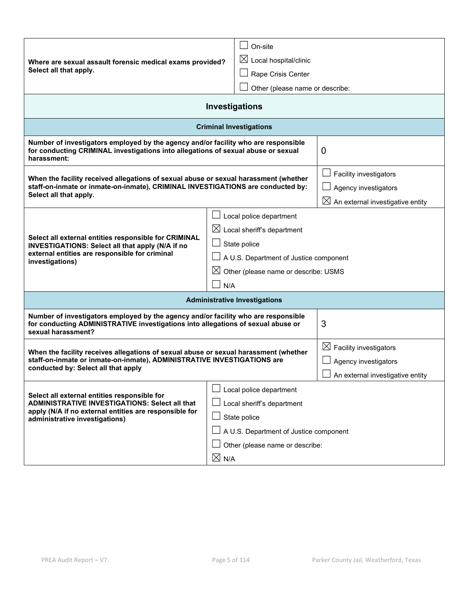| Where are sexual assault forensic medical exams provided?<br>Select all that apply.                                                                                                                                                                                                                                                                                               | On-site<br>$\boxtimes$ Local hospital/clinic<br>Rape Crisis Center<br>Other (please name or describe: |                                                                                                |  |
|-----------------------------------------------------------------------------------------------------------------------------------------------------------------------------------------------------------------------------------------------------------------------------------------------------------------------------------------------------------------------------------|-------------------------------------------------------------------------------------------------------|------------------------------------------------------------------------------------------------|--|
|                                                                                                                                                                                                                                                                                                                                                                                   | Investigations                                                                                        |                                                                                                |  |
|                                                                                                                                                                                                                                                                                                                                                                                   | <b>Criminal Investigations</b>                                                                        |                                                                                                |  |
| Number of investigators employed by the agency and/or facility who are responsible<br>for conducting CRIMINAL investigations into allegations of sexual abuse or sexual<br>harassment:                                                                                                                                                                                            |                                                                                                       | 0                                                                                              |  |
| When the facility received allegations of sexual abuse or sexual harassment (whether<br>staff-on-inmate or inmate-on-inmate), CRIMINAL INVESTIGATIONS are conducted by:<br>Select all that apply.                                                                                                                                                                                 |                                                                                                       | Facility investigators<br>Agency investigators<br>$\boxtimes$ An external investigative entity |  |
| Local police department<br>$\boxtimes$ Local sheriff's department<br>Select all external entities responsible for CRIMINAL<br>State police<br>INVESTIGATIONS: Select all that apply (N/A if no<br>external entities are responsible for criminal<br>A U.S. Department of Justice component<br>investigations)<br>$\boxtimes$ Other (please name or describe: USMS<br>N/A          |                                                                                                       |                                                                                                |  |
| <b>Administrative Investigations</b>                                                                                                                                                                                                                                                                                                                                              |                                                                                                       |                                                                                                |  |
| Number of investigators employed by the agency and/or facility who are responsible<br>for conducting ADMINISTRATIVE investigations into allegations of sexual abuse or<br>sexual harassment?                                                                                                                                                                                      |                                                                                                       | 3                                                                                              |  |
| When the facility receives allegations of sexual abuse or sexual harassment (whether<br>staff-on-inmate or inmate-on-inmate), ADMINISTRATIVE INVESTIGATIONS are<br>conducted by: Select all that apply                                                                                                                                                                            |                                                                                                       | $\boxtimes$ Facility investigators<br>Agency investigators<br>An external investigative entity |  |
| Local police department<br>Select all external entities responsible for<br><b>ADMINISTRATIVE INVESTIGATIONS: Select all that</b><br>Local sheriff's department<br>apply (N/A if no external entities are responsible for<br>$\Box$ State police<br>administrative investigations)<br>A U.S. Department of Justice component<br>Other (please name or describe:<br>$\boxtimes$ N/A |                                                                                                       |                                                                                                |  |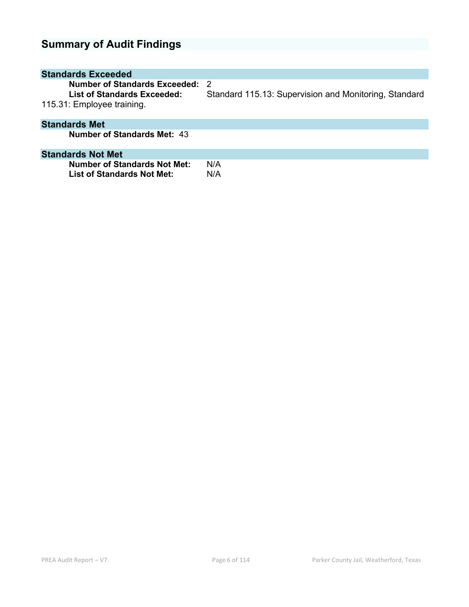# **Summary of Audit Findings**

| <b>Standards Exceeded</b>                                                                  |                                                             |
|--------------------------------------------------------------------------------------------|-------------------------------------------------------------|
| Number of Standards Exceeded:<br>List of Standards Exceeded:<br>115.31: Employee training. | -2<br>Standard 115.13: Supervision and Monitoring, Standard |
| <b>Standards Met</b>                                                                       |                                                             |
| <b>Number of Standards Met: 43</b>                                                         |                                                             |
| <b>Standards Not Met</b>                                                                   |                                                             |
| <b>Number of Standards Not Met:</b><br><b>List of Standards Not Met:</b>                   | N/A<br>N/A                                                  |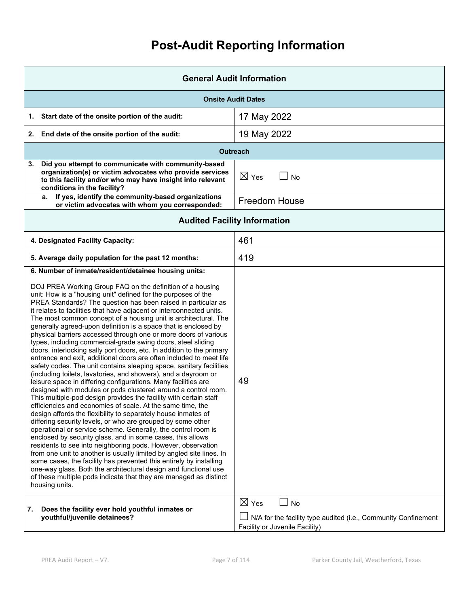# **Post-Audit Reporting Information**

| <b>General Audit Information</b>                                                                                                                                                                                                                                                                                                                                                                                                                                                                                                                                                                                                                                                                                                                                                                                                                                                                                                                                                                                                                                                                                                                                                                                                                                                                                                                                                                                                                                                                                                                                                                                                                                                                                                                                                                            |                                                                                                                                  |  |
|-------------------------------------------------------------------------------------------------------------------------------------------------------------------------------------------------------------------------------------------------------------------------------------------------------------------------------------------------------------------------------------------------------------------------------------------------------------------------------------------------------------------------------------------------------------------------------------------------------------------------------------------------------------------------------------------------------------------------------------------------------------------------------------------------------------------------------------------------------------------------------------------------------------------------------------------------------------------------------------------------------------------------------------------------------------------------------------------------------------------------------------------------------------------------------------------------------------------------------------------------------------------------------------------------------------------------------------------------------------------------------------------------------------------------------------------------------------------------------------------------------------------------------------------------------------------------------------------------------------------------------------------------------------------------------------------------------------------------------------------------------------------------------------------------------------|----------------------------------------------------------------------------------------------------------------------------------|--|
| <b>Onsite Audit Dates</b>                                                                                                                                                                                                                                                                                                                                                                                                                                                                                                                                                                                                                                                                                                                                                                                                                                                                                                                                                                                                                                                                                                                                                                                                                                                                                                                                                                                                                                                                                                                                                                                                                                                                                                                                                                                   |                                                                                                                                  |  |
| Start date of the onsite portion of the audit:<br>1.                                                                                                                                                                                                                                                                                                                                                                                                                                                                                                                                                                                                                                                                                                                                                                                                                                                                                                                                                                                                                                                                                                                                                                                                                                                                                                                                                                                                                                                                                                                                                                                                                                                                                                                                                        | 17 May 2022                                                                                                                      |  |
| End date of the onsite portion of the audit:<br>2.                                                                                                                                                                                                                                                                                                                                                                                                                                                                                                                                                                                                                                                                                                                                                                                                                                                                                                                                                                                                                                                                                                                                                                                                                                                                                                                                                                                                                                                                                                                                                                                                                                                                                                                                                          | 19 May 2022                                                                                                                      |  |
|                                                                                                                                                                                                                                                                                                                                                                                                                                                                                                                                                                                                                                                                                                                                                                                                                                                                                                                                                                                                                                                                                                                                                                                                                                                                                                                                                                                                                                                                                                                                                                                                                                                                                                                                                                                                             | <b>Outreach</b>                                                                                                                  |  |
| Did you attempt to communicate with community-based<br>3.<br>organization(s) or victim advocates who provide services<br>to this facility and/or who may have insight into relevant<br>conditions in the facility?                                                                                                                                                                                                                                                                                                                                                                                                                                                                                                                                                                                                                                                                                                                                                                                                                                                                                                                                                                                                                                                                                                                                                                                                                                                                                                                                                                                                                                                                                                                                                                                          | $\boxtimes$ Yes<br>$\Box$ No                                                                                                     |  |
| If yes, identify the community-based organizations<br>а.<br>or victim advocates with whom you corresponded:                                                                                                                                                                                                                                                                                                                                                                                                                                                                                                                                                                                                                                                                                                                                                                                                                                                                                                                                                                                                                                                                                                                                                                                                                                                                                                                                                                                                                                                                                                                                                                                                                                                                                                 | <b>Freedom House</b>                                                                                                             |  |
| <b>Audited Facility Information</b>                                                                                                                                                                                                                                                                                                                                                                                                                                                                                                                                                                                                                                                                                                                                                                                                                                                                                                                                                                                                                                                                                                                                                                                                                                                                                                                                                                                                                                                                                                                                                                                                                                                                                                                                                                         |                                                                                                                                  |  |
| 4. Designated Facility Capacity:                                                                                                                                                                                                                                                                                                                                                                                                                                                                                                                                                                                                                                                                                                                                                                                                                                                                                                                                                                                                                                                                                                                                                                                                                                                                                                                                                                                                                                                                                                                                                                                                                                                                                                                                                                            | 461                                                                                                                              |  |
| 5. Average daily population for the past 12 months:                                                                                                                                                                                                                                                                                                                                                                                                                                                                                                                                                                                                                                                                                                                                                                                                                                                                                                                                                                                                                                                                                                                                                                                                                                                                                                                                                                                                                                                                                                                                                                                                                                                                                                                                                         | 419                                                                                                                              |  |
| 6. Number of inmate/resident/detainee housing units:<br>DOJ PREA Working Group FAQ on the definition of a housing<br>unit: How is a "housing unit" defined for the purposes of the<br>PREA Standards? The question has been raised in particular as<br>it relates to facilities that have adjacent or interconnected units.<br>The most common concept of a housing unit is architectural. The<br>generally agreed-upon definition is a space that is enclosed by<br>physical barriers accessed through one or more doors of various<br>types, including commercial-grade swing doors, steel sliding<br>doors, interlocking sally port doors, etc. In addition to the primary<br>entrance and exit, additional doors are often included to meet life<br>safety codes. The unit contains sleeping space, sanitary facilities<br>(including toilets, lavatories, and showers), and a dayroom or<br>leisure space in differing configurations. Many facilities are<br>designed with modules or pods clustered around a control room.<br>This multiple-pod design provides the facility with certain staff<br>efficiencies and economies of scale. At the same time, the<br>design affords the flexibility to separately house inmates of<br>differing security levels, or who are grouped by some other<br>operational or service scheme. Generally, the control room is<br>enclosed by security glass, and in some cases, this allows<br>residents to see into neighboring pods. However, observation<br>from one unit to another is usually limited by angled site lines. In<br>some cases, the facility has prevented this entirely by installing<br>one-way glass. Both the architectural design and functional use<br>of these multiple pods indicate that they are managed as distinct<br>housing units. | 49                                                                                                                               |  |
| 7.<br>Does the facility ever hold youthful inmates or<br>youthful/juvenile detainees?                                                                                                                                                                                                                                                                                                                                                                                                                                                                                                                                                                                                                                                                                                                                                                                                                                                                                                                                                                                                                                                                                                                                                                                                                                                                                                                                                                                                                                                                                                                                                                                                                                                                                                                       | $\boxtimes$ Yes<br>$\Box$ No<br>N/A for the facility type audited (i.e., Community Confinement<br>Facility or Juvenile Facility) |  |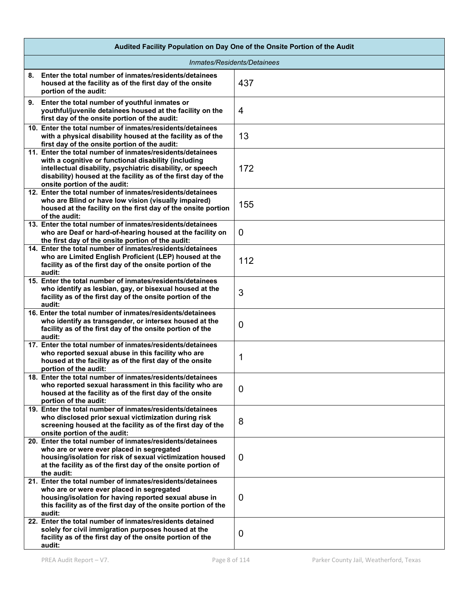| Audited Facility Population on Day One of the Onsite Portion of the Audit                                                                                                                                                                                                        |                |  |
|----------------------------------------------------------------------------------------------------------------------------------------------------------------------------------------------------------------------------------------------------------------------------------|----------------|--|
| Inmates/Residents/Detainees                                                                                                                                                                                                                                                      |                |  |
| 8. Enter the total number of inmates/residents/detainees<br>housed at the facility as of the first day of the onsite<br>portion of the audit:                                                                                                                                    | 437            |  |
| 9. Enter the total number of youthful inmates or<br>youthful/juvenile detainees housed at the facility on the<br>first day of the onsite portion of the audit:                                                                                                                   | 4              |  |
| 10. Enter the total number of inmates/residents/detainees<br>with a physical disability housed at the facility as of the<br>first day of the onsite portion of the audit:                                                                                                        | 13             |  |
| 11. Enter the total number of inmates/residents/detainees<br>with a cognitive or functional disability (including<br>intellectual disability, psychiatric disability, or speech<br>disability) housed at the facility as of the first day of the<br>onsite portion of the audit: | 172            |  |
| 12. Enter the total number of inmates/residents/detainees<br>who are Blind or have low vision (visually impaired)<br>housed at the facility on the first day of the onsite portion<br>of the audit:                                                                              | 155            |  |
| 13. Enter the total number of inmates/residents/detainees<br>who are Deaf or hard-of-hearing housed at the facility on<br>the first day of the onsite portion of the audit:                                                                                                      | 0              |  |
| 14. Enter the total number of inmates/residents/detainees<br>who are Limited English Proficient (LEP) housed at the<br>facility as of the first day of the onsite portion of the<br>audit:                                                                                       | 112            |  |
| 15. Enter the total number of inmates/residents/detainees<br>who identify as lesbian, gay, or bisexual housed at the<br>facility as of the first day of the onsite portion of the<br>audit:                                                                                      | 3              |  |
| 16. Enter the total number of inmates/residents/detainees<br>who identify as transgender, or intersex housed at the<br>facility as of the first day of the onsite portion of the<br>audit:                                                                                       | 0              |  |
| 17. Enter the total number of inmates/residents/detainees<br>who reported sexual abuse in this facility who are<br>housed at the facility as of the first day of the onsite<br>portion of the audit:                                                                             | 1              |  |
| 18. Enter the total number of inmates/residents/detainees<br>who reported sexual harassment in this facility who are<br>housed at the facility as of the first day of the onsite<br>portion of the audit:                                                                        | $\overline{0}$ |  |
| 19. Enter the total number of inmates/residents/detainees<br>who disclosed prior sexual victimization during risk<br>screening housed at the facility as of the first day of the<br>onsite portion of the audit:                                                                 | 8              |  |
| 20. Enter the total number of inmates/residents/detainees<br>who are or were ever placed in segregated<br>housing/isolation for risk of sexual victimization housed<br>at the facility as of the first day of the onsite portion of<br>the audit:                                | 0              |  |
| 21. Enter the total number of inmates/residents/detainees<br>who are or were ever placed in segregated<br>housing/isolation for having reported sexual abuse in<br>this facility as of the first day of the onsite portion of the<br>audit:                                      | 0              |  |
| 22. Enter the total number of inmates/residents detained<br>solely for civil immigration purposes housed at the<br>facility as of the first day of the onsite portion of the<br>audit:                                                                                           | 0              |  |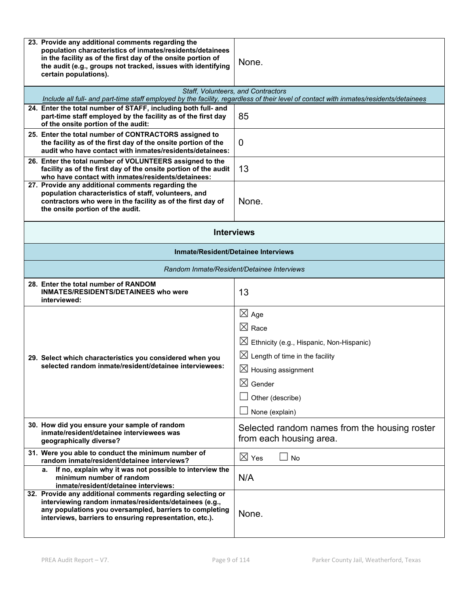| 23. Provide any additional comments regarding the<br>population characteristics of inmates/residents/detainees<br>in the facility as of the first day of the onsite portion of<br>the audit (e.g., groups not tracked, issues with identifying<br>certain populations). | None.                                                                                                                                                                                                                                   |  |
|-------------------------------------------------------------------------------------------------------------------------------------------------------------------------------------------------------------------------------------------------------------------------|-----------------------------------------------------------------------------------------------------------------------------------------------------------------------------------------------------------------------------------------|--|
|                                                                                                                                                                                                                                                                         | Staff, Volunteers, and Contractors<br>Include all full- and part-time staff employed by the facility, regardless of their level of contact with inmates/residents/detainees                                                             |  |
| 24. Enter the total number of STAFF, including both full- and<br>part-time staff employed by the facility as of the first day<br>of the onsite portion of the audit:                                                                                                    | 85                                                                                                                                                                                                                                      |  |
| 25. Enter the total number of CONTRACTORS assigned to<br>the facility as of the first day of the onsite portion of the<br>audit who have contact with inmates/residents/detainees:                                                                                      | 0                                                                                                                                                                                                                                       |  |
| 26. Enter the total number of VOLUNTEERS assigned to the<br>facility as of the first day of the onsite portion of the audit<br>who have contact with inmates/residents/detainees:                                                                                       | 13                                                                                                                                                                                                                                      |  |
| 27. Provide any additional comments regarding the<br>population characteristics of staff, volunteers, and<br>contractors who were in the facility as of the first day of<br>the onsite portion of the audit.                                                            | None.                                                                                                                                                                                                                                   |  |
| <b>Interviews</b>                                                                                                                                                                                                                                                       |                                                                                                                                                                                                                                         |  |
| <b>Inmate/Resident/Detainee Interviews</b>                                                                                                                                                                                                                              |                                                                                                                                                                                                                                         |  |
| Random Inmate/Resident/Detainee Interviews                                                                                                                                                                                                                              |                                                                                                                                                                                                                                         |  |
| 28. Enter the total number of RANDOM<br><b>INMATES/RESIDENTS/DETAINEES who were</b><br>interviewed:                                                                                                                                                                     | 13                                                                                                                                                                                                                                      |  |
| 29. Select which characteristics you considered when you<br>selected random inmate/resident/detainee interviewees:                                                                                                                                                      | $\boxtimes$ Age<br>$\boxtimes$ Race<br>$\boxtimes$ Ethnicity (e.g., Hispanic, Non-Hispanic)<br>$\boxtimes$ Length of time in the facility<br>$\boxtimes$ Housing assignment<br>$\boxtimes$ Gender<br>Other (describe)<br>None (explain) |  |
| 30. How did you ensure your sample of random<br>inmate/resident/detainee interviewees was<br>geographically diverse?                                                                                                                                                    | Selected random names from the housing roster<br>from each housing area.                                                                                                                                                                |  |
| 31. Were you able to conduct the minimum number of<br>random inmate/resident/detainee interviews?                                                                                                                                                                       | $\boxtimes$ Yes<br><b>No</b>                                                                                                                                                                                                            |  |
| If no, explain why it was not possible to interview the<br>a.<br>minimum number of random<br>inmate/resident/detainee interviews:                                                                                                                                       | N/A                                                                                                                                                                                                                                     |  |
| 32. Provide any additional comments regarding selecting or<br>interviewing random inmates/residents/detainees (e.g.,<br>any populations you oversampled, barriers to completing<br>interviews, barriers to ensuring representation, etc.).                              | None.                                                                                                                                                                                                                                   |  |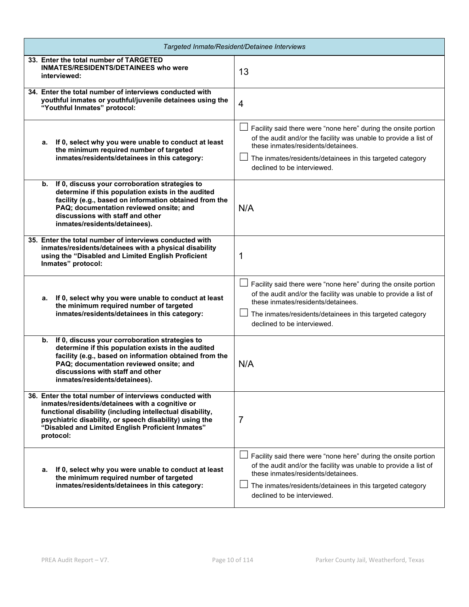| Targeted Inmate/Resident/Detainee Interviews                                                                                                                                                                                                                                                         |                                                                                                                                                                                                                                                                      |  |
|------------------------------------------------------------------------------------------------------------------------------------------------------------------------------------------------------------------------------------------------------------------------------------------------------|----------------------------------------------------------------------------------------------------------------------------------------------------------------------------------------------------------------------------------------------------------------------|--|
| 33. Enter the total number of TARGETED<br><b>INMATES/RESIDENTS/DETAINEES who were</b><br>interviewed:                                                                                                                                                                                                | 13                                                                                                                                                                                                                                                                   |  |
| 34. Enter the total number of interviews conducted with<br>youthful inmates or youthful/juvenile detainees using the<br>"Youthful Inmates" protocol:                                                                                                                                                 | $\overline{4}$                                                                                                                                                                                                                                                       |  |
| a. If 0, select why you were unable to conduct at least<br>the minimum required number of targeted<br>inmates/residents/detainees in this category:                                                                                                                                                  | Facility said there were "none here" during the onsite portion<br>of the audit and/or the facility was unable to provide a list of<br>these inmates/residents/detainees.<br>The inmates/residents/detainees in this targeted category<br>declined to be interviewed. |  |
| If 0, discuss your corroboration strategies to<br>b.<br>determine if this population exists in the audited<br>facility (e.g., based on information obtained from the<br>PAQ; documentation reviewed onsite; and<br>discussions with staff and other<br>inmates/residents/detainees).                 | N/A                                                                                                                                                                                                                                                                  |  |
| 35. Enter the total number of interviews conducted with<br>inmates/residents/detainees with a physical disability<br>using the "Disabled and Limited English Proficient<br>Inmates" protocol:                                                                                                        | 1                                                                                                                                                                                                                                                                    |  |
| If 0, select why you were unable to conduct at least<br>а.<br>the minimum required number of targeted<br>inmates/residents/detainees in this category:                                                                                                                                               | Facility said there were "none here" during the onsite portion<br>of the audit and/or the facility was unable to provide a list of<br>these inmates/residents/detainees.<br>The inmates/residents/detainees in this targeted category<br>declined to be interviewed. |  |
| b. If 0, discuss your corroboration strategies to<br>determine if this population exists in the audited<br>facility (e.g., based on information obtained from the<br>PAQ; documentation reviewed onsite; and<br>discussions with staff and other<br>inmates/residents/detainees).                    | N/A                                                                                                                                                                                                                                                                  |  |
| 36. Enter the total number of interviews conducted with<br>inmates/residents/detainees with a cognitive or<br>functional disability (including intellectual disability,<br>psychiatric disability, or speech disability) using the<br>"Disabled and Limited English Proficient Inmates"<br>protocol: | 7                                                                                                                                                                                                                                                                    |  |
| If 0, select why you were unable to conduct at least<br>а.<br>the minimum required number of targeted<br>inmates/residents/detainees in this category:                                                                                                                                               | Facility said there were "none here" during the onsite portion<br>of the audit and/or the facility was unable to provide a list of<br>these inmates/residents/detainees.<br>The inmates/residents/detainees in this targeted category<br>declined to be interviewed. |  |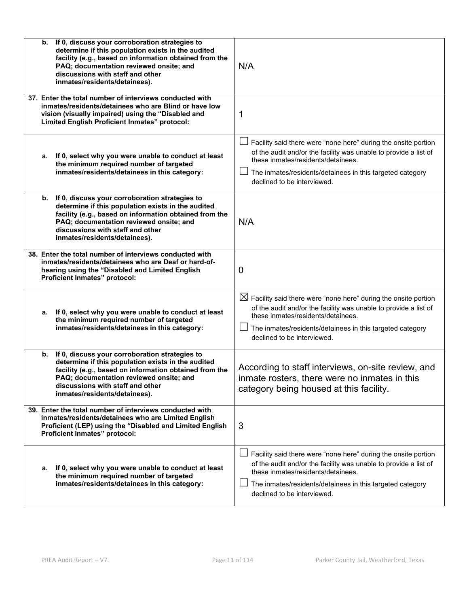| If 0, discuss your corroboration strategies to<br>b.<br>determine if this population exists in the audited<br>facility (e.g., based on information obtained from the<br>PAQ; documentation reviewed onsite; and<br>discussions with staff and other<br>inmates/residents/detainees). | N/A                                                                                                                                                                                                                                                                              |
|--------------------------------------------------------------------------------------------------------------------------------------------------------------------------------------------------------------------------------------------------------------------------------------|----------------------------------------------------------------------------------------------------------------------------------------------------------------------------------------------------------------------------------------------------------------------------------|
| 37. Enter the total number of interviews conducted with<br>inmates/residents/detainees who are Blind or have low<br>vision (visually impaired) using the "Disabled and<br>Limited English Proficient Inmates" protocol:                                                              | 1                                                                                                                                                                                                                                                                                |
| a. If 0, select why you were unable to conduct at least<br>the minimum required number of targeted<br>inmates/residents/detainees in this category:                                                                                                                                  | Facility said there were "none here" during the onsite portion<br>of the audit and/or the facility was unable to provide a list of<br>these inmates/residents/detainees.<br>The inmates/residents/detainees in this targeted category<br>declined to be interviewed.             |
| If 0, discuss your corroboration strategies to<br>b.<br>determine if this population exists in the audited<br>facility (e.g., based on information obtained from the<br>PAQ; documentation reviewed onsite; and<br>discussions with staff and other<br>inmates/residents/detainees). | N/A                                                                                                                                                                                                                                                                              |
| 38. Enter the total number of interviews conducted with<br>inmates/residents/detainees who are Deaf or hard-of-<br>hearing using the "Disabled and Limited English<br>Proficient Inmates" protocol:                                                                                  | 0                                                                                                                                                                                                                                                                                |
| a. If 0, select why you were unable to conduct at least<br>the minimum required number of targeted<br>inmates/residents/detainees in this category:                                                                                                                                  | $\boxtimes$ Facility said there were "none here" during the onsite portion<br>of the audit and/or the facility was unable to provide a list of<br>these inmates/residents/detainees.<br>The inmates/residents/detainees in this targeted category<br>declined to be interviewed. |
| If 0, discuss your corroboration strategies to<br>b.<br>determine if this population exists in the audited<br>facility (e.g., based on information obtained from the<br>PAQ; documentation reviewed onsite; and<br>discussions with staff and other<br>inmates/residents/detainees). | According to staff interviews, on-site review, and<br>inmate rosters, there were no inmates in this<br>category being housed at this facility.                                                                                                                                   |
| 39. Enter the total number of interviews conducted with<br>inmates/residents/detainees who are Limited English<br>Proficient (LEP) using the "Disabled and Limited English<br>Proficient Inmates" protocol:                                                                          | 3                                                                                                                                                                                                                                                                                |
| If 0, select why you were unable to conduct at least<br>а.<br>the minimum required number of targeted<br>inmates/residents/detainees in this category:                                                                                                                               | Facility said there were "none here" during the onsite portion<br>of the audit and/or the facility was unable to provide a list of<br>these inmates/residents/detainees.<br>The inmates/residents/detainees in this targeted category<br>declined to be interviewed.             |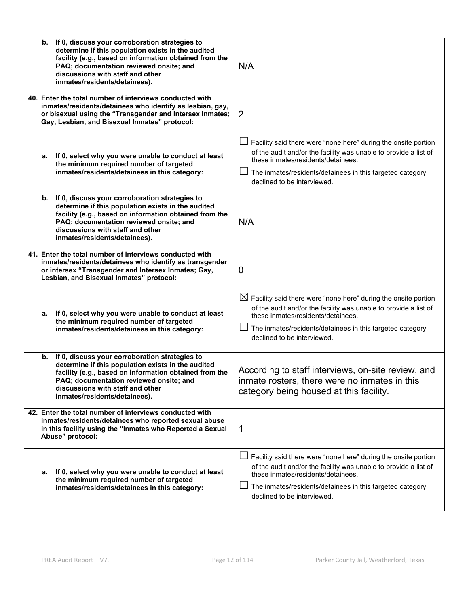| If 0, discuss your corroboration strategies to<br>b.<br>determine if this population exists in the audited<br>facility (e.g., based on information obtained from the<br>PAQ; documentation reviewed onsite; and<br>discussions with staff and other<br>inmates/residents/detainees). | N/A                                                                                                                                                                                                                                                                              |
|--------------------------------------------------------------------------------------------------------------------------------------------------------------------------------------------------------------------------------------------------------------------------------------|----------------------------------------------------------------------------------------------------------------------------------------------------------------------------------------------------------------------------------------------------------------------------------|
| 40. Enter the total number of interviews conducted with<br>inmates/residents/detainees who identify as lesbian, gay,<br>or bisexual using the "Transgender and Intersex Inmates;<br>Gay, Lesbian, and Bisexual Inmates" protocol:                                                    | 2                                                                                                                                                                                                                                                                                |
| a. If 0, select why you were unable to conduct at least<br>the minimum required number of targeted<br>inmates/residents/detainees in this category:                                                                                                                                  | Facility said there were "none here" during the onsite portion<br>of the audit and/or the facility was unable to provide a list of<br>these inmates/residents/detainees.<br>The inmates/residents/detainees in this targeted category<br>declined to be interviewed.             |
| If 0, discuss your corroboration strategies to<br>b.<br>determine if this population exists in the audited<br>facility (e.g., based on information obtained from the<br>PAQ; documentation reviewed onsite; and<br>discussions with staff and other<br>inmates/residents/detainees). | N/A                                                                                                                                                                                                                                                                              |
| 41. Enter the total number of interviews conducted with<br>inmates/residents/detainees who identify as transgender<br>or intersex "Transgender and Intersex Inmates; Gay,<br>Lesbian, and Bisexual Inmates" protocol:                                                                | $\mathbf 0$                                                                                                                                                                                                                                                                      |
| If 0, select why you were unable to conduct at least<br>а.<br>the minimum required number of targeted<br>inmates/residents/detainees in this category:                                                                                                                               | $\boxtimes$ Facility said there were "none here" during the onsite portion<br>of the audit and/or the facility was unable to provide a list of<br>these inmates/residents/detainees.<br>The inmates/residents/detainees in this targeted category<br>declined to be interviewed. |
| If 0, discuss your corroboration strategies to<br>b.<br>determine if this population exists in the audited<br>facility (e.g., based on information obtained from the<br>PAQ; documentation reviewed onsite; and<br>discussions with staff and other<br>inmates/residents/detainees). | According to staff interviews, on-site review, and<br>inmate rosters, there were no inmates in this<br>category being housed at this facility.                                                                                                                                   |
| 42. Enter the total number of interviews conducted with<br>inmates/residents/detainees who reported sexual abuse<br>in this facility using the "Inmates who Reported a Sexual<br>Abuse" protocol:                                                                                    | 1                                                                                                                                                                                                                                                                                |
| If 0, select why you were unable to conduct at least<br>а.<br>the minimum required number of targeted<br>inmates/residents/detainees in this category:                                                                                                                               | Facility said there were "none here" during the onsite portion<br>of the audit and/or the facility was unable to provide a list of<br>these inmates/residents/detainees.<br>The inmates/residents/detainees in this targeted category<br>declined to be interviewed.             |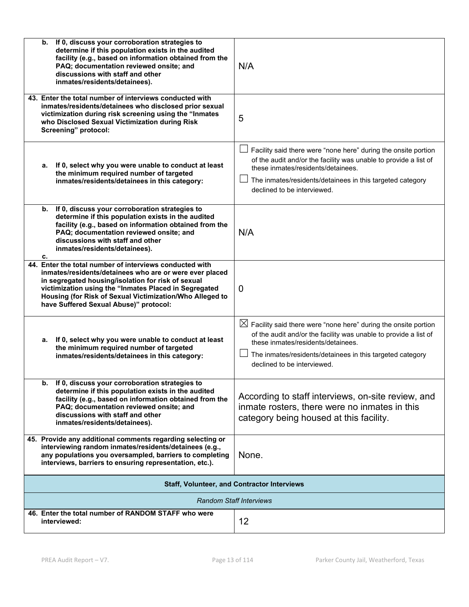| If 0, discuss your corroboration strategies to<br>b.<br>determine if this population exists in the audited<br>facility (e.g., based on information obtained from the<br>PAQ; documentation reviewed onsite; and<br>discussions with staff and other<br>inmates/residents/detainees).                                                    | N/A                                                                                                                                                                                                                                                                              |  |  |  |
|-----------------------------------------------------------------------------------------------------------------------------------------------------------------------------------------------------------------------------------------------------------------------------------------------------------------------------------------|----------------------------------------------------------------------------------------------------------------------------------------------------------------------------------------------------------------------------------------------------------------------------------|--|--|--|
| 43. Enter the total number of interviews conducted with<br>inmates/residents/detainees who disclosed prior sexual<br>victimization during risk screening using the "Inmates<br>who Disclosed Sexual Victimization during Risk<br>Screening" protocol:                                                                                   | 5                                                                                                                                                                                                                                                                                |  |  |  |
| a. If 0, select why you were unable to conduct at least<br>the minimum required number of targeted<br>inmates/residents/detainees in this category:                                                                                                                                                                                     | Facility said there were "none here" during the onsite portion<br>of the audit and/or the facility was unable to provide a list of<br>these inmates/residents/detainees.<br>The inmates/residents/detainees in this targeted category<br>declined to be interviewed.             |  |  |  |
| If 0, discuss your corroboration strategies to<br>b.<br>determine if this population exists in the audited<br>facility (e.g., based on information obtained from the<br>PAQ; documentation reviewed onsite; and<br>discussions with staff and other<br>inmates/residents/detainees).<br>c.                                              | N/A                                                                                                                                                                                                                                                                              |  |  |  |
| 44. Enter the total number of interviews conducted with<br>inmates/residents/detainees who are or were ever placed<br>in segregated housing/isolation for risk of sexual<br>victimization using the "Inmates Placed in Segregated<br>Housing (for Risk of Sexual Victimization/Who Alleged to<br>have Suffered Sexual Abuse)" protocol: | $\mathbf{0}$                                                                                                                                                                                                                                                                     |  |  |  |
| If 0, select why you were unable to conduct at least<br>а.<br>the minimum required number of targeted<br>inmates/residents/detainees in this category:                                                                                                                                                                                  | $\boxtimes$ Facility said there were "none here" during the onsite portion<br>of the audit and/or the facility was unable to provide a list of<br>these inmates/residents/detainees.<br>The inmates/residents/detainees in this targeted category<br>declined to be interviewed. |  |  |  |
| b. If 0, discuss your corroboration strategies to<br>determine if this population exists in the audited<br>facility (e.g., based on information obtained from the<br>PAQ; documentation reviewed onsite; and<br>discussions with staff and other<br>inmates/residents/detainees).                                                       | According to staff interviews, on-site review, and<br>inmate rosters, there were no inmates in this<br>category being housed at this facility.                                                                                                                                   |  |  |  |
| 45. Provide any additional comments regarding selecting or<br>interviewing random inmates/residents/detainees (e.g.,<br>any populations you oversampled, barriers to completing<br>interviews, barriers to ensuring representation, etc.).                                                                                              | None.                                                                                                                                                                                                                                                                            |  |  |  |
|                                                                                                                                                                                                                                                                                                                                         | <b>Staff, Volunteer, and Contractor Interviews</b>                                                                                                                                                                                                                               |  |  |  |
| <b>Random Staff Interviews</b>                                                                                                                                                                                                                                                                                                          |                                                                                                                                                                                                                                                                                  |  |  |  |
| 46. Enter the total number of RANDOM STAFF who were<br>interviewed:                                                                                                                                                                                                                                                                     | 12                                                                                                                                                                                                                                                                               |  |  |  |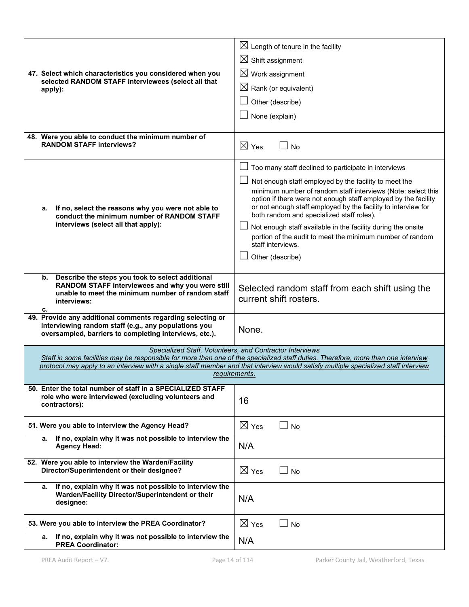| 47. Select which characteristics you considered when you<br>selected RANDOM STAFF interviewees (select all that<br>apply):                                                           | $\boxtimes$ Length of tenure in the facility<br>$\boxtimes$ Shift assignment<br>$\boxtimes$ Work assignment<br>$\boxtimes$ Rank (or equivalent)<br>Other (describe)<br>None (explain)                                                                                                                                                                                                                                                                                                                                                    |
|--------------------------------------------------------------------------------------------------------------------------------------------------------------------------------------|------------------------------------------------------------------------------------------------------------------------------------------------------------------------------------------------------------------------------------------------------------------------------------------------------------------------------------------------------------------------------------------------------------------------------------------------------------------------------------------------------------------------------------------|
| 48. Were you able to conduct the minimum number of<br><b>RANDOM STAFF interviews?</b>                                                                                                | $\boxtimes$ Yes<br>No                                                                                                                                                                                                                                                                                                                                                                                                                                                                                                                    |
| If no, select the reasons why you were not able to<br>а.<br>conduct the minimum number of RANDOM STAFF<br>interviews (select all that apply):                                        | Too many staff declined to participate in interviews<br>ப<br>Not enough staff employed by the facility to meet the<br>minimum number of random staff interviews (Note: select this<br>option if there were not enough staff employed by the facility<br>or not enough staff employed by the facility to interview for<br>both random and specialized staff roles).<br>Not enough staff available in the facility during the onsite<br>portion of the audit to meet the minimum number of random<br>staff interviews.<br>Other (describe) |
| Describe the steps you took to select additional<br>b.<br>RANDOM STAFF interviewees and why you were still<br>unable to meet the minimum number of random staff<br>interviews:<br>c. | Selected random staff from each shift using the<br>current shift rosters.                                                                                                                                                                                                                                                                                                                                                                                                                                                                |
| 49. Provide any additional comments regarding selecting or<br>interviewing random staff (e.g., any populations you<br>oversampled, barriers to completing interviews, etc.).         | None.                                                                                                                                                                                                                                                                                                                                                                                                                                                                                                                                    |
|                                                                                                                                                                                      | Specialized Staff, Volunteers, and Contractor Interviews<br>Staff in some facilities may be responsible for more than one of the specialized staff duties. Therefore, more than one interview<br>protocol may apply to an interview with a single staff member and that interview would satisfy multiple specialized staff interview<br>requirements.                                                                                                                                                                                    |
| 50. Enter the total number of staff in a SPECIALIZED STAFF<br>role who were interviewed (excluding volunteers and<br>contractors):                                                   | 16                                                                                                                                                                                                                                                                                                                                                                                                                                                                                                                                       |
| 51. Were you able to interview the Agency Head?                                                                                                                                      | $\boxtimes$ Yes<br>No                                                                                                                                                                                                                                                                                                                                                                                                                                                                                                                    |
| If no, explain why it was not possible to interview the<br>а.<br><b>Agency Head:</b>                                                                                                 | N/A                                                                                                                                                                                                                                                                                                                                                                                                                                                                                                                                      |
| 52. Were you able to interview the Warden/Facility<br>Director/Superintendent or their designee?                                                                                     | $\boxtimes$ Yes<br>No                                                                                                                                                                                                                                                                                                                                                                                                                                                                                                                    |
| If no, explain why it was not possible to interview the<br>а.<br>Warden/Facility Director/Superintendent or their<br>designee:                                                       | N/A                                                                                                                                                                                                                                                                                                                                                                                                                                                                                                                                      |
| 53. Were you able to interview the PREA Coordinator?                                                                                                                                 | $\boxtimes$ Yes<br><b>No</b>                                                                                                                                                                                                                                                                                                                                                                                                                                                                                                             |
| If no, explain why it was not possible to interview the<br>а.<br><b>PREA Coordinator:</b>                                                                                            | N/A                                                                                                                                                                                                                                                                                                                                                                                                                                                                                                                                      |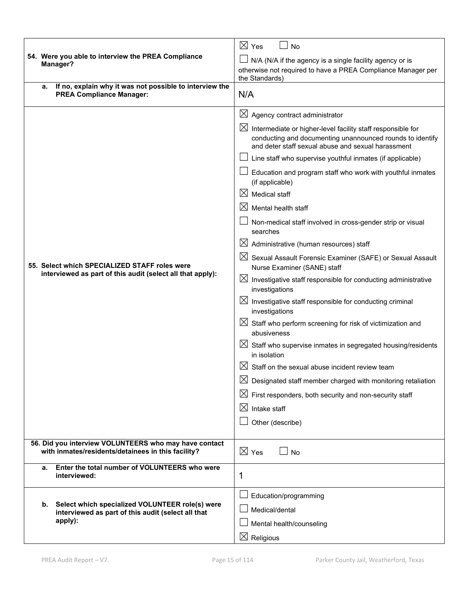|                                                                                                                        | $\boxtimes$ Yes<br><b>No</b>                                                                                                                                                                  |  |  |  |
|------------------------------------------------------------------------------------------------------------------------|-----------------------------------------------------------------------------------------------------------------------------------------------------------------------------------------------|--|--|--|
| 54. Were you able to interview the PREA Compliance<br>Manager?                                                         | N/A (N/A if the agency is a single facility agency or is                                                                                                                                      |  |  |  |
|                                                                                                                        | otherwise not required to have a PREA Compliance Manager per<br>the Standards)                                                                                                                |  |  |  |
| If no, explain why it was not possible to interview the<br>а.                                                          |                                                                                                                                                                                               |  |  |  |
| <b>PREA Compliance Manager:</b>                                                                                        | N/A                                                                                                                                                                                           |  |  |  |
|                                                                                                                        | $\boxtimes$ Agency contract administrator                                                                                                                                                     |  |  |  |
|                                                                                                                        | $\boxtimes$<br>Intermediate or higher-level facility staff responsible for<br>conducting and documenting unannounced rounds to identify<br>and deter staff sexual abuse and sexual harassment |  |  |  |
|                                                                                                                        | Line staff who supervise youthful inmates (if applicable)                                                                                                                                     |  |  |  |
|                                                                                                                        | Education and program staff who work with youthful inmates<br>(if applicable)                                                                                                                 |  |  |  |
|                                                                                                                        | $\boxtimes$<br><b>Medical staff</b>                                                                                                                                                           |  |  |  |
|                                                                                                                        | ⊠<br>Mental health staff                                                                                                                                                                      |  |  |  |
|                                                                                                                        | Non-medical staff involved in cross-gender strip or visual<br>searches                                                                                                                        |  |  |  |
| 55. Select which SPECIALIZED STAFF roles were<br>interviewed as part of this audit (select all that apply):            | $\boxtimes$ Administrative (human resources) staff                                                                                                                                            |  |  |  |
|                                                                                                                        | $\boxtimes$ Sexual Assault Forensic Examiner (SAFE) or Sexual Assault<br>Nurse Examiner (SANE) staff                                                                                          |  |  |  |
|                                                                                                                        | $\boxtimes$ Investigative staff responsible for conducting administrative<br>investigations                                                                                                   |  |  |  |
|                                                                                                                        | $\boxtimes$ Investigative staff responsible for conducting criminal<br>investigations                                                                                                         |  |  |  |
|                                                                                                                        | $\boxtimes$ Staff who perform screening for risk of victimization and<br>abusiveness                                                                                                          |  |  |  |
|                                                                                                                        | $\boxtimes$ Staff who supervise inmates in segregated housing/residents<br>in isolation                                                                                                       |  |  |  |
|                                                                                                                        | Staff on the sexual abuse incident review team                                                                                                                                                |  |  |  |
|                                                                                                                        | $\boxtimes$<br>Designated staff member charged with monitoring retaliation                                                                                                                    |  |  |  |
|                                                                                                                        | $\boxtimes$ First responders, both security and non-security staff                                                                                                                            |  |  |  |
|                                                                                                                        | $\boxtimes$<br>Intake staff                                                                                                                                                                   |  |  |  |
|                                                                                                                        | Other (describe)                                                                                                                                                                              |  |  |  |
| 56. Did you interview VOLUNTEERS who may have contact<br>with inmates/residents/detainees in this facility?            | $\boxtimes$ Yes<br><b>No</b>                                                                                                                                                                  |  |  |  |
| Enter the total number of VOLUNTEERS who were<br>а.                                                                    |                                                                                                                                                                                               |  |  |  |
| interviewed:                                                                                                           | 1                                                                                                                                                                                             |  |  |  |
|                                                                                                                        | Education/programming                                                                                                                                                                         |  |  |  |
| Select which specialized VOLUNTEER role(s) were<br>b.<br>interviewed as part of this audit (select all that<br>apply): | Medical/dental                                                                                                                                                                                |  |  |  |
|                                                                                                                        | Mental health/counseling                                                                                                                                                                      |  |  |  |
|                                                                                                                        | $\boxtimes$ Religious                                                                                                                                                                         |  |  |  |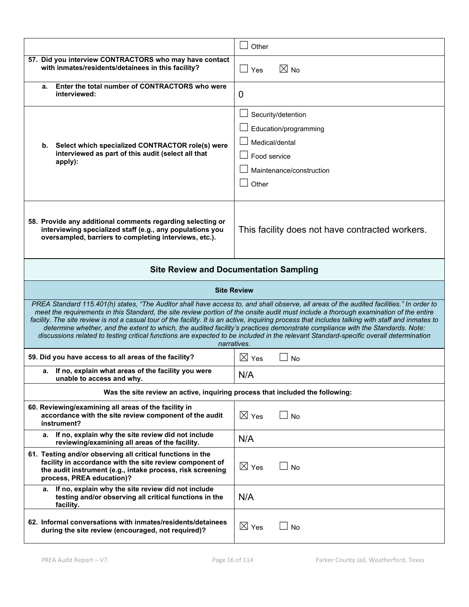|                                                                                                                                                                                                                                                                                                                                                                                                                                                                                                                                                                                                                                                                                                                   | Other                                                                                                              |  |  |  |  |
|-------------------------------------------------------------------------------------------------------------------------------------------------------------------------------------------------------------------------------------------------------------------------------------------------------------------------------------------------------------------------------------------------------------------------------------------------------------------------------------------------------------------------------------------------------------------------------------------------------------------------------------------------------------------------------------------------------------------|--------------------------------------------------------------------------------------------------------------------|--|--|--|--|
| 57. Did you interview CONTRACTORS who may have contact<br>with inmates/residents/detainees in this facility?                                                                                                                                                                                                                                                                                                                                                                                                                                                                                                                                                                                                      | $\boxtimes$ No<br>$\Box$ Yes                                                                                       |  |  |  |  |
| Enter the total number of CONTRACTORS who were<br>а.<br>interviewed:                                                                                                                                                                                                                                                                                                                                                                                                                                                                                                                                                                                                                                              | 0                                                                                                                  |  |  |  |  |
| Select which specialized CONTRACTOR role(s) were<br>b.<br>interviewed as part of this audit (select all that<br>apply):                                                                                                                                                                                                                                                                                                                                                                                                                                                                                                                                                                                           | Security/detention<br>Education/programming<br>Medical/dental<br>Food service<br>Maintenance/construction<br>Other |  |  |  |  |
| 58. Provide any additional comments regarding selecting or<br>interviewing specialized staff (e.g., any populations you<br>oversampled, barriers to completing interviews, etc.).                                                                                                                                                                                                                                                                                                                                                                                                                                                                                                                                 | This facility does not have contracted workers.                                                                    |  |  |  |  |
|                                                                                                                                                                                                                                                                                                                                                                                                                                                                                                                                                                                                                                                                                                                   | <b>Site Review and Documentation Sampling</b>                                                                      |  |  |  |  |
|                                                                                                                                                                                                                                                                                                                                                                                                                                                                                                                                                                                                                                                                                                                   | <b>Site Review</b>                                                                                                 |  |  |  |  |
| PREA Standard 115.401(h) states, "The Auditor shall have access to, and shall observe, all areas of the audited facilities." In order to<br>meet the requirements in this Standard, the site review portion of the onsite audit must include a thorough examination of the entire<br>facility. The site review is not a casual tour of the facility. It is an active, inquiring process that includes talking with staff and inmates to<br>determine whether, and the extent to which, the audited facility's practices demonstrate compliance with the Standards. Note:<br>discussions related to testing critical functions are expected to be included in the relevant Standard-specific overall determination |                                                                                                                    |  |  |  |  |
|                                                                                                                                                                                                                                                                                                                                                                                                                                                                                                                                                                                                                                                                                                                   | narratives.                                                                                                        |  |  |  |  |
| 59. Did you have access to all areas of the facility?                                                                                                                                                                                                                                                                                                                                                                                                                                                                                                                                                                                                                                                             | $\boxtimes$ Yes<br><b>No</b>                                                                                       |  |  |  |  |
| a. If no, explain what areas of the facility you were<br>unable to access and why.                                                                                                                                                                                                                                                                                                                                                                                                                                                                                                                                                                                                                                | N/A                                                                                                                |  |  |  |  |
| Was the site review an active, inquiring process that included the following:                                                                                                                                                                                                                                                                                                                                                                                                                                                                                                                                                                                                                                     |                                                                                                                    |  |  |  |  |
| 60. Reviewing/examining all areas of the facility in<br>accordance with the site review component of the audit<br>instrument?                                                                                                                                                                                                                                                                                                                                                                                                                                                                                                                                                                                     | $\boxtimes$ Yes<br><b>No</b>                                                                                       |  |  |  |  |
| If no, explain why the site review did not include<br>а.<br>reviewing/examining all areas of the facility.                                                                                                                                                                                                                                                                                                                                                                                                                                                                                                                                                                                                        | N/A                                                                                                                |  |  |  |  |
| 61. Testing and/or observing all critical functions in the<br>facility in accordance with the site review component of<br>the audit instrument (e.g., intake process, risk screening<br>process, PREA education)?                                                                                                                                                                                                                                                                                                                                                                                                                                                                                                 | $\boxtimes$ Yes<br><b>No</b>                                                                                       |  |  |  |  |
| If no, explain why the site review did not include<br>а.<br>testing and/or observing all critical functions in the<br>facility.                                                                                                                                                                                                                                                                                                                                                                                                                                                                                                                                                                                   | N/A                                                                                                                |  |  |  |  |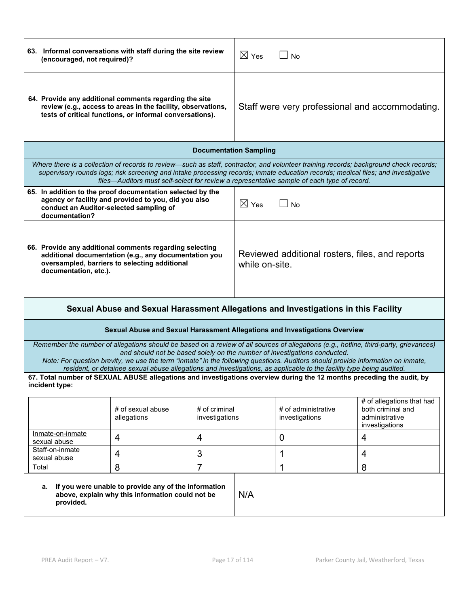|                                                                                                                                                                                            | 63. Informal conversations with staff during the site review<br>(encouraged, not required)?                                                                                                                                                                                                                                                                                                                                                                                   |                                                                   |                 | $\boxtimes$ Yes<br><b>No</b>          |                                                                                                                                       |  |
|--------------------------------------------------------------------------------------------------------------------------------------------------------------------------------------------|-------------------------------------------------------------------------------------------------------------------------------------------------------------------------------------------------------------------------------------------------------------------------------------------------------------------------------------------------------------------------------------------------------------------------------------------------------------------------------|-------------------------------------------------------------------|-----------------|---------------------------------------|---------------------------------------------------------------------------------------------------------------------------------------|--|
| 64. Provide any additional comments regarding the site<br>review (e.g., access to areas in the facility, observations,<br>tests of critical functions, or informal conversations).         |                                                                                                                                                                                                                                                                                                                                                                                                                                                                               | Staff were very professional and accommodating.                   |                 |                                       |                                                                                                                                       |  |
|                                                                                                                                                                                            |                                                                                                                                                                                                                                                                                                                                                                                                                                                                               | <b>Documentation Sampling</b>                                     |                 |                                       |                                                                                                                                       |  |
|                                                                                                                                                                                            | supervisory rounds logs; risk screening and intake processing records; inmate education records; medical files; and investigative<br>files—Auditors must self-select for review a representative sample of each type of record.                                                                                                                                                                                                                                               |                                                                   |                 |                                       | Where there is a collection of records to review—such as staff, contractor, and volunteer training records; background check records; |  |
| 65. In addition to the proof documentation selected by the<br>conduct an Auditor-selected sampling of<br>documentation?                                                                    | agency or facility and provided to you, did you also                                                                                                                                                                                                                                                                                                                                                                                                                          |                                                                   | $\boxtimes$ Yes | <b>No</b>                             |                                                                                                                                       |  |
| 66. Provide any additional comments regarding selecting<br>additional documentation (e.g., any documentation you<br>oversampled, barriers to selecting additional<br>documentation, etc.). |                                                                                                                                                                                                                                                                                                                                                                                                                                                                               | Reviewed additional rosters, files, and reports<br>while on-site. |                 |                                       |                                                                                                                                       |  |
| Sexual Abuse and Sexual Harassment Allegations and Investigations in this Facility                                                                                                         |                                                                                                                                                                                                                                                                                                                                                                                                                                                                               |                                                                   |                 |                                       |                                                                                                                                       |  |
|                                                                                                                                                                                            | Sexual Abuse and Sexual Harassment Allegations and Investigations Overview                                                                                                                                                                                                                                                                                                                                                                                                    |                                                                   |                 |                                       |                                                                                                                                       |  |
|                                                                                                                                                                                            | Remember the number of allegations should be based on a review of all sources of allegations (e.g., hotline, third-party, grievances)<br>and should not be based solely on the number of investigations conducted.<br>Note: For question brevity, we use the term "inmate" in the following questions. Auditors should provide information on inmate,<br>resident, or detainee sexual abuse allegations and investigations, as applicable to the facility type being audited. |                                                                   |                 |                                       |                                                                                                                                       |  |
| incident type:                                                                                                                                                                             | 67. Total number of SEXUAL ABUSE allegations and investigations overview during the 12 months preceding the audit, by                                                                                                                                                                                                                                                                                                                                                         |                                                                   |                 |                                       |                                                                                                                                       |  |
|                                                                                                                                                                                            | # of sexual abuse<br>allegations                                                                                                                                                                                                                                                                                                                                                                                                                                              | # of criminal<br>investigations                                   |                 | # of administrative<br>investigations | # of allegations that had<br>both criminal and<br>administrative<br>investigations                                                    |  |
| Inmate-on-inmate<br>sexual abuse                                                                                                                                                           | $\overline{4}$                                                                                                                                                                                                                                                                                                                                                                                                                                                                | 4                                                                 |                 | $\overline{0}$                        | 4                                                                                                                                     |  |
| Staff-on-inmate<br>sexual abuse                                                                                                                                                            | 4                                                                                                                                                                                                                                                                                                                                                                                                                                                                             | 3                                                                 |                 | 1                                     | 4                                                                                                                                     |  |
| Total                                                                                                                                                                                      | 8                                                                                                                                                                                                                                                                                                                                                                                                                                                                             | 7                                                                 |                 | 1                                     | 8                                                                                                                                     |  |
| а.<br>provided.                                                                                                                                                                            | If you were unable to provide any of the information<br>N/A<br>above, explain why this information could not be                                                                                                                                                                                                                                                                                                                                                               |                                                                   |                 |                                       |                                                                                                                                       |  |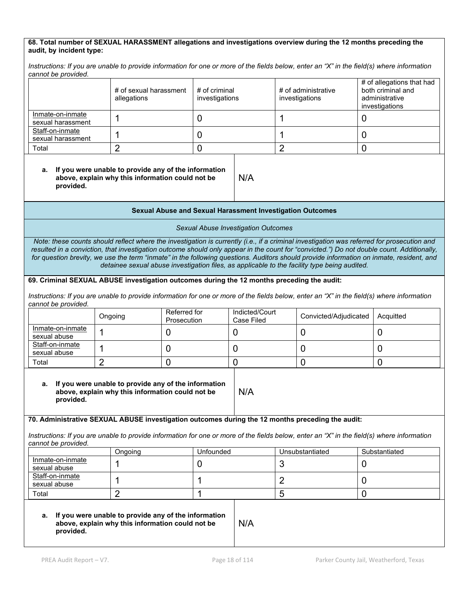#### **68. Total number of SEXUAL HARASSMENT allegations and investigations overview during the 12 months preceding the audit, by incident type:**

*Instructions: If you are unable to provide information for one or more of the fields below, enter an "X" in the field(s) where information cannot be provided.*

|                                       | # of sexual harassment<br>allegations | # of criminal<br>investigations | # of administrative<br>investigations | # of allegations that had<br>both criminal and<br>administrative<br>investigations |
|---------------------------------------|---------------------------------------|---------------------------------|---------------------------------------|------------------------------------------------------------------------------------|
| Inmate-on-inmate<br>sexual harassment |                                       |                                 |                                       |                                                                                    |
| Staff-on-inmate<br>sexual harassment  |                                       |                                 |                                       |                                                                                    |
| Total                                 |                                       |                                 |                                       |                                                                                    |

#### **a. If you were unable to provide any of the information above, explain why this information could not be provided.**

#### **Sexual Abuse and Sexual Harassment Investigation Outcomes**

N/A

#### *Sexual Abuse Investigation Outcomes*

*Note: these counts should reflect where the investigation is currently (i.e., if a criminal investigation was referred for prosecution and resulted in a conviction, that investigation outcome should only appear in the count for "convicted.") Do not double count. Additionally, for question brevity, we use the term "inmate" in the following questions. Auditors should provide information on inmate, resident, and detainee sexual abuse investigation files, as applicable to the facility type being audited.*

#### **69. Criminal SEXUAL ABUSE investigation outcomes during the 12 months preceding the audit:**

*Instructions: If you are unable to provide information for one or more of the fields below, enter an "X" in the field(s) where information cannot be provided.*

|                                  | Ongoing | Referred for<br>Prosecution | Indicted/Court<br>Case Filed | Convicted/Adjudicated | Acquitted |
|----------------------------------|---------|-----------------------------|------------------------------|-----------------------|-----------|
| Inmate-on-inmate<br>sexual abuse |         |                             |                              |                       |           |
| Staff-on-inmate<br>sexual abuse  |         |                             |                              |                       |           |
| Total                            |         |                             |                              |                       |           |

N/A

#### **a. If you were unable to provide any of the information above, explain why this information could not be provided.**

#### **70. Administrative SEXUAL ABUSE investigation outcomes during the 12 months preceding the audit:**

*Instructions: If you are unable to provide information for one or more of the fields below, enter an "X" in the field(s) where information cannot be provided.*

|                                  | Ongoing | Unfounded | Unsubstantiated | Substantiated |
|----------------------------------|---------|-----------|-----------------|---------------|
| Inmate-on-inmate<br>sexual abuse |         |           |                 |               |
| Staff-on-inmate<br>sexual abuse  |         |           |                 |               |
| Total                            |         |           |                 |               |

#### **a. If you were unable to provide any of the information above, explain why this information could not be provided.**

N/A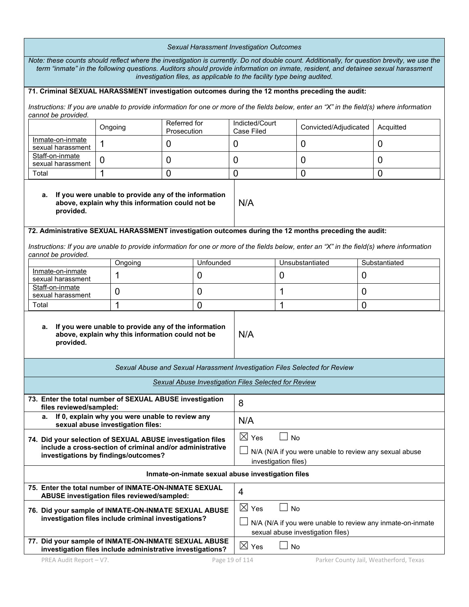| Sexual Harassment Investigation Outcomes                                                                                                                                                                                                                                                                                                                   |                                                                                                          |                                                                                                                                     |                 |                                                      |                     |                                                                            |                                                                                                                                            |
|------------------------------------------------------------------------------------------------------------------------------------------------------------------------------------------------------------------------------------------------------------------------------------------------------------------------------------------------------------|----------------------------------------------------------------------------------------------------------|-------------------------------------------------------------------------------------------------------------------------------------|-----------------|------------------------------------------------------|---------------------|----------------------------------------------------------------------------|--------------------------------------------------------------------------------------------------------------------------------------------|
| Note: these counts should reflect where the investigation is currently. Do not double count. Additionally, for question brevity, we use the<br>term "inmate" in the following questions. Auditors should provide information on inmate, resident, and detainee sexual harassment<br>investigation files, as applicable to the facility type being audited. |                                                                                                          |                                                                                                                                     |                 |                                                      |                     |                                                                            |                                                                                                                                            |
| 71. Criminal SEXUAL HARASSMENT investigation outcomes during the 12 months preceding the audit:                                                                                                                                                                                                                                                            |                                                                                                          |                                                                                                                                     |                 |                                                      |                     |                                                                            |                                                                                                                                            |
| cannot be provided.                                                                                                                                                                                                                                                                                                                                        |                                                                                                          |                                                                                                                                     |                 |                                                      |                     |                                                                            | Instructions: If you are unable to provide information for one or more of the fields below, enter an "X" in the field(s) where information |
|                                                                                                                                                                                                                                                                                                                                                            | Ongoing                                                                                                  | Referred for<br>Prosecution                                                                                                         |                 | Indicted/Court<br>Case Filed                         |                     | Convicted/Adjudicated                                                      | Acquitted                                                                                                                                  |
| Inmate-on-inmate<br>sexual harassment                                                                                                                                                                                                                                                                                                                      | 1                                                                                                        | 0                                                                                                                                   |                 | 0                                                    |                     | $\overline{0}$                                                             | 0                                                                                                                                          |
| Staff-on-inmate<br>sexual harassment                                                                                                                                                                                                                                                                                                                       | 0                                                                                                        | 0                                                                                                                                   |                 | 0                                                    |                     | 0                                                                          | 0                                                                                                                                          |
| Total                                                                                                                                                                                                                                                                                                                                                      | 1                                                                                                        | $\overline{0}$                                                                                                                      |                 | 0                                                    |                     | $\overline{0}$                                                             | $\overline{0}$                                                                                                                             |
| а.<br>provided.                                                                                                                                                                                                                                                                                                                                            | If you were unable to provide any of the information<br>above, explain why this information could not be |                                                                                                                                     |                 | N/A                                                  |                     |                                                                            |                                                                                                                                            |
| 72. Administrative SEXUAL HARASSMENT investigation outcomes during the 12 months preceding the audit:                                                                                                                                                                                                                                                      |                                                                                                          |                                                                                                                                     |                 |                                                      |                     |                                                                            |                                                                                                                                            |
| cannot be provided.                                                                                                                                                                                                                                                                                                                                        |                                                                                                          |                                                                                                                                     |                 |                                                      |                     |                                                                            | Instructions: If you are unable to provide information for one or more of the fields below, enter an "X" in the field(s) where information |
|                                                                                                                                                                                                                                                                                                                                                            | Ongoing                                                                                                  |                                                                                                                                     | Unfounded       |                                                      |                     | Unsubstantiated                                                            | Substantiated                                                                                                                              |
| Inmate-on-inmate<br>sexual harassment                                                                                                                                                                                                                                                                                                                      | 1                                                                                                        |                                                                                                                                     | $\overline{0}$  |                                                      | $\mathbf 0$         |                                                                            | 0                                                                                                                                          |
| Staff-on-inmate<br>sexual harassment                                                                                                                                                                                                                                                                                                                       | 0                                                                                                        |                                                                                                                                     | $\overline{0}$  |                                                      | 1<br>$\overline{0}$ |                                                                            |                                                                                                                                            |
| Total                                                                                                                                                                                                                                                                                                                                                      | 1                                                                                                        | $\overline{0}$                                                                                                                      |                 |                                                      | 1<br>$\Omega$       |                                                                            |                                                                                                                                            |
| a. If you were unable to provide any of the information<br>above, explain why this information could not be<br>provided.                                                                                                                                                                                                                                   |                                                                                                          |                                                                                                                                     | N/A             |                                                      |                     |                                                                            |                                                                                                                                            |
|                                                                                                                                                                                                                                                                                                                                                            |                                                                                                          |                                                                                                                                     |                 |                                                      |                     | Sexual Abuse and Sexual Harassment Investigation Files Selected for Review |                                                                                                                                            |
|                                                                                                                                                                                                                                                                                                                                                            |                                                                                                          |                                                                                                                                     |                 | Sexual Abuse Investigation Files Selected for Review |                     |                                                                            |                                                                                                                                            |
| 73. Enter the total number of SEXUAL ABUSE investigation<br>files reviewed/sampled:                                                                                                                                                                                                                                                                        |                                                                                                          |                                                                                                                                     |                 | 8                                                    |                     |                                                                            |                                                                                                                                            |
| а.                                                                                                                                                                                                                                                                                                                                                         | If 0, explain why you were unable to review any<br>sexual abuse investigation files:                     |                                                                                                                                     |                 | N/A                                                  |                     |                                                                            |                                                                                                                                            |
| 74. Did your selection of SEXUAL ABUSE investigation files<br>include a cross-section of criminal and/or administrative<br>investigations by findings/outcomes?                                                                                                                                                                                            |                                                                                                          | $\boxtimes$ Yes<br>$\overline{\phantom{0}}$<br>No<br>N/A (N/A if you were unable to review any sexual abuse<br>investigation files) |                 |                                                      |                     |                                                                            |                                                                                                                                            |
|                                                                                                                                                                                                                                                                                                                                                            |                                                                                                          |                                                                                                                                     |                 | Inmate-on-inmate sexual abuse investigation files    |                     |                                                                            |                                                                                                                                            |
| 75. Enter the total number of INMATE-ON-INMATE SEXUAL                                                                                                                                                                                                                                                                                                      | ABUSE investigation files reviewed/sampled:                                                              |                                                                                                                                     |                 | 4                                                    |                     |                                                                            |                                                                                                                                            |
| 76. Did your sample of INMATE-ON-INMATE SEXUAL ABUSE                                                                                                                                                                                                                                                                                                       | investigation files include criminal investigations?                                                     |                                                                                                                                     |                 | $\boxtimes$ Yes                                      | $\mathbf{I}$<br>No  | sexual abuse investigation files)                                          | N/A (N/A if you were unable to review any inmate-on-inmate                                                                                 |
| 77. Did your sample of INMATE-ON-INMATE SEXUAL ABUSE<br>investigation files include administrative investigations?                                                                                                                                                                                                                                         |                                                                                                          |                                                                                                                                     | $\boxtimes$ Yes | $\blacksquare$<br>No                                 |                     |                                                                            |                                                                                                                                            |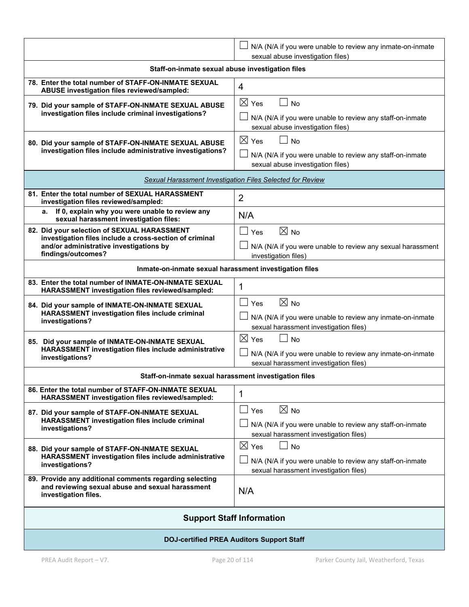|                                                                                                                                                                         | N/A (N/A if you were unable to review any inmate-on-inmate<br>sexual abuse investigation files)                                          |  |  |  |
|-------------------------------------------------------------------------------------------------------------------------------------------------------------------------|------------------------------------------------------------------------------------------------------------------------------------------|--|--|--|
| Staff-on-inmate sexual abuse investigation files                                                                                                                        |                                                                                                                                          |  |  |  |
| 78. Enter the total number of STAFF-ON-INMATE SEXUAL<br>ABUSE investigation files reviewed/sampled:                                                                     | $\overline{4}$                                                                                                                           |  |  |  |
| 79. Did your sample of STAFF-ON-INMATE SEXUAL ABUSE<br>investigation files include criminal investigations?                                                             | $\boxtimes$ Yes<br><b>No</b><br>$\Box$<br>N/A (N/A if you were unable to review any staff-on-inmate<br>sexual abuse investigation files) |  |  |  |
| 80. Did your sample of STAFF-ON-INMATE SEXUAL ABUSE<br>investigation files include administrative investigations?                                                       | $\boxtimes$ Yes<br>$\Box$ No<br>N/A (N/A if you were unable to review any staff-on-inmate<br>sexual abuse investigation files)           |  |  |  |
|                                                                                                                                                                         | Sexual Harassment Investigation Files Selected for Review                                                                                |  |  |  |
| 81. Enter the total number of SEXUAL HARASSMENT<br>investigation files reviewed/sampled:                                                                                | 2                                                                                                                                        |  |  |  |
| If 0, explain why you were unable to review any<br>а.<br>sexual harassment investigation files:                                                                         | N/A                                                                                                                                      |  |  |  |
| 82. Did your selection of SEXUAL HARASSMENT<br>investigation files include a cross-section of criminal<br>and/or administrative investigations by<br>findings/outcomes? | $\boxtimes$ No<br>$\perp$<br>Yes<br>N/A (N/A if you were unable to review any sexual harassment<br>investigation files)                  |  |  |  |
| Inmate-on-inmate sexual harassment investigation files                                                                                                                  |                                                                                                                                          |  |  |  |
| 83. Enter the total number of INMATE-ON-INMATE SEXUAL<br>HARASSMENT investigation files reviewed/sampled:                                                               | 1                                                                                                                                        |  |  |  |
| 84. Did your sample of INMATE-ON-INMATE SEXUAL<br>HARASSMENT investigation files include criminal<br>investigations?                                                    | $\boxtimes$ No<br>$\Box$<br>Yes<br>N/A (N/A if you were unable to review any inmate-on-inmate<br>sexual harassment investigation files)  |  |  |  |
| 85. Did your sample of INMATE-ON-INMATE SEXUAL<br>HARASSMENT investigation files include administrative<br>investigations?                                              | $\boxtimes$ Yes<br><b>No</b><br>N/A (N/A if you were unable to review any inmate-on-inmate<br>sexual harassment investigation files)     |  |  |  |
| Staff-on-inmate sexual harassment investigation files                                                                                                                   |                                                                                                                                          |  |  |  |
| 86. Enter the total number of STAFF-ON-INMATE SEXUAL<br>HARASSMENT investigation files reviewed/sampled:                                                                | 1                                                                                                                                        |  |  |  |
| 87. Did your sample of STAFF-ON-INMATE SEXUAL<br>HARASSMENT investigation files include criminal<br>investigations?                                                     | $\boxtimes$ No<br>$\Box$ Yes<br>N/A (N/A if you were unable to review any staff-on-inmate<br>sexual harassment investigation files)      |  |  |  |
| 88. Did your sample of STAFF-ON-INMATE SEXUAL<br>HARASSMENT investigation files include administrative<br>investigations?                                               | $\boxtimes$ Yes<br><b>No</b><br>N/A (N/A if you were unable to review any staff-on-inmate<br>sexual harassment investigation files)      |  |  |  |
| 89. Provide any additional comments regarding selecting<br>and reviewing sexual abuse and sexual harassment<br>investigation files.                                     | N/A                                                                                                                                      |  |  |  |
| <b>Support Staff Information</b>                                                                                                                                        |                                                                                                                                          |  |  |  |
| <b>DOJ-certified PREA Auditors Support Staff</b>                                                                                                                        |                                                                                                                                          |  |  |  |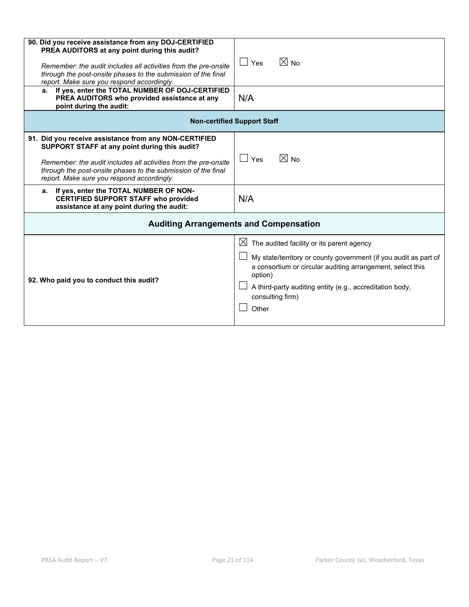| 90. Did you receive assistance from any DOJ-CERTIFIED<br>PREA AUDITORS at any point during this audit?<br>Remember: the audit includes all activities from the pre-onsite<br>through the post-onsite phases to the submission of the final<br>report. Make sure you respond accordingly.<br>a. If yes, enter the TOTAL NUMBER OF DOJ-CERTIFIED<br>PREA AUDITORS who provided assistance at any<br>point during the audit: | $\boxtimes$ No<br>$\Box$ Yes<br>N/A                                                                                                                                                                                                                                                         |  |  |  |  |
|---------------------------------------------------------------------------------------------------------------------------------------------------------------------------------------------------------------------------------------------------------------------------------------------------------------------------------------------------------------------------------------------------------------------------|---------------------------------------------------------------------------------------------------------------------------------------------------------------------------------------------------------------------------------------------------------------------------------------------|--|--|--|--|
|                                                                                                                                                                                                                                                                                                                                                                                                                           | <b>Non-certified Support Staff</b>                                                                                                                                                                                                                                                          |  |  |  |  |
| 91. Did you receive assistance from any NON-CERTIFIED<br>SUPPORT STAFF at any point during this audit?<br>Remember: the audit includes all activities from the pre-onsite<br>through the post-onsite phases to the submission of the final<br>report. Make sure you respond accordingly.                                                                                                                                  | $\boxtimes$ No<br>$\Box$ Yes                                                                                                                                                                                                                                                                |  |  |  |  |
| If yes, enter the TOTAL NUMBER OF NON-<br>а.<br><b>CERTIFIED SUPPORT STAFF who provided</b><br>assistance at any point during the audit:                                                                                                                                                                                                                                                                                  | N/A                                                                                                                                                                                                                                                                                         |  |  |  |  |
| <b>Auditing Arrangements and Compensation</b>                                                                                                                                                                                                                                                                                                                                                                             |                                                                                                                                                                                                                                                                                             |  |  |  |  |
| 92. Who paid you to conduct this audit?                                                                                                                                                                                                                                                                                                                                                                                   | $\boxtimes$ The audited facility or its parent agency<br>My state/territory or county government (if you audit as part of<br>a consortium or circular auditing arrangement, select this<br>option)<br>A third-party auditing entity (e.g., accreditation body,<br>consulting firm)<br>Other |  |  |  |  |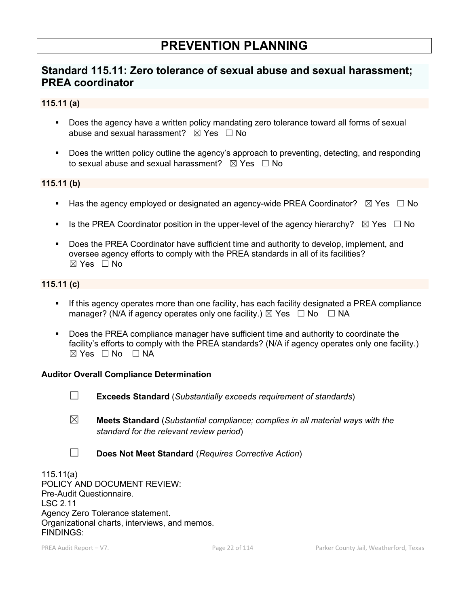# **PREVENTION PLANNING**

# **Standard 115.11: Zero tolerance of sexual abuse and sexual harassment; PREA coordinator**

#### **115.11 (a)**

- Does the agency have a written policy mandating zero tolerance toward all forms of sexual abuse and sexual harassment?  $\boxtimes$  Yes  $\Box$  No
- **Does the written policy outline the agency's approach to preventing, detecting, and responding** to sexual abuse and sexual harassment?  $\boxtimes$  Yes  $\Box$  No

#### **115.11 (b)**

- Has the agency employed or designated an agency-wide PREA Coordinator?  $\boxtimes$  Yes  $\Box$  No
- Is the PREA Coordinator position in the upper-level of the agency hierarchy?  $\boxtimes$  Yes  $\Box$  No
- Does the PREA Coordinator have sufficient time and authority to develop, implement, and oversee agency efforts to comply with the PREA standards in all of its facilities?  $\boxtimes$  Yes  $\Box$  No

#### **115.11 (c)**

- If this agency operates more than one facility, has each facility designated a PREA compliance manager? (N/A if agency operates only one facility.)  $\boxtimes$  Yes  $\Box$  No  $\Box$  NA
- Does the PREA compliance manager have sufficient time and authority to coordinate the facility's efforts to comply with the PREA standards? (N/A if agency operates only one facility.)  $\boxtimes$  Yes  $\Box$  No  $\Box$  NA

#### **Auditor Overall Compliance Determination**

- ☐ **Exceeds Standard** (*Substantially exceeds requirement of standards*)
- ☒ **Meets Standard** (*Substantial compliance; complies in all material ways with the standard for the relevant review period*)
- ☐ **Does Not Meet Standard** (*Requires Corrective Action*)

115.11(a) POLICY AND DOCUMENT REVIEW: Pre-Audit Questionnaire. LSC 2.11 Agency Zero Tolerance statement. Organizational charts, interviews, and memos. FINDINGS: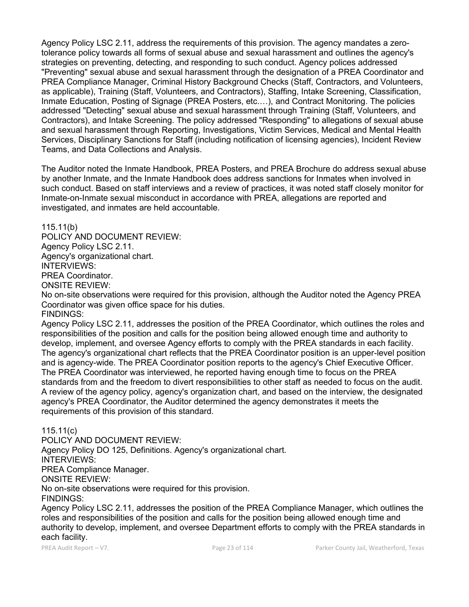Agency Policy LSC 2.11, address the requirements of this provision. The agency mandates a zerotolerance policy towards all forms of sexual abuse and sexual harassment and outlines the agency's strategies on preventing, detecting, and responding to such conduct. Agency polices addressed "Preventing" sexual abuse and sexual harassment through the designation of a PREA Coordinator and PREA Compliance Manager, Criminal History Background Checks (Staff, Contractors, and Volunteers, as applicable), Training (Staff, Volunteers, and Contractors), Staffing, Intake Screening, Classification, Inmate Education, Posting of Signage (PREA Posters, etc.…), and Contract Monitoring. The policies addressed "Detecting" sexual abuse and sexual harassment through Training (Staff, Volunteers, and Contractors), and Intake Screening. The policy addressed "Responding" to allegations of sexual abuse and sexual harassment through Reporting, Investigations, Victim Services, Medical and Mental Health Services, Disciplinary Sanctions for Staff (including notification of licensing agencies), Incident Review Teams, and Data Collections and Analysis.

The Auditor noted the Inmate Handbook, PREA Posters, and PREA Brochure do address sexual abuse by another Inmate, and the Inmate Handbook does address sanctions for Inmates when involved in such conduct. Based on staff interviews and a review of practices, it was noted staff closely monitor for Inmate-on-Inmate sexual misconduct in accordance with PREA, allegations are reported and investigated, and inmates are held accountable.

115.11(b)

POLICY AND DOCUMENT REVIEW: Agency Policy LSC 2.11. Agency's organizational chart. INTERVIEWS: PREA Coordinator. ONSITE REVIEW:

No on-site observations were required for this provision, although the Auditor noted the Agency PREA Coordinator was given office space for his duties.

FINDINGS:

Agency Policy LSC 2.11, addresses the position of the PREA Coordinator, which outlines the roles and responsibilities of the position and calls for the position being allowed enough time and authority to develop, implement, and oversee Agency efforts to comply with the PREA standards in each facility. The agency's organizational chart reflects that the PREA Coordinator position is an upper-level position and is agency-wide. The PREA Coordinator position reports to the agency's Chief Executive Officer. The PREA Coordinator was interviewed, he reported having enough time to focus on the PREA standards from and the freedom to divert responsibilities to other staff as needed to focus on the audit. A review of the agency policy, agency's organization chart, and based on the interview, the designated agency's PREA Coordinator, the Auditor determined the agency demonstrates it meets the requirements of this provision of this standard.

115.11(c)

POLICY AND DOCUMENT REVIEW: Agency Policy DO 125, Definitions. Agency's organizational chart. INTERVIEWS: PREA Compliance Manager. ONSITE REVIEW: No on-site observations were required for this provision. FINDINGS:

Agency Policy LSC 2.11, addresses the position of the PREA Compliance Manager, which outlines the roles and responsibilities of the position and calls for the position being allowed enough time and authority to develop, implement, and oversee Department efforts to comply with the PREA standards in each facility.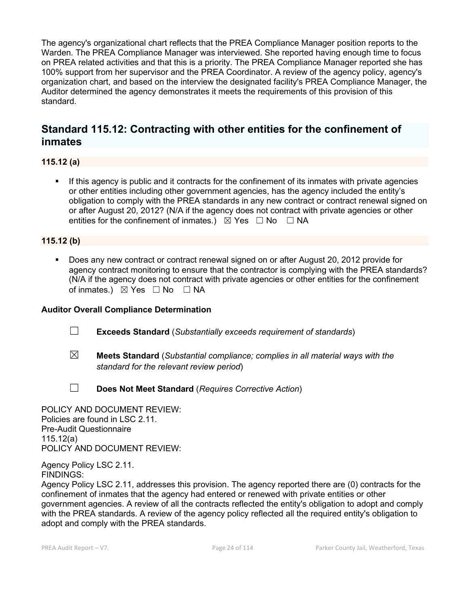The agency's organizational chart reflects that the PREA Compliance Manager position reports to the Warden. The PREA Compliance Manager was interviewed. She reported having enough time to focus on PREA related activities and that this is a priority. The PREA Compliance Manager reported she has 100% support from her supervisor and the PREA Coordinator. A review of the agency policy, agency's organization chart, and based on the interview the designated facility's PREA Compliance Manager, the Auditor determined the agency demonstrates it meets the requirements of this provision of this standard.

# **Standard 115.12: Contracting with other entities for the confinement of inmates**

**115.12 (a)**

 If this agency is public and it contracts for the confinement of its inmates with private agencies or other entities including other government agencies, has the agency included the entity's obligation to comply with the PREA standards in any new contract or contract renewal signed on or after August 20, 2012? (N/A if the agency does not contract with private agencies or other entities for the confinement of inmates.)  $\boxtimes$  Yes  $\Box$  No  $\Box$  NA

### **115.12 (b)**

 Does any new contract or contract renewal signed on or after August 20, 2012 provide for agency contract monitoring to ensure that the contractor is complying with the PREA standards? (N/A if the agency does not contract with private agencies or other entities for the confinement of inmates.)  $\boxtimes$  Yes  $\Box$  No  $\Box$  NA

### **Auditor Overall Compliance Determination**

- ☐ **Exceeds Standard** (*Substantially exceeds requirement of standards*)
- ☒ **Meets Standard** (*Substantial compliance; complies in all material ways with the standard for the relevant review period*)
- ☐ **Does Not Meet Standard** (*Requires Corrective Action*)

POLICY AND DOCUMENT REVIEW: Policies are found in LSC 2.11. Pre-Audit Questionnaire 115.12(a) POLICY AND DOCUMENT REVIEW:

Agency Policy LSC 2.11. FINDINGS:

Agency Policy LSC 2.11, addresses this provision. The agency reported there are (0) contracts for the confinement of inmates that the agency had entered or renewed with private entities or other government agencies. A review of all the contracts reflected the entity's obligation to adopt and comply with the PREA standards. A review of the agency policy reflected all the required entity's obligation to adopt and comply with the PREA standards.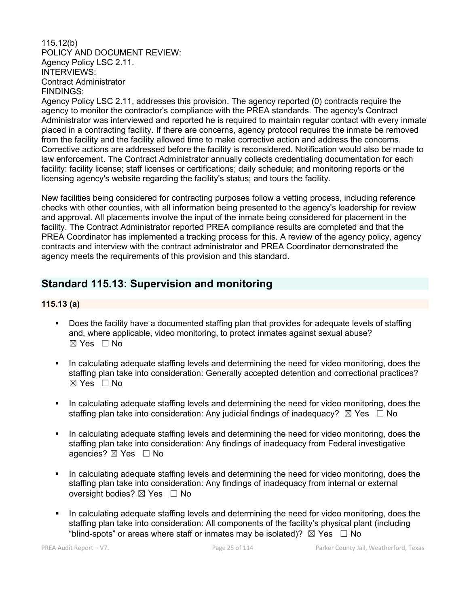#### 115.12(b) POLICY AND DOCUMENT REVIEW: Agency Policy LSC 2.11. INTERVIEWS: Contract Administrator FINDINGS:

Agency Policy LSC 2.11, addresses this provision. The agency reported (0) contracts require the agency to monitor the contractor's compliance with the PREA standards. The agency's Contract Administrator was interviewed and reported he is required to maintain regular contact with every inmate placed in a contracting facility. If there are concerns, agency protocol requires the inmate be removed from the facility and the facility allowed time to make corrective action and address the concerns. Corrective actions are addressed before the facility is reconsidered. Notification would also be made to law enforcement. The Contract Administrator annually collects credentialing documentation for each facility: facility license; staff licenses or certifications; daily schedule; and monitoring reports or the licensing agency's website regarding the facility's status; and tours the facility.

New facilities being considered for contracting purposes follow a vetting process, including reference checks with other counties, with all information being presented to the agency's leadership for review and approval. All placements involve the input of the inmate being considered for placement in the facility. The Contract Administrator reported PREA compliance results are completed and that the PREA Coordinator has implemented a tracking process for this. A review of the agency policy, agency contracts and interview with the contract administrator and PREA Coordinator demonstrated the agency meets the requirements of this provision and this standard.

# **Standard 115.13: Supervision and monitoring**

#### **115.13 (a)**

- Does the facility have a documented staffing plan that provides for adequate levels of staffing and, where applicable, video monitoring, to protect inmates against sexual abuse?  $\boxtimes$  Yes  $\Box$  No
- In calculating adequate staffing levels and determining the need for video monitoring, does the staffing plan take into consideration: Generally accepted detention and correctional practices?  $\boxtimes$  Yes  $\Box$  No
- In calculating adequate staffing levels and determining the need for video monitoring, does the staffing plan take into consideration: Any judicial findings of inadequacy?  $\boxtimes$  Yes  $\Box$  No
- In calculating adequate staffing levels and determining the need for video monitoring, does the staffing plan take into consideration: Any findings of inadequacy from Federal investigative agencies?  $\boxtimes$  Yes  $\Box$  No
- In calculating adequate staffing levels and determining the need for video monitoring, does the staffing plan take into consideration: Any findings of inadequacy from internal or external oversight bodies? ⊠ Yes □ No
- In calculating adequate staffing levels and determining the need for video monitoring, does the staffing plan take into consideration: All components of the facility's physical plant (including "blind-spots" or areas where staff or inmates may be isolated)?  $\boxtimes$  Yes  $\Box$  No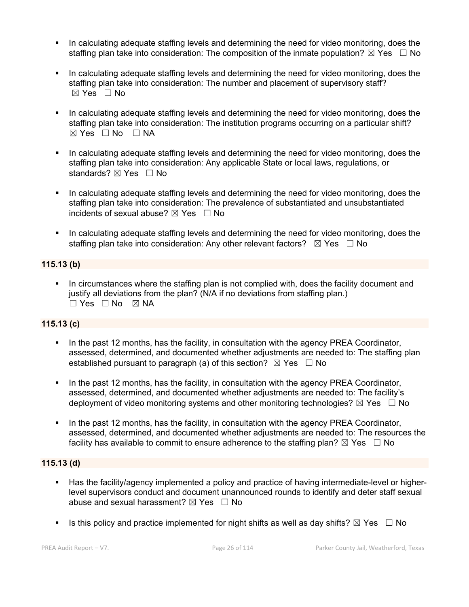- In calculating adequate staffing levels and determining the need for video monitoring, does the staffing plan take into consideration: The composition of the inmate population?  $\boxtimes$  Yes  $\Box$  No
- In calculating adequate staffing levels and determining the need for video monitoring, does the staffing plan take into consideration: The number and placement of supervisory staff? ☒ Yes ☐ No
- In calculating adequate staffing levels and determining the need for video monitoring, does the staffing plan take into consideration: The institution programs occurring on a particular shift?  $\boxtimes$  Yes  $\Box$  No  $\Box$  NA
- In calculating adequate staffing levels and determining the need for video monitoring, does the staffing plan take into consideration: Any applicable State or local laws, regulations, or standards? ⊠ Yes □ No
- In calculating adequate staffing levels and determining the need for video monitoring, does the staffing plan take into consideration: The prevalence of substantiated and unsubstantiated incidents of sexual abuse?  $\boxtimes$  Yes  $\Box$  No
- In calculating adequate staffing levels and determining the need for video monitoring, does the staffing plan take into consideration: Any other relevant factors?  $\boxtimes$  Yes  $\Box$  No

### **115.13 (b)**

 In circumstances where the staffing plan is not complied with, does the facility document and justify all deviations from the plan? (N/A if no deviations from staffing plan.) ☐ Yes ☐ No ☒ NA

#### **115.13 (c)**

- In the past 12 months, has the facility, in consultation with the agency PREA Coordinator, assessed, determined, and documented whether adjustments are needed to: The staffing plan established pursuant to paragraph (a) of this section?  $\boxtimes$  Yes  $\Box$  No
- In the past 12 months, has the facility, in consultation with the agency PREA Coordinator, assessed, determined, and documented whether adjustments are needed to: The facility's deployment of video monitoring systems and other monitoring technologies?  $\boxtimes$  Yes  $\Box$  No
- In the past 12 months, has the facility, in consultation with the agency PREA Coordinator, assessed, determined, and documented whether adjustments are needed to: The resources the facility has available to commit to ensure adherence to the staffing plan?  $\boxtimes$  Yes  $\Box$  No

#### **115.13 (d)**

- Has the facility/agency implemented a policy and practice of having intermediate-level or higherlevel supervisors conduct and document unannounced rounds to identify and deter staff sexual abuse and sexual harassment?  $\boxtimes$  Yes  $\Box$  No
- Is this policy and practice implemented for night shifts as well as day shifts?  $\boxtimes$  Yes  $\Box$  No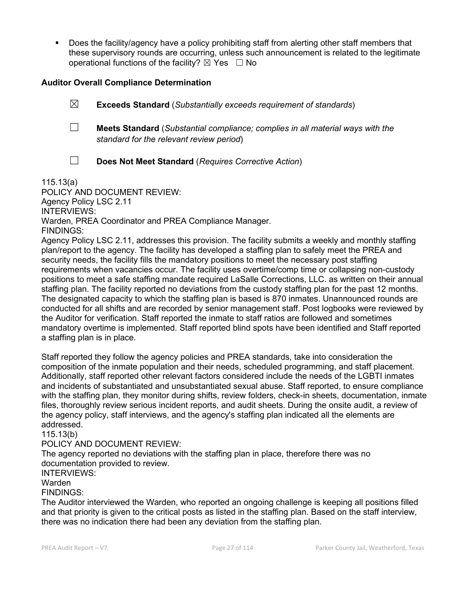Does the facility/agency have a policy prohibiting staff from alerting other staff members that these supervisory rounds are occurring, unless such announcement is related to the legitimate operational functions of the facility?  $\boxtimes$  Yes  $\Box$  No

#### **Auditor Overall Compliance Determination**

- ☒ **Exceeds Standard** (*Substantially exceeds requirement of standards*)
- ☐ **Meets Standard** (*Substantial compliance; complies in all material ways with the standard for the relevant review period*)
- 
- ☐ **Does Not Meet Standard** (*Requires Corrective Action*)

115.13(a)

POLICY AND DOCUMENT REVIEW: Agency Policy LSC 2.11 INTERVIEWS: Warden, PREA Coordinator and PREA Compliance Manager. FINDINGS:

Agency Policy LSC 2.11, addresses this provision. The facility submits a weekly and monthly staffing plan/report to the agency. The facility has developed a staffing plan to safely meet the PREA and security needs, the facility fills the mandatory positions to meet the necessary post staffing requirements when vacancies occur. The facility uses overtime/comp time or collapsing non-custody positions to meet a safe staffing mandate required LaSalle Corrections, LLC. as written on their annual staffing plan. The facility reported no deviations from the custody staffing plan for the past 12 months. The designated capacity to which the staffing plan is based is 870 inmates. Unannounced rounds are conducted for all shifts and are recorded by senior management staff. Post logbooks were reviewed by the Auditor for verification. Staff reported the inmate to staff ratios are followed and sometimes mandatory overtime is implemented. Staff reported blind spots have been identified and Staff reported a staffing plan is in place.

Staff reported they follow the agency policies and PREA standards, take into consideration the composition of the inmate population and their needs, scheduled programming, and staff placement. Additionally, staff reported other relevant factors considered include the needs of the LGBTI inmates and incidents of substantiated and unsubstantiated sexual abuse. Staff reported, to ensure compliance with the staffing plan, they monitor during shifts, review folders, check-in sheets, documentation, inmate files, thoroughly review serious incident reports, and audit sheets. During the onsite audit, a review of the agency policy, staff interviews, and the agency's staffing plan indicated all the elements are addressed.

115.13(b)

### POLICY AND DOCUMENT REVIEW:

The agency reported no deviations with the staffing plan in place, therefore there was no documentation provided to review.

#### INTERVIEWS:

#### Warden

FINDINGS:

The Auditor interviewed the Warden, who reported an ongoing challenge is keeping all positions filled and that priority is given to the critical posts as listed in the staffing plan. Based on the staff interview, there was no indication there had been any deviation from the staffing plan.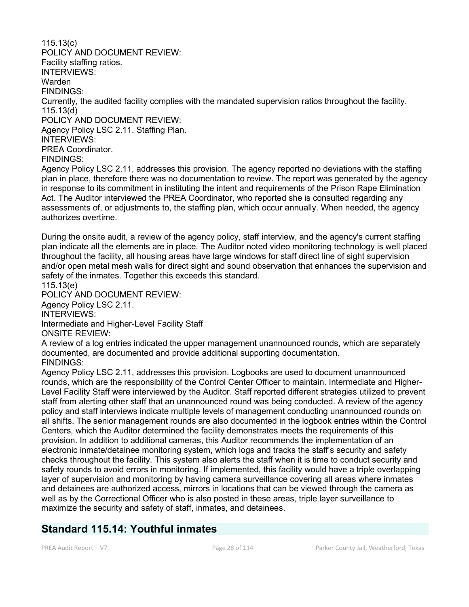115.13(c) POLICY AND DOCUMENT REVIEW: Facility staffing ratios. INTERVIEWS: Warden FINDINGS: Currently, the audited facility complies with the mandated supervision ratios throughout the facility. 115.13(d) POLICY AND DOCUMENT REVIEW: Agency Policy LSC 2.11. Staffing Plan. INTERVIEWS: PREA Coordinator. FINDINGS: Agency Policy LSC 2.11, addresses this provision. The agency reported no deviations with the staffing plan in place, therefore there was no documentation to review. The report was generated by the agency in response to its commitment in instituting the intent and requirements of the Prison Rape Elimination Act. The Auditor interviewed the PREA Coordinator, who reported she is consulted regarding any assessments of, or adjustments to, the staffing plan, which occur annually. When needed, the agency authorizes overtime. During the onsite audit, a review of the agency policy, staff interview, and the agency's current staffing plan indicate all the elements are in place. The Auditor noted video monitoring technology is well placed throughout the facility, all housing areas have large windows for staff direct line of sight supervision and/or open metal mesh walls for direct sight and sound observation that enhances the supervision and safety of the inmates. Together this exceeds this standard. 115.13(e) POLICY AND DOCUMENT REVIEW: Agency Policy LSC 2.11. INTERVIEWS: Intermediate and Higher-Level Facility Staff ONSITE REVIEW: A review of a log entries indicated the upper management unannounced rounds, which are separately documented, are documented and provide additional supporting documentation. FINDINGS: Agency Policy LSC 2.11, addresses this provision. Logbooks are used to document unannounced rounds, which are the responsibility of the Control Center Officer to maintain. Intermediate and Higher-Level Facility Staff were interviewed by the Auditor. Staff reported different strategies utilized to prevent staff from alerting other staff that an unannounced round was being conducted. A review of the agency policy and staff interviews indicate multiple levels of management conducting unannounced rounds on all shifts. The senior management rounds are also documented in the logbook entries within the Control Centers, which the Auditor determined the facility demonstrates meets the requirements of this provision. In addition to additional cameras, this Auditor recommends the implementation of an

electronic inmate/detainee monitoring system, which logs and tracks the staff's security and safety checks throughout the facility. This system also alerts the staff when it is time to conduct security and safety rounds to avoid errors in monitoring. If implemented, this facility would have a triple overlapping layer of supervision and monitoring by having camera surveillance covering all areas where inmates and detainees are authorized access, mirrors in locations that can be viewed through the camera as well as by the Correctional Officer who is also posted in these areas, triple layer surveillance to maximize the security and safety of staff, inmates, and detainees.

## **Standard 115.14: Youthful inmates**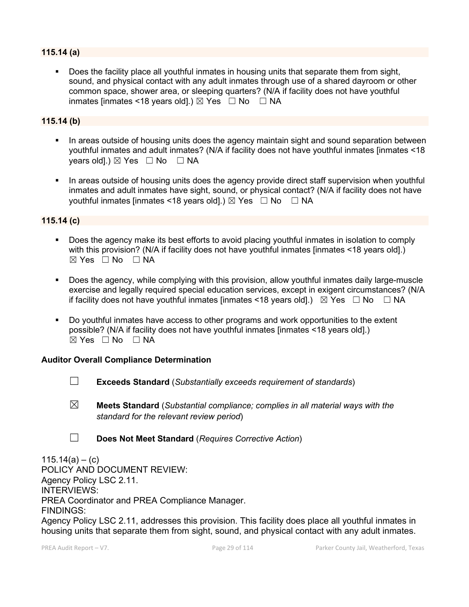#### **115.14 (a)**

 Does the facility place all youthful inmates in housing units that separate them from sight, sound, and physical contact with any adult inmates through use of a shared dayroom or other common space, shower area, or sleeping quarters? (N/A if facility does not have youthful inmates [inmates <18 years old].)  $\boxtimes$  Yes  $\Box$  No  $\Box$  NA

#### **115.14 (b)**

- In areas outside of housing units does the agency maintain sight and sound separation between youthful inmates and adult inmates? (N/A if facility does not have youthful inmates [inmates <18 years old].)  $\boxtimes$  Yes  $\Box$  No  $\Box$  NA
- In areas outside of housing units does the agency provide direct staff supervision when youthful inmates and adult inmates have sight, sound, or physical contact? (N/A if facility does not have youthful inmates [inmates <18 years old].)  $\boxtimes$  Yes  $\Box$  No  $\Box$  NA

#### **115.14 (c)**

- Does the agency make its best efforts to avoid placing youthful inmates in isolation to comply with this provision? (N/A if facility does not have youthful inmates [inmates <18 years old].)  $⊠ Yes ⊡ No ⊡ NA$
- Does the agency, while complying with this provision, allow youthful inmates daily large-muscle exercise and legally required special education services, except in exigent circumstances? (N/A if facility does not have youthful inmates [inmates <18 years old].)  $\boxtimes$  Yes  $\Box$  No  $\Box$  NA
- Do youthful inmates have access to other programs and work opportunities to the extent possible? (N/A if facility does not have youthful inmates [inmates <18 years old].)  $\boxtimes$  Yes  $\Box$  No  $\Box$  NA

#### **Auditor Overall Compliance Determination**

- ☐ **Exceeds Standard** (*Substantially exceeds requirement of standards*)
- ☒ **Meets Standard** (*Substantial compliance; complies in all material ways with the standard for the relevant review period*)
- ☐ **Does Not Meet Standard** (*Requires Corrective Action*)

 $115.14(a) - (c)$ POLICY AND DOCUMENT REVIEW: Agency Policy LSC 2.11. INTERVIEWS: PREA Coordinator and PREA Compliance Manager. FINDINGS:

Agency Policy LSC 2.11, addresses this provision. This facility does place all youthful inmates in housing units that separate them from sight, sound, and physical contact with any adult inmates.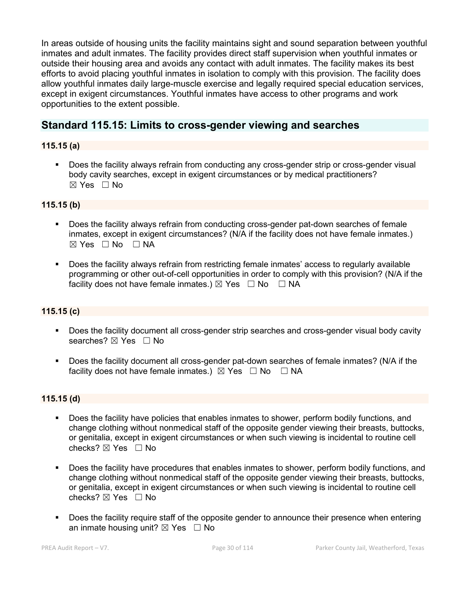In areas outside of housing units the facility maintains sight and sound separation between youthful inmates and adult inmates. The facility provides direct staff supervision when youthful inmates or outside their housing area and avoids any contact with adult inmates. The facility makes its best efforts to avoid placing youthful inmates in isolation to comply with this provision. The facility does allow youthful inmates daily large-muscle exercise and legally required special education services, except in exigent circumstances. Youthful inmates have access to other programs and work opportunities to the extent possible.

## **Standard 115.15: Limits to cross-gender viewing and searches**

### **115.15 (a)**

 Does the facility always refrain from conducting any cross-gender strip or cross-gender visual body cavity searches, except in exigent circumstances or by medical practitioners? ☒ Yes ☐ No

#### **115.15 (b)**

- Does the facility always refrain from conducting cross-gender pat-down searches of female inmates, except in exigent circumstances? (N/A if the facility does not have female inmates.)  $⊠ Yes □ No □ NA$
- Does the facility always refrain from restricting female inmates' access to regularly available programming or other out-of-cell opportunities in order to comply with this provision? (N/A if the facility does not have female inmates.)  $\boxtimes$  Yes  $\Box$  No  $\Box$  NA

### **115.15 (c)**

- Does the facility document all cross-gender strip searches and cross-gender visual body cavity searches? ⊠ Yes □ No
- Does the facility document all cross-gender pat-down searches of female inmates? (N/A if the facility does not have female inmates.)  $\boxtimes$  Yes  $\Box$  No  $\Box$  NA

#### **115.15 (d)**

- Does the facility have policies that enables inmates to shower, perform bodily functions, and change clothing without nonmedical staff of the opposite gender viewing their breasts, buttocks, or genitalia, except in exigent circumstances or when such viewing is incidental to routine cell checks?  $\boxtimes$  Yes  $\Box$  No
- Does the facility have procedures that enables inmates to shower, perform bodily functions, and change clothing without nonmedical staff of the opposite gender viewing their breasts, buttocks, or genitalia, except in exigent circumstances or when such viewing is incidental to routine cell checks? ☒ Yes ☐ No
- Does the facility require staff of the opposite gender to announce their presence when entering an inmate housing unit?  $\boxtimes$  Yes  $\Box$  No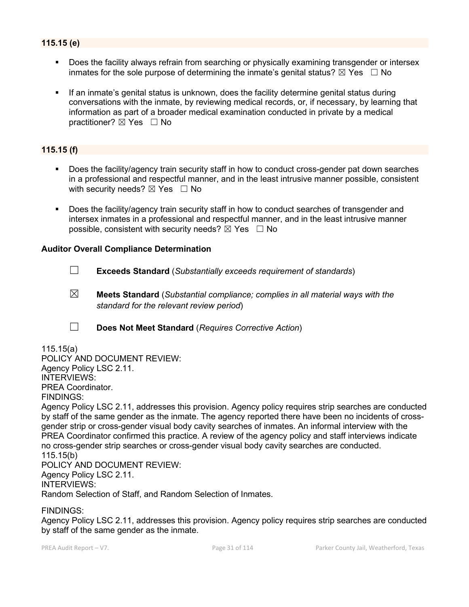### **115.15 (e)**

- Does the facility always refrain from searching or physically examining transgender or intersex inmates for the sole purpose of determining the inmate's genital status?  $\boxtimes$  Yes  $\Box$  No
- If an inmate's genital status is unknown, does the facility determine genital status during conversations with the inmate, by reviewing medical records, or, if necessary, by learning that information as part of a broader medical examination conducted in private by a medical practitioner? ⊠ Yes □ No

#### **115.15 (f)**

- Does the facility/agency train security staff in how to conduct cross-gender pat down searches in a professional and respectful manner, and in the least intrusive manner possible, consistent with security needs?  $\boxtimes$  Yes  $\Box$  No
- Does the facility/agency train security staff in how to conduct searches of transgender and intersex inmates in a professional and respectful manner, and in the least intrusive manner possible, consistent with security needs?  $\boxtimes$  Yes  $\Box$  No

#### **Auditor Overall Compliance Determination**

- ☐ **Exceeds Standard** (*Substantially exceeds requirement of standards*)
- ☒ **Meets Standard** (*Substantial compliance; complies in all material ways with the standard for the relevant review period*)
- ☐ **Does Not Meet Standard** (*Requires Corrective Action*)

#### 115.15(a) POLICY AND DOCUMENT REVIEW: Agency Policy LSC 2.11. INTERVIEWS: PREA Coordinator. FINDINGS:

Agency Policy LSC 2.11, addresses this provision. Agency policy requires strip searches are conducted by staff of the same gender as the inmate. The agency reported there have been no incidents of crossgender strip or cross-gender visual body cavity searches of inmates. An informal interview with the PREA Coordinator confirmed this practice. A review of the agency policy and staff interviews indicate no cross-gender strip searches or cross-gender visual body cavity searches are conducted. 115.15(b)

POLICY AND DOCUMENT REVIEW: Agency Policy LSC 2.11. INTERVIEWS: Random Selection of Staff, and Random Selection of Inmates.

FINDINGS:

Agency Policy LSC 2.11, addresses this provision. Agency policy requires strip searches are conducted by staff of the same gender as the inmate.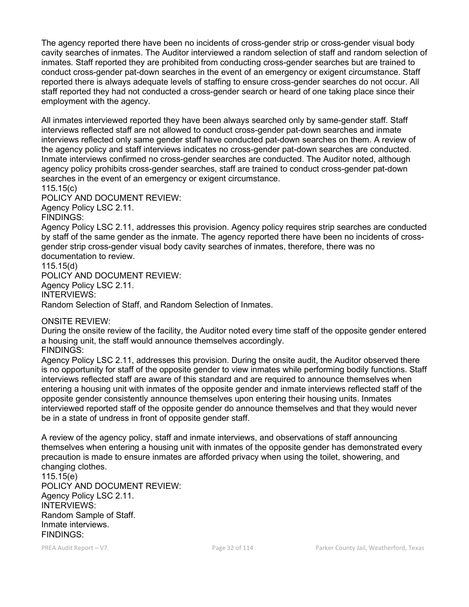The agency reported there have been no incidents of cross-gender strip or cross-gender visual body cavity searches of inmates. The Auditor interviewed a random selection of staff and random selection of inmates. Staff reported they are prohibited from conducting cross-gender searches but are trained to conduct cross-gender pat-down searches in the event of an emergency or exigent circumstance. Staff reported there is always adequate levels of staffing to ensure cross-gender searches do not occur. All staff reported they had not conducted a cross-gender search or heard of one taking place since their employment with the agency.

All inmates interviewed reported they have been always searched only by same-gender staff. Staff interviews reflected staff are not allowed to conduct cross-gender pat-down searches and inmate interviews reflected only same gender staff have conducted pat-down searches on them. A review of the agency policy and staff interviews indicates no cross-gender pat-down searches are conducted. Inmate interviews confirmed no cross-gender searches are conducted. The Auditor noted, although agency policy prohibits cross-gender searches, staff are trained to conduct cross-gender pat-down searches in the event of an emergency or exigent circumstance.

115.15(c)

POLICY AND DOCUMENT REVIEW:

Agency Policy LSC 2.11.

FINDINGS:

Agency Policy LSC 2.11, addresses this provision. Agency policy requires strip searches are conducted by staff of the same gender as the inmate. The agency reported there have been no incidents of crossgender strip cross-gender visual body cavity searches of inmates, therefore, there was no documentation to review.

115.15(d)

POLICY AND DOCUMENT REVIEW: Agency Policy LSC 2.11. INTERVIEWS: Random Selection of Staff, and Random Selection of Inmates.

ONSITE REVIEW:

During the onsite review of the facility, the Auditor noted every time staff of the opposite gender entered a housing unit, the staff would announce themselves accordingly. FINDINGS:

Agency Policy LSC 2.11, addresses this provision. During the onsite audit, the Auditor observed there is no opportunity for staff of the opposite gender to view inmates while performing bodily functions. Staff interviews reflected staff are aware of this standard and are required to announce themselves when entering a housing unit with inmates of the opposite gender and inmate interviews reflected staff of the opposite gender consistently announce themselves upon entering their housing units. Inmates interviewed reported staff of the opposite gender do announce themselves and that they would never be in a state of undress in front of opposite gender staff.

A review of the agency policy, staff and inmate interviews, and observations of staff announcing themselves when entering a housing unit with inmates of the opposite gender has demonstrated every precaution is made to ensure inmates are afforded privacy when using the toilet, showering, and changing clothes.

115.15(e) POLICY AND DOCUMENT REVIEW: Agency Policy LSC 2.11. INTERVIEWS: Random Sample of Staff. Inmate interviews. FINDINGS: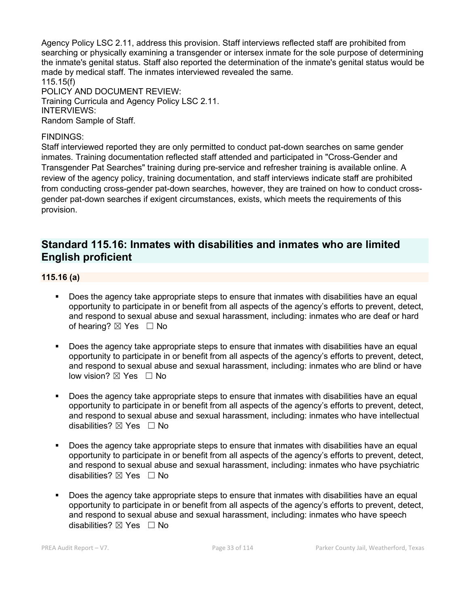Agency Policy LSC 2.11, address this provision. Staff interviews reflected staff are prohibited from searching or physically examining a transgender or intersex inmate for the sole purpose of determining the inmate's genital status. Staff also reported the determination of the inmate's genital status would be made by medical staff. The inmates interviewed revealed the same. 115.15(f) POLICY AND DOCUMENT REVIEW: Training Curricula and Agency Policy LSC 2.11. INTERVIEWS:

Random Sample of Staff.

#### FINDINGS:

Staff interviewed reported they are only permitted to conduct pat-down searches on same gender inmates. Training documentation reflected staff attended and participated in "Cross-Gender and Transgender Pat Searches" training during pre-service and refresher training is available online. A review of the agency policy, training documentation, and staff interviews indicate staff are prohibited from conducting cross-gender pat-down searches, however, they are trained on how to conduct crossgender pat-down searches if exigent circumstances, exists, which meets the requirements of this provision.

### **Standard 115.16: Inmates with disabilities and inmates who are limited English proficient**

#### **115.16 (a)**

- Does the agency take appropriate steps to ensure that inmates with disabilities have an equal opportunity to participate in or benefit from all aspects of the agency's efforts to prevent, detect, and respond to sexual abuse and sexual harassment, including: inmates who are deaf or hard of hearing?  $\boxtimes$  Yes  $\Box$  No
- Does the agency take appropriate steps to ensure that inmates with disabilities have an equal opportunity to participate in or benefit from all aspects of the agency's efforts to prevent, detect, and respond to sexual abuse and sexual harassment, including: inmates who are blind or have low vision? ⊠ Yes □ No
- Does the agency take appropriate steps to ensure that inmates with disabilities have an equal opportunity to participate in or benefit from all aspects of the agency's efforts to prevent, detect, and respond to sexual abuse and sexual harassment, including: inmates who have intellectual disabilities? ⊠ Yes □ No
- **Does the agency take appropriate steps to ensure that inmates with disabilities have an equal** opportunity to participate in or benefit from all aspects of the agency's efforts to prevent, detect, and respond to sexual abuse and sexual harassment, including: inmates who have psychiatric disabilities?  $\boxtimes$  Yes  $\Box$  No
- Does the agency take appropriate steps to ensure that inmates with disabilities have an equal opportunity to participate in or benefit from all aspects of the agency's efforts to prevent, detect, and respond to sexual abuse and sexual harassment, including: inmates who have speech disabilities?  $\boxtimes$  Yes  $\Box$  No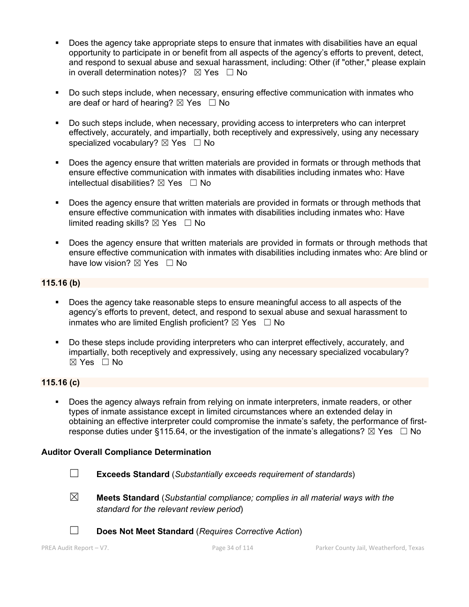- Does the agency take appropriate steps to ensure that inmates with disabilities have an equal opportunity to participate in or benefit from all aspects of the agency's efforts to prevent, detect, and respond to sexual abuse and sexual harassment, including: Other (if "other," please explain in overall determination notes)?  $\boxtimes$  Yes  $\Box$  No
- Do such steps include, when necessary, ensuring effective communication with inmates who are deaf or hard of hearing?  $\boxtimes$  Yes  $\Box$  No
- Do such steps include, when necessary, providing access to interpreters who can interpret effectively, accurately, and impartially, both receptively and expressively, using any necessary specialized vocabulary? ⊠ Yes □ No
- **Does the agency ensure that written materials are provided in formats or through methods that** ensure effective communication with inmates with disabilities including inmates who: Have intellectual disabilities?  $\boxtimes$  Yes  $\Box$  No
- Does the agency ensure that written materials are provided in formats or through methods that ensure effective communication with inmates with disabilities including inmates who: Have limited reading skills?  $\boxtimes$  Yes  $\Box$  No
- Does the agency ensure that written materials are provided in formats or through methods that ensure effective communication with inmates with disabilities including inmates who: Are blind or have low vision?  $\boxtimes$  Yes  $\Box$  No

#### **115.16 (b)**

- Does the agency take reasonable steps to ensure meaningful access to all aspects of the agency's efforts to prevent, detect, and respond to sexual abuse and sexual harassment to inmates who are limited English proficient?  $\boxtimes$  Yes  $\Box$  No
- Do these steps include providing interpreters who can interpret effectively, accurately, and impartially, both receptively and expressively, using any necessary specialized vocabulary? ☒ Yes ☐ No

#### **115.16 (c)**

 Does the agency always refrain from relying on inmate interpreters, inmate readers, or other types of inmate assistance except in limited circumstances where an extended delay in obtaining an effective interpreter could compromise the inmate's safety, the performance of firstresponse duties under §115.64, or the investigation of the inmate's allegations?  $\boxtimes$  Yes  $\Box$  No

#### **Auditor Overall Compliance Determination**

- ☐ **Exceeds Standard** (*Substantially exceeds requirement of standards*)
- 
- ☒ **Meets Standard** (*Substantial compliance; complies in all material ways with the standard for the relevant review period*)



☐ **Does Not Meet Standard** (*Requires Corrective Action*)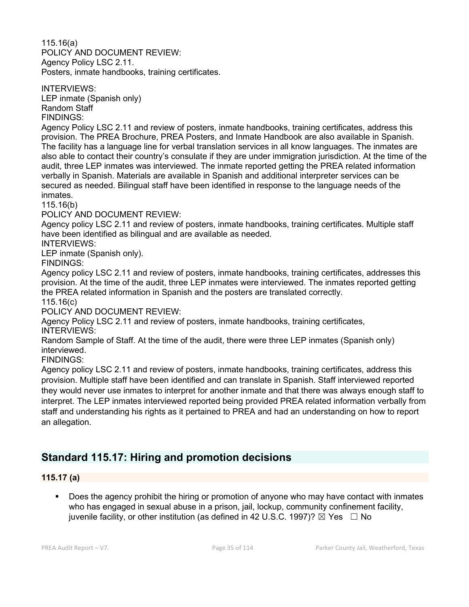115.16(a) POLICY AND DOCUMENT REVIEW: Agency Policy LSC 2.11. Posters, inmate handbooks, training certificates.

INTERVIEWS: LEP inmate (Spanish only) Random Staff FINDINGS:

Agency Policy LSC 2.11 and review of posters, inmate handbooks, training certificates, address this provision. The PREA Brochure, PREA Posters, and Inmate Handbook are also available in Spanish. The facility has a language line for verbal translation services in all know languages. The inmates are also able to contact their country's consulate if they are under immigration jurisdiction. At the time of the audit, three LEP inmates was interviewed. The inmate reported getting the PREA related information verbally in Spanish. Materials are available in Spanish and additional interpreter services can be secured as needed. Bilingual staff have been identified in response to the language needs of the inmates.

115.16(b)

POLICY AND DOCUMENT REVIEW:

Agency policy LSC 2.11 and review of posters, inmate handbooks, training certificates. Multiple staff have been identified as bilingual and are available as needed.

INTERVIEWS:

LEP inmate (Spanish only).

FINDINGS:

Agency policy LSC 2.11 and review of posters, inmate handbooks, training certificates, addresses this provision. At the time of the audit, three LEP inmates were interviewed. The inmates reported getting the PREA related information in Spanish and the posters are translated correctly.

115.16(c)

POLICY AND DOCUMENT REVIEW:

Agency Policy LSC 2.11 and review of posters, inmate handbooks, training certificates, INTERVIEWS:

Random Sample of Staff. At the time of the audit, there were three LEP inmates (Spanish only) interviewed.

FINDINGS:

Agency policy LSC 2.11 and review of posters, inmate handbooks, training certificates, address this provision. Multiple staff have been identified and can translate in Spanish. Staff interviewed reported they would never use inmates to interpret for another inmate and that there was always enough staff to interpret. The LEP inmates interviewed reported being provided PREA related information verbally from staff and understanding his rights as it pertained to PREA and had an understanding on how to report an allegation.

# **Standard 115.17: Hiring and promotion decisions**

#### **115.17 (a)**

 Does the agency prohibit the hiring or promotion of anyone who may have contact with inmates who has engaged in sexual abuse in a prison, jail, lockup, community confinement facility, juvenile facility, or other institution (as defined in 42 U.S.C. 1997)?  $\boxtimes$  Yes  $\Box$  No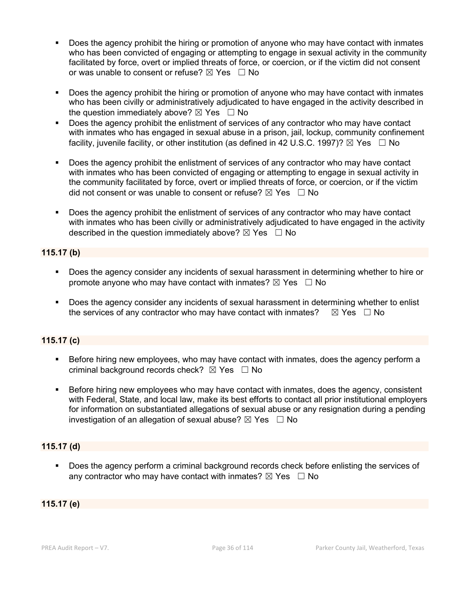- Does the agency prohibit the hiring or promotion of anyone who may have contact with inmates who has been convicted of engaging or attempting to engage in sexual activity in the community facilitated by force, overt or implied threats of force, or coercion, or if the victim did not consent or was unable to consent or refuse?  $\boxtimes$  Yes  $\Box$  No
- Does the agency prohibit the hiring or promotion of anyone who may have contact with inmates who has been civilly or administratively adjudicated to have engaged in the activity described in the question immediately above?  $\boxtimes$  Yes  $\Box$  No
- Does the agency prohibit the enlistment of services of any contractor who may have contact with inmates who has engaged in sexual abuse in a prison, jail, lockup, community confinement facility, juvenile facility, or other institution (as defined in 42 U.S.C. 1997)?  $\boxtimes$  Yes  $\Box$  No
- Does the agency prohibit the enlistment of services of any contractor who may have contact with inmates who has been convicted of engaging or attempting to engage in sexual activity in the community facilitated by force, overt or implied threats of force, or coercion, or if the victim did not consent or was unable to consent or refuse?  $\boxtimes$  Yes  $\Box$  No
- Does the agency prohibit the enlistment of services of any contractor who may have contact with inmates who has been civilly or administratively adjudicated to have engaged in the activity described in the question immediately above?  $\boxtimes$  Yes  $\Box$  No

### **115.17 (b)**

- Does the agency consider any incidents of sexual harassment in determining whether to hire or promote anyone who may have contact with inmates?  $\boxtimes$  Yes  $\Box$  No
- Does the agency consider any incidents of sexual harassment in determining whether to enlist the services of any contractor who may have contact with inmates?  $\boxtimes$  Yes  $\Box$  No

### **115.17 (c)**

- Before hiring new employees, who may have contact with inmates, does the agency perform a criminal background records check?  $\boxtimes$  Yes  $\Box$  No
- Before hiring new employees who may have contact with inmates, does the agency, consistent with Federal, State, and local law, make its best efforts to contact all prior institutional employers for information on substantiated allegations of sexual abuse or any resignation during a pending investigation of an allegation of sexual abuse?  $\boxtimes$  Yes  $\Box$  No

#### **115.17 (d)**

 Does the agency perform a criminal background records check before enlisting the services of any contractor who may have contact with inmates?  $\boxtimes$  Yes  $\Box$  No

### **115.17 (e)**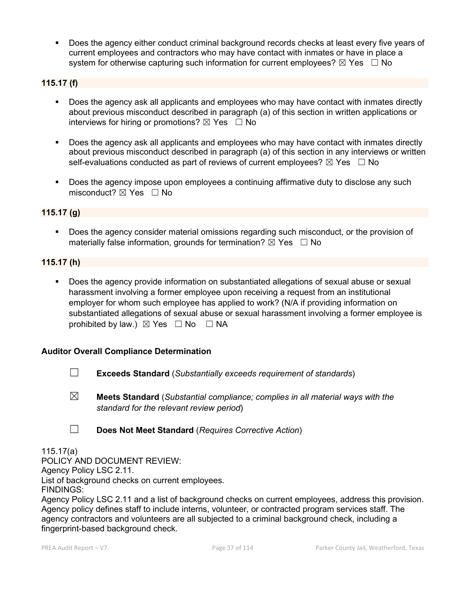Does the agency either conduct criminal background records checks at least every five years of current employees and contractors who may have contact with inmates or have in place a system for otherwise capturing such information for current employees?  $\boxtimes$  Yes  $\Box$  No

### **115.17 (f)**

- Does the agency ask all applicants and employees who may have contact with inmates directly about previous misconduct described in paragraph (a) of this section in written applications or interviews for hiring or promotions?  $\boxtimes$  Yes  $\Box$  No
- Does the agency ask all applicants and employees who may have contact with inmates directly about previous misconduct described in paragraph (a) of this section in any interviews or written self-evaluations conducted as part of reviews of current employees?  $\boxtimes$  Yes  $\Box$  No
- Does the agency impose upon employees a continuing affirmative duty to disclose any such misconduct?  $\boxtimes$  Yes  $\Box$  No

### **115.17 (g)**

**Does the agency consider material omissions regarding such misconduct, or the provision of** materially false information, grounds for termination?  $\boxtimes$  Yes  $\Box$  No

#### **115.17 (h)**

 Does the agency provide information on substantiated allegations of sexual abuse or sexual harassment involving a former employee upon receiving a request from an institutional employer for whom such employee has applied to work? (N/A if providing information on substantiated allegations of sexual abuse or sexual harassment involving a former employee is prohibited by law.)  $\boxtimes$  Yes  $\Box$  No  $\Box$  NA

#### **Auditor Overall Compliance Determination**

- ☐ **Exceeds Standard** (*Substantially exceeds requirement of standards*)
- ☒ **Meets Standard** (*Substantial compliance; complies in all material ways with the standard for the relevant review period*)
- ☐ **Does Not Meet Standard** (*Requires Corrective Action*)

#### 115.17(a)

POLICY AND DOCUMENT REVIEW: Agency Policy LSC 2.11. List of background checks on current employees. FINDINGS:

Agency Policy LSC 2.11 and a list of background checks on current employees, address this provision. Agency policy defines staff to include interns, volunteer, or contracted program services staff. The agency contractors and volunteers are all subjected to a criminal background check, including a fingerprint-based background check.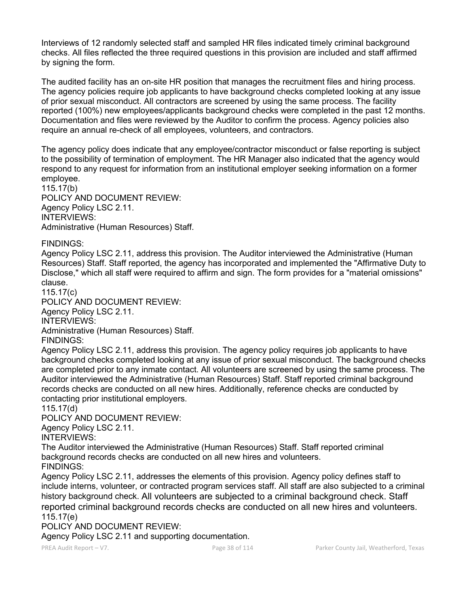Interviews of 12 randomly selected staff and sampled HR files indicated timely criminal background checks. All files reflected the three required questions in this provision are included and staff affirmed by signing the form.

The audited facility has an on-site HR position that manages the recruitment files and hiring process. The agency policies require job applicants to have background checks completed looking at any issue of prior sexual misconduct. All contractors are screened by using the same process. The facility reported (100%) new employees/applicants background checks were completed in the past 12 months. Documentation and files were reviewed by the Auditor to confirm the process. Agency policies also require an annual re-check of all employees, volunteers, and contractors.

The agency policy does indicate that any employee/contractor misconduct or false reporting is subject to the possibility of termination of employment. The HR Manager also indicated that the agency would respond to any request for information from an institutional employer seeking information on a former employee.

115.17(b) POLICY AND DOCUMENT REVIEW: Agency Policy LSC 2.11. INTERVIEWS: Administrative (Human Resources) Staff.

#### FINDINGS:

Agency Policy LSC 2.11, address this provision. The Auditor interviewed the Administrative (Human Resources) Staff. Staff reported, the agency has incorporated and implemented the "Affirmative Duty to Disclose," which all staff were required to affirm and sign. The form provides for a "material omissions" clause.

115.17(c)

POLICY AND DOCUMENT REVIEW: Agency Policy LSC 2.11.

INTERVIEWS:

Administrative (Human Resources) Staff.

FINDINGS:

Agency Policy LSC 2.11, address this provision. The agency policy requires job applicants to have background checks completed looking at any issue of prior sexual misconduct. The background checks are completed prior to any inmate contact. All volunteers are screened by using the same process. The Auditor interviewed the Administrative (Human Resources) Staff. Staff reported criminal background records checks are conducted on all new hires. Additionally, reference checks are conducted by contacting prior institutional employers.

115.17(d)

#### POLICY AND DOCUMENT REVIEW:

Agency Policy LSC 2.11.

INTERVIEWS:

The Auditor interviewed the Administrative (Human Resources) Staff. Staff reported criminal background records checks are conducted on all new hires and volunteers.

FINDINGS: Agency Policy LSC 2.11, addresses the elements of this provision. Agency policy defines staff to include interns, volunteer, or contracted program services staff. All staff are also subjected to a criminal history background check. All volunteers are subjected to a criminal background check. Staff reported criminal background records checks are conducted on all new hires and volunteers. 115.17(e)

POLICY AND DOCUMENT REVIEW:

Agency Policy LSC 2.11 and supporting documentation.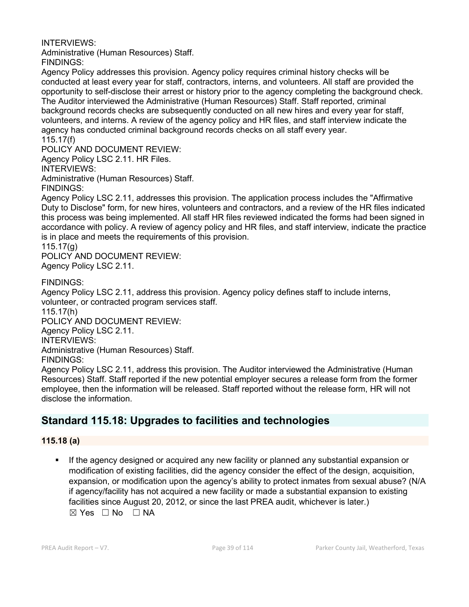#### INTERVIEWS:

Administrative (Human Resources) Staff. FINDINGS:

Agency Policy addresses this provision. Agency policy requires criminal history checks will be conducted at least every year for staff, contractors, interns, and volunteers. All staff are provided the opportunity to self-disclose their arrest or history prior to the agency completing the background check. The Auditor interviewed the Administrative (Human Resources) Staff. Staff reported, criminal background records checks are subsequently conducted on all new hires and every year for staff, volunteers, and interns. A review of the agency policy and HR files, and staff interview indicate the agency has conducted criminal background records checks on all staff every year. 115.17(f)

POLICY AND DOCUMENT REVIEW:

Agency Policy LSC 2.11. HR Files.

INTERVIEWS:

Administrative (Human Resources) Staff.

FINDINGS:

Agency Policy LSC 2.11, addresses this provision. The application process includes the "Affirmative Duty to Disclose" form, for new hires, volunteers and contractors, and a review of the HR files indicated this process was being implemented. All staff HR files reviewed indicated the forms had been signed in accordance with policy. A review of agency policy and HR files, and staff interview, indicate the practice is in place and meets the requirements of this provision.

115.17(g)

POLICY AND DOCUMENT REVIEW: Agency Policy LSC 2.11.

FINDINGS:

Agency Policy LSC 2.11, address this provision. Agency policy defines staff to include interns, volunteer, or contracted program services staff.

115.17(h)

POLICY AND DOCUMENT REVIEW:

Agency Policy LSC 2.11.

INTERVIEWS:

Administrative (Human Resources) Staff.

FINDINGS:

Agency Policy LSC 2.11, address this provision. The Auditor interviewed the Administrative (Human Resources) Staff. Staff reported if the new potential employer secures a release form from the former employee, then the information will be released. Staff reported without the release form, HR will not disclose the information.

## **Standard 115.18: Upgrades to facilities and technologies**

#### **115.18 (a)**

 If the agency designed or acquired any new facility or planned any substantial expansion or modification of existing facilities, did the agency consider the effect of the design, acquisition, expansion, or modification upon the agency's ability to protect inmates from sexual abuse? (N/A if agency/facility has not acquired a new facility or made a substantial expansion to existing facilities since August 20, 2012, or since the last PREA audit, whichever is later.)  $⊠ Yes ⊡ No ⊡ NA$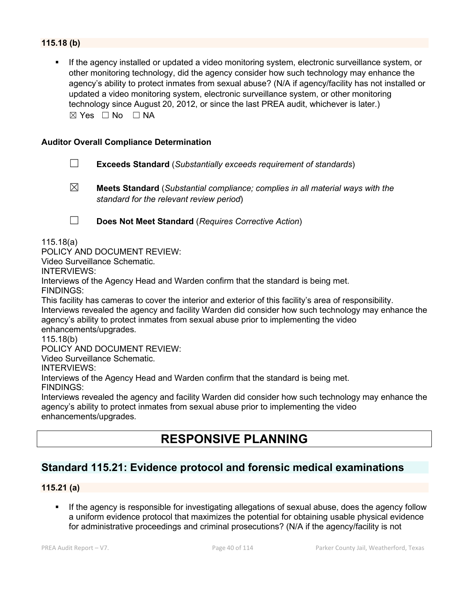### **115.18 (b)**

 If the agency installed or updated a video monitoring system, electronic surveillance system, or other monitoring technology, did the agency consider how such technology may enhance the agency's ability to protect inmates from sexual abuse? (N/A if agency/facility has not installed or updated a video monitoring system, electronic surveillance system, or other monitoring technology since August 20, 2012, or since the last PREA audit, whichever is later.)  $\boxtimes$  Yes  $\Box$  No  $\Box$  NA

#### **Auditor Overall Compliance Determination**

- ☐ **Exceeds Standard** (*Substantially exceeds requirement of standards*)
- 

☒ **Meets Standard** (*Substantial compliance; complies in all material ways with the standard for the relevant review period*)

☐ **Does Not Meet Standard** (*Requires Corrective Action*)

115.18(a)

POLICY AND DOCUMENT REVIEW:

Video Surveillance Schematic.

INTERVIEWS:

Interviews of the Agency Head and Warden confirm that the standard is being met. FINDINGS:

This facility has cameras to cover the interior and exterior of this facility's area of responsibility. Interviews revealed the agency and facility Warden did consider how such technology may enhance the agency's ability to protect inmates from sexual abuse prior to implementing the video enhancements/upgrades.

115.18(b)

POLICY AND DOCUMENT REVIEW:

Video Surveillance Schematic.

INTERVIEWS:

Interviews of the Agency Head and Warden confirm that the standard is being met. FINDINGS:

Interviews revealed the agency and facility Warden did consider how such technology may enhance the agency's ability to protect inmates from sexual abuse prior to implementing the video enhancements/upgrades.

# **RESPONSIVE PLANNING**

## **Standard 115.21: Evidence protocol and forensic medical examinations**

#### **115.21 (a)**

 If the agency is responsible for investigating allegations of sexual abuse, does the agency follow a uniform evidence protocol that maximizes the potential for obtaining usable physical evidence for administrative proceedings and criminal prosecutions? (N/A if the agency/facility is not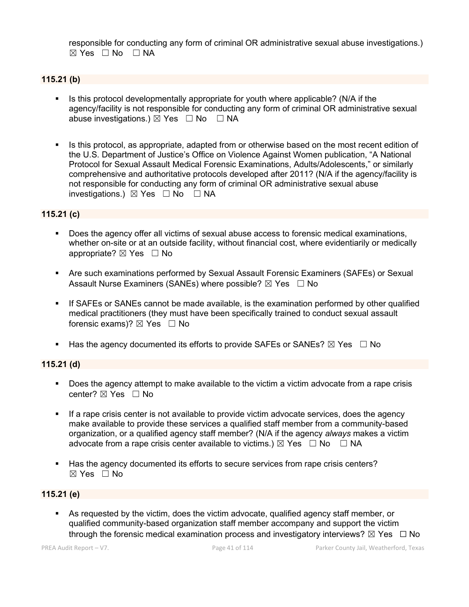responsible for conducting any form of criminal OR administrative sexual abuse investigations.)  $\boxtimes$  Yes  $\Box$  No  $\Box$  NA

#### **115.21 (b)**

- Is this protocol developmentally appropriate for youth where applicable? (N/A if the agency/facility is not responsible for conducting any form of criminal OR administrative sexual abuse investigations.)  $\boxtimes$  Yes  $\Box$  No  $\Box$  NA
- Is this protocol, as appropriate, adapted from or otherwise based on the most recent edition of the U.S. Department of Justice's Office on Violence Against Women publication, "A National Protocol for Sexual Assault Medical Forensic Examinations, Adults/Adolescents," or similarly comprehensive and authoritative protocols developed after 2011? (N/A if the agency/facility is not responsible for conducting any form of criminal OR administrative sexual abuse investigations.)  $\boxtimes$  Yes  $\Box$  No  $\Box$  NA

#### **115.21 (c)**

- Does the agency offer all victims of sexual abuse access to forensic medical examinations, whether on-site or at an outside facility, without financial cost, where evidentiarily or medically appropriate? ⊠ Yes □ No
- Are such examinations performed by Sexual Assault Forensic Examiners (SAFEs) or Sexual Assault Nurse Examiners (SANEs) where possible?  $\boxtimes$  Yes  $\Box$  No
- If SAFEs or SANEs cannot be made available, is the examination performed by other qualified medical practitioners (they must have been specifically trained to conduct sexual assault forensic exams)?  $\boxtimes$  Yes  $\Box$  No
- Has the agency documented its efforts to provide SAFEs or SANEs?  $\boxtimes$  Yes  $\Box$  No

#### **115.21 (d)**

- Does the agency attempt to make available to the victim a victim advocate from a rape crisis center? ⊠ Yes □ No
- If a rape crisis center is not available to provide victim advocate services, does the agency make available to provide these services a qualified staff member from a community-based organization, or a qualified agency staff member? (N/A if the agency *always* makes a victim advocate from a rape crisis center available to victims.)  $\boxtimes$  Yes  $\Box$  No  $\Box$  NA
- Has the agency documented its efforts to secure services from rape crisis centers?  $\boxtimes$  Yes  $\Box$  No

#### **115.21 (e)**

 As requested by the victim, does the victim advocate, qualified agency staff member, or qualified community-based organization staff member accompany and support the victim through the forensic medical examination process and investigatory interviews?  $\boxtimes$  Yes  $\Box$  No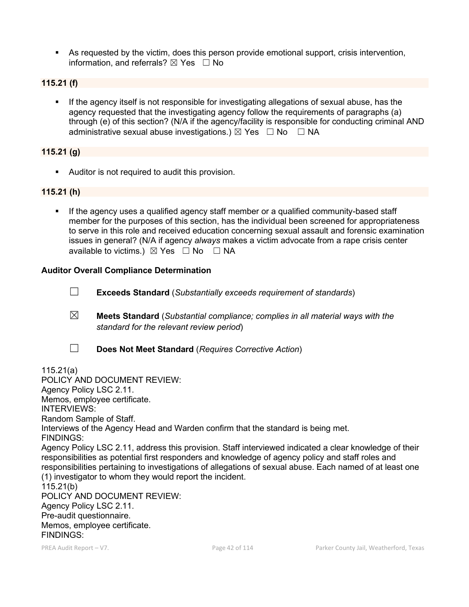As requested by the victim, does this person provide emotional support, crisis intervention, information, and referrals?  $\boxtimes$  Yes  $\Box$  No

#### **115.21 (f)**

 If the agency itself is not responsible for investigating allegations of sexual abuse, has the agency requested that the investigating agency follow the requirements of paragraphs (a) through (e) of this section? (N/A if the agency/facility is responsible for conducting criminal AND administrative sexual abuse investigations.)  $\boxtimes$  Yes  $\Box$  No  $\Box$  NA

#### **115.21 (g)**

Auditor is not required to audit this provision.

#### **115.21 (h)**

If the agency uses a qualified agency staff member or a qualified community-based staff member for the purposes of this section, has the individual been screened for appropriateness to serve in this role and received education concerning sexual assault and forensic examination issues in general? (N/A if agency *always* makes a victim advocate from a rape crisis center available to victims.)  $\boxtimes$  Yes  $\Box$  No  $\Box$  NA

#### **Auditor Overall Compliance Determination**

- ☐ **Exceeds Standard** (*Substantially exceeds requirement of standards*)
- ☒ **Meets Standard** (*Substantial compliance; complies in all material ways with the standard for the relevant review period*)
- ☐ **Does Not Meet Standard** (*Requires Corrective Action*)

115.21(a) POLICY AND DOCUMENT REVIEW: Agency Policy LSC 2.11. Memos, employee certificate. INTERVIEWS: Random Sample of Staff. Interviews of the Agency Head and Warden confirm that the standard is being met. FINDINGS: Agency Policy LSC 2.11, address this provision. Staff interviewed indicated a clear knowledge of their responsibilities as potential first responders and knowledge of agency policy and staff roles and responsibilities pertaining to investigations of allegations of sexual abuse. Each named of at least one (1) investigator to whom they would report the incident. 115.21(b) POLICY AND DOCUMENT REVIEW: Agency Policy LSC 2.11. Pre-audit questionnaire. Memos, employee certificate. FINDINGS: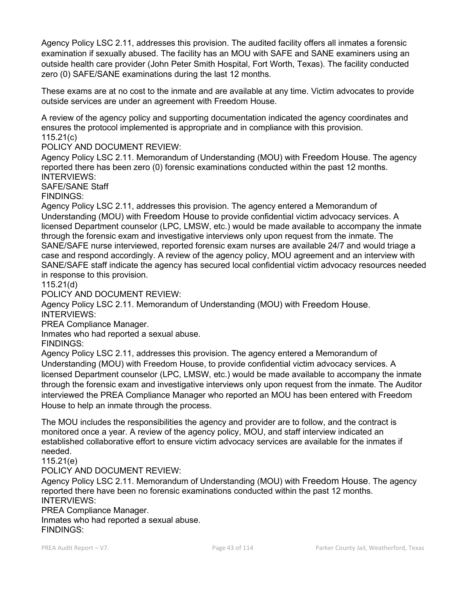Agency Policy LSC 2.11, addresses this provision. The audited facility offers all inmates a forensic examination if sexually abused. The facility has an MOU with SAFE and SANE examiners using an outside health care provider (John Peter Smith Hospital, Fort Worth, Texas). The facility conducted zero (0) SAFE/SANE examinations during the last 12 months.

These exams are at no cost to the inmate and are available at any time. Victim advocates to provide outside services are under an agreement with Freedom House.

A review of the agency policy and supporting documentation indicated the agency coordinates and ensures the protocol implemented is appropriate and in compliance with this provision. 115.21(c)

POLICY AND DOCUMENT REVIEW:

Agency Policy LSC 2.11. Memorandum of Understanding (MOU) with Freedom House. The agency reported there has been zero (0) forensic examinations conducted within the past 12 months. INTERVIEWS:

SAFE/SANE Staff

FINDINGS:

Agency Policy LSC 2.11, addresses this provision. The agency entered a Memorandum of Understanding (MOU) with Freedom House to provide confidential victim advocacy services. A licensed Department counselor (LPC, LMSW, etc.) would be made available to accompany the inmate through the forensic exam and investigative interviews only upon request from the inmate. The SANE/SAFE nurse interviewed, reported forensic exam nurses are available 24/7 and would triage a case and respond accordingly. A review of the agency policy, MOU agreement and an interview with SANE/SAFE staff indicate the agency has secured local confidential victim advocacy resources needed in response to this provision.

115.21(d)

POLICY AND DOCUMENT REVIEW:

Agency Policy LSC 2.11. Memorandum of Understanding (MOU) with Freedom House. INTERVIEWS:

PREA Compliance Manager.

Inmates who had reported a sexual abuse.

FINDINGS:

Agency Policy LSC 2.11, addresses this provision. The agency entered a Memorandum of Understanding (MOU) with Freedom House, to provide confidential victim advocacy services. A licensed Department counselor (LPC, LMSW, etc.) would be made available to accompany the inmate through the forensic exam and investigative interviews only upon request from the inmate. The Auditor interviewed the PREA Compliance Manager who reported an MOU has been entered with Freedom House to help an inmate through the process.

The MOU includes the responsibilities the agency and provider are to follow, and the contract is monitored once a year. A review of the agency policy, MOU, and staff interview indicated an established collaborative effort to ensure victim advocacy services are available for the inmates if needed.

115.21(e)

POLICY AND DOCUMENT REVIEW:

Agency Policy LSC 2.11. Memorandum of Understanding (MOU) with Freedom House. The agency reported there have been no forensic examinations conducted within the past 12 months. INTERVIEWS:

PREA Compliance Manager. Inmates who had reported a sexual abuse. FINDINGS: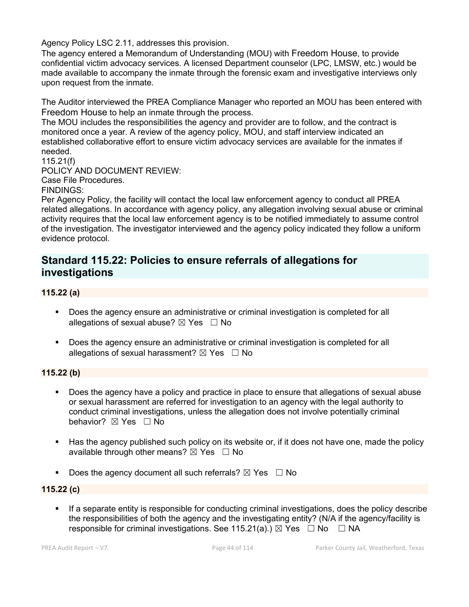Agency Policy LSC 2.11, addresses this provision.

The agency entered a Memorandum of Understanding (MOU) with Freedom House, to provide confidential victim advocacy services. A licensed Department counselor (LPC, LMSW, etc.) would be made available to accompany the inmate through the forensic exam and investigative interviews only upon request from the inmate.

The Auditor interviewed the PREA Compliance Manager who reported an MOU has been entered with Freedom House to help an inmate through the process.

The MOU includes the responsibilities the agency and provider are to follow, and the contract is monitored once a year. A review of the agency policy, MOU, and staff interview indicated an established collaborative effort to ensure victim advocacy services are available for the inmates if needed.

115.21(f) POLICY AND DOCUMENT REVIEW: Case File Procedures. FINDINGS:

Per Agency Policy, the facility will contact the local law enforcement agency to conduct all PREA related allegations. In accordance with agency policy, any allegation involving sexual abuse or criminal activity requires that the local law enforcement agency is to be notified immediately to assume control of the investigation. The investigator interviewed and the agency policy indicated they follow a uniform evidence protocol.

## **Standard 115.22: Policies to ensure referrals of allegations for investigations**

#### **115.22 (a)**

- **Does the agency ensure an administrative or criminal investigation is completed for all** allegations of sexual abuse?  $\boxtimes$  Yes  $\Box$  No
- Does the agency ensure an administrative or criminal investigation is completed for all allegations of sexual harassment?  $\boxtimes$  Yes  $\Box$  No

#### **115.22 (b)**

- Does the agency have a policy and practice in place to ensure that allegations of sexual abuse or sexual harassment are referred for investigation to an agency with the legal authority to conduct criminal investigations, unless the allegation does not involve potentially criminal behavior? **⊠** Yes □ No
- Has the agency published such policy on its website or, if it does not have one, made the policy available through other means?  $\boxtimes$  Yes  $\Box$  No
- Does the agency document all such referrals?  $\boxtimes$  Yes  $\Box$  No

#### **115.22 (c)**

 If a separate entity is responsible for conducting criminal investigations, does the policy describe the responsibilities of both the agency and the investigating entity? (N/A if the agency/facility is responsible for criminal investigations. See 115.21(a).)  $\boxtimes$  Yes  $\Box$  No  $\Box$  NA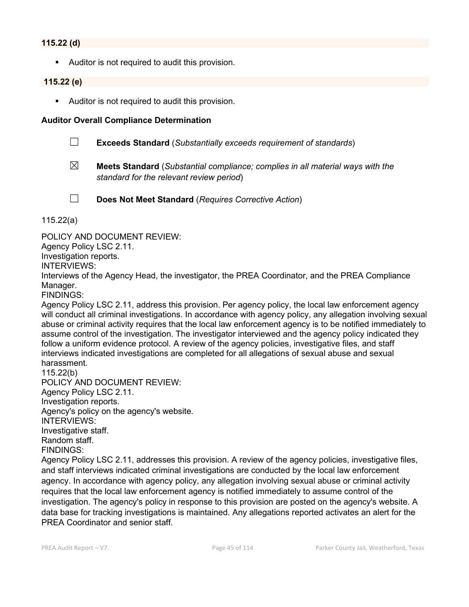#### **115.22 (d)**

Auditor is not required to audit this provision.

#### **115.22 (e)**

Auditor is not required to audit this provision.

#### **Auditor Overall Compliance Determination**

- ☐ **Exceeds Standard** (*Substantially exceeds requirement of standards*)
- ☒ **Meets Standard** (*Substantial compliance; complies in all material ways with the standard for the relevant review period*)
- 
- ☐ **Does Not Meet Standard** (*Requires Corrective Action*)

115.22(a)

POLICY AND DOCUMENT REVIEW:

Agency Policy LSC 2.11.

Investigation reports.

INTERVIEWS:

Interviews of the Agency Head, the investigator, the PREA Coordinator, and the PREA Compliance Manager.

FINDINGS:

Agency Policy LSC 2.11, address this provision. Per agency policy, the local law enforcement agency will conduct all criminal investigations. In accordance with agency policy, any allegation involving sexual abuse or criminal activity requires that the local law enforcement agency is to be notified immediately to assume control of the investigation. The investigator interviewed and the agency policy indicated they follow a uniform evidence protocol. A review of the agency policies, investigative files, and staff interviews indicated investigations are completed for all allegations of sexual abuse and sexual harassment.

115.22(b) POLICY AND DOCUMENT REVIEW: Agency Policy LSC 2.11. Investigation reports. Agency's policy on the agency's website. INTERVIEWS: Investigative staff. Random staff. FINDINGS:

Agency Policy LSC 2.11, addresses this provision. A review of the agency policies, investigative files, and staff interviews indicated criminal investigations are conducted by the local law enforcement agency. In accordance with agency policy, any allegation involving sexual abuse or criminal activity requires that the local law enforcement agency is notified immediately to assume control of the investigation. The agency's policy in response to this provision are posted on the agency's website. A data base for tracking investigations is maintained. Any allegations reported activates an alert for the PREA Coordinator and senior staff.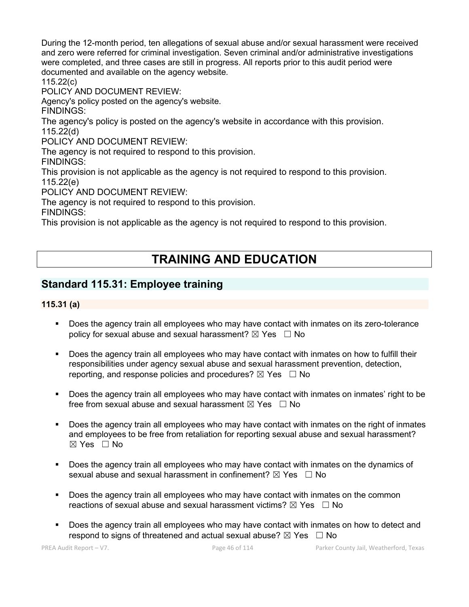During the 12-month period, ten allegations of sexual abuse and/or sexual harassment were received and zero were referred for criminal investigation. Seven criminal and/or administrative investigations were completed, and three cases are still in progress. All reports prior to this audit period were documented and available on the agency website.

115.22(c)

POLICY AND DOCUMENT REVIEW:

Agency's policy posted on the agency's website.

FINDINGS:

The agency's policy is posted on the agency's website in accordance with this provision. 115.22(d)

POLICY AND DOCUMENT REVIEW:

The agency is not required to respond to this provision.

FINDINGS:

This provision is not applicable as the agency is not required to respond to this provision.

115.22(e)

POLICY AND DOCUMENT REVIEW:

The agency is not required to respond to this provision.

FINDINGS:

This provision is not applicable as the agency is not required to respond to this provision.

# **TRAINING AND EDUCATION**

## **Standard 115.31: Employee training**

### **115.31 (a)**

- Does the agency train all employees who may have contact with inmates on its zero-tolerance policy for sexual abuse and sexual harassment?  $\boxtimes$  Yes  $\Box$  No
- Does the agency train all employees who may have contact with inmates on how to fulfill their responsibilities under agency sexual abuse and sexual harassment prevention, detection, reporting, and response policies and procedures?  $\boxtimes$  Yes  $\Box$  No
- Does the agency train all employees who may have contact with inmates on inmates' right to be free from sexual abuse and sexual harassment  $\boxtimes$  Yes  $\Box$  No
- Does the agency train all employees who may have contact with inmates on the right of inmates and employees to be free from retaliation for reporting sexual abuse and sexual harassment? ☒ Yes ☐ No
- Does the agency train all employees who may have contact with inmates on the dynamics of sexual abuse and sexual harassment in confinement?  $\boxtimes$  Yes  $\Box$  No
- Does the agency train all employees who may have contact with inmates on the common reactions of sexual abuse and sexual harassment victims?  $\boxtimes$  Yes  $\Box$  No
- Does the agency train all employees who may have contact with inmates on how to detect and respond to signs of threatened and actual sexual abuse?  $\boxtimes$  Yes  $\Box$  No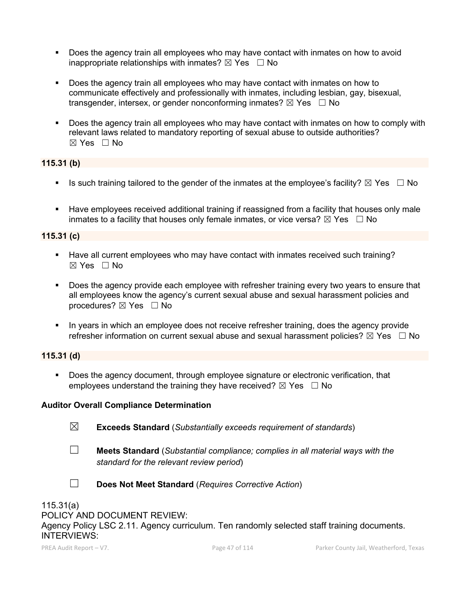- Does the agency train all employees who may have contact with inmates on how to avoid inappropriate relationships with inmates?  $\boxtimes$  Yes  $\Box$  No
- Does the agency train all employees who may have contact with inmates on how to communicate effectively and professionally with inmates, including lesbian, gay, bisexual, transgender, intersex, or gender nonconforming inmates?  $\boxtimes$  Yes  $\Box$  No
- Does the agency train all employees who may have contact with inmates on how to comply with relevant laws related to mandatory reporting of sexual abuse to outside authorities? ☒ Yes ☐ No

## **115.31 (b)**

- Is such training tailored to the gender of the inmates at the employee's facility?  $\boxtimes$  Yes  $\Box$  No
- Have employees received additional training if reassigned from a facility that houses only male inmates to a facility that houses only female inmates, or vice versa?  $\boxtimes$  Yes  $\Box$  No

### **115.31 (c)**

- Have all current employees who may have contact with inmates received such training? ☒ Yes ☐ No
- Does the agency provide each employee with refresher training every two years to ensure that all employees know the agency's current sexual abuse and sexual harassment policies and procedures?  $\boxtimes$  Yes  $\Box$  No
- In years in which an employee does not receive refresher training, does the agency provide refresher information on current sexual abuse and sexual harassment policies?  $\boxtimes$  Yes  $\Box$  No

## **115.31 (d)**

 Does the agency document, through employee signature or electronic verification, that employees understand the training they have received?  $\boxtimes$  Yes  $\Box$  No

#### **Auditor Overall Compliance Determination**

- ☒ **Exceeds Standard** (*Substantially exceeds requirement of standards*)
- ☐ **Meets Standard** (*Substantial compliance; complies in all material ways with the standard for the relevant review period*)
- ☐ **Does Not Meet Standard** (*Requires Corrective Action*)

## 115.31(a)

POLICY AND DOCUMENT REVIEW:

Agency Policy LSC 2.11. Agency curriculum. Ten randomly selected staff training documents. INTERVIEWS: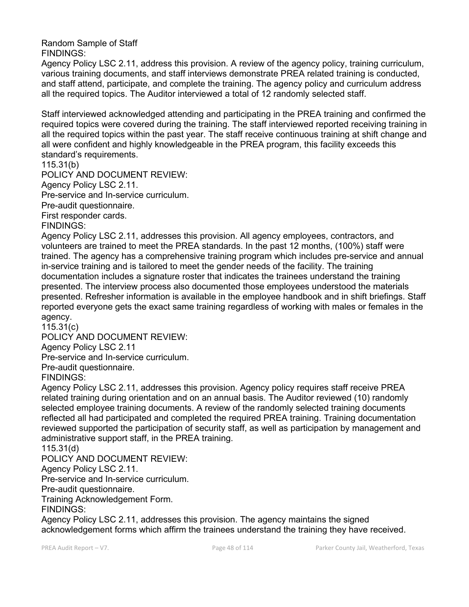Random Sample of Staff FINDINGS:

Agency Policy LSC 2.11, address this provision. A review of the agency policy, training curriculum, various training documents, and staff interviews demonstrate PREA related training is conducted, and staff attend, participate, and complete the training. The agency policy and curriculum address all the required topics. The Auditor interviewed a total of 12 randomly selected staff.

Staff interviewed acknowledged attending and participating in the PREA training and confirmed the required topics were covered during the training. The staff interviewed reported receiving training in all the required topics within the past year. The staff receive continuous training at shift change and all were confident and highly knowledgeable in the PREA program, this facility exceeds this standard's requirements.

115.31(b)

POLICY AND DOCUMENT REVIEW:

Agency Policy LSC 2.11.

Pre-service and In-service curriculum.

Pre-audit questionnaire.

First responder cards.

FINDINGS:

Agency Policy LSC 2.11, addresses this provision. All agency employees, contractors, and volunteers are trained to meet the PREA standards. In the past 12 months, (100%) staff were trained. The agency has a comprehensive training program which includes pre-service and annual in-service training and is tailored to meet the gender needs of the facility. The training documentation includes a signature roster that indicates the trainees understand the training presented. The interview process also documented those employees understood the materials presented. Refresher information is available in the employee handbook and in shift briefings. Staff reported everyone gets the exact same training regardless of working with males or females in the agency.

115.31(c)

POLICY AND DOCUMENT REVIEW:

Agency Policy LSC 2.11

Pre-service and In-service curriculum.

Pre-audit questionnaire.

FINDINGS:

Agency Policy LSC 2.11, addresses this provision. Agency policy requires staff receive PREA related training during orientation and on an annual basis. The Auditor reviewed (10) randomly selected employee training documents. A review of the randomly selected training documents reflected all had participated and completed the required PREA training. Training documentation reviewed supported the participation of security staff, as well as participation by management and administrative support staff, in the PREA training.

115.31(d)

POLICY AND DOCUMENT REVIEW:

Agency Policy LSC 2.11.

Pre-service and In-service curriculum.

Pre-audit questionnaire.

Training Acknowledgement Form.

FINDINGS:

Agency Policy LSC 2.11, addresses this provision. The agency maintains the signed acknowledgement forms which affirm the trainees understand the training they have received.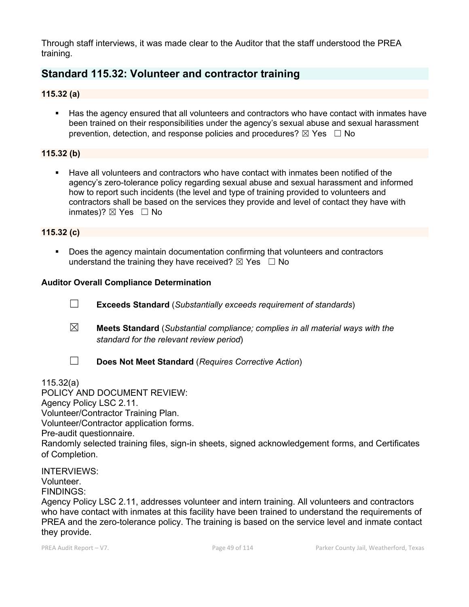Through staff interviews, it was made clear to the Auditor that the staff understood the PREA training.

## **Standard 115.32: Volunteer and contractor training**

### **115.32 (a)**

 Has the agency ensured that all volunteers and contractors who have contact with inmates have been trained on their responsibilities under the agency's sexual abuse and sexual harassment prevention, detection, and response policies and procedures?  $\boxtimes$  Yes  $\Box$  No

## **115.32 (b)**

 Have all volunteers and contractors who have contact with inmates been notified of the agency's zero-tolerance policy regarding sexual abuse and sexual harassment and informed how to report such incidents (the level and type of training provided to volunteers and contractors shall be based on the services they provide and level of contact they have with inmates)?  $\boxtimes$  Yes  $\Box$  No

### **115.32 (c)**

 Does the agency maintain documentation confirming that volunteers and contractors understand the training they have received?  $\boxtimes$  Yes  $\Box$  No

#### **Auditor Overall Compliance Determination**

- ☐ **Exceeds Standard** (*Substantially exceeds requirement of standards*)
- ☒ **Meets Standard** (*Substantial compliance; complies in all material ways with the standard for the relevant review period*)
- 
- ☐ **Does Not Meet Standard** (*Requires Corrective Action*)

115.32(a)

POLICY AND DOCUMENT REVIEW: Agency Policy LSC 2.11. Volunteer/Contractor Training Plan. Volunteer/Contractor application forms. Pre-audit questionnaire. Randomly selected training files, sign-in sheets, signed acknowledgement forms, and Certificates of Completion.

INTERVIEWS: Volunteer. FINDINGS:

Agency Policy LSC 2.11, addresses volunteer and intern training. All volunteers and contractors who have contact with inmates at this facility have been trained to understand the requirements of PREA and the zero-tolerance policy. The training is based on the service level and inmate contact they provide.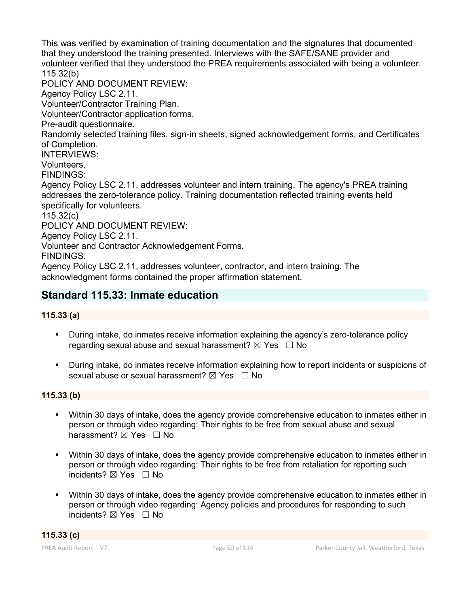This was verified by examination of training documentation and the signatures that documented that they understood the training presented. Interviews with the SAFE/SANE provider and volunteer verified that they understood the PREA requirements associated with being a volunteer. 115.32(b)

POLICY AND DOCUMENT REVIEW:

Agency Policy LSC 2.11.

Volunteer/Contractor Training Plan.

Volunteer/Contractor application forms.

Pre-audit questionnaire.

Randomly selected training files, sign-in sheets, signed acknowledgement forms, and Certificates of Completion.

INTERVIEWS:

Volunteers.

FINDINGS:

Agency Policy LSC 2.11, addresses volunteer and intern training. The agency's PREA training addresses the zero-tolerance policy. Training documentation reflected training events held specifically for volunteers.

115.32(c)

POLICY AND DOCUMENT REVIEW:

Agency Policy LSC 2.11.

Volunteer and Contractor Acknowledgement Forms.

FINDINGS:

Agency Policy LSC 2.11, addresses volunteer, contractor, and intern training. The acknowledgment forms contained the proper affirmation statement.

## **Standard 115.33: Inmate education**

#### **115.33 (a)**

- During intake, do inmates receive information explaining the agency's zero-tolerance policy regarding sexual abuse and sexual harassment?  $\boxtimes$  Yes  $\Box$  No
- During intake, do inmates receive information explaining how to report incidents or suspicions of sexual abuse or sexual harassment?  $\boxtimes$  Yes  $\Box$  No

#### **115.33 (b)**

- Within 30 days of intake, does the agency provide comprehensive education to inmates either in person or through video regarding: Their rights to be free from sexual abuse and sexual harassment? ⊠ Yes □ No
- Within 30 days of intake, does the agency provide comprehensive education to inmates either in person or through video regarding: Their rights to be free from retaliation for reporting such incidents?  $⊠$  Yes  $□$  No
- Within 30 days of intake, does the agency provide comprehensive education to inmates either in person or through video regarding: Agency policies and procedures for responding to such incidents? ⊠ Yes □ No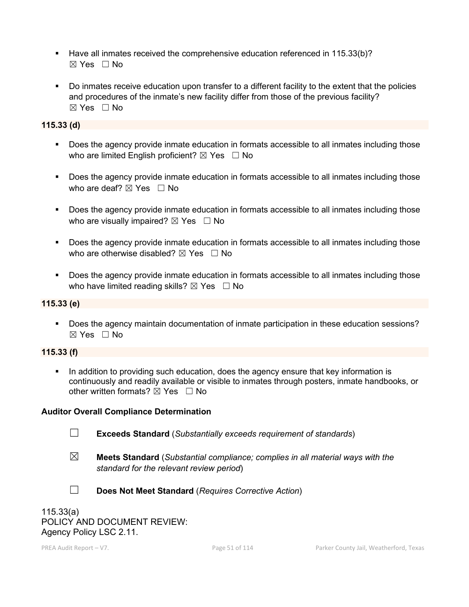- Have all inmates received the comprehensive education referenced in 115.33(b)? ☒ Yes ☐ No
- Do inmates receive education upon transfer to a different facility to the extent that the policies and procedures of the inmate's new facility differ from those of the previous facility?  $\boxtimes$  Yes  $\Box$  No

## **115.33 (d)**

- Does the agency provide inmate education in formats accessible to all inmates including those who are limited English proficient?  $\boxtimes$  Yes  $\Box$  No
- Does the agency provide inmate education in formats accessible to all inmates including those who are deaf?  $\boxtimes$  Yes  $\Box$  No
- Does the agency provide inmate education in formats accessible to all inmates including those who are visually impaired?  $\boxtimes$  Yes  $\Box$  No
- Does the agency provide inmate education in formats accessible to all inmates including those who are otherwise disabled?  $\boxtimes$  Yes  $\Box$  No
- Does the agency provide inmate education in formats accessible to all inmates including those who have limited reading skills?  $\boxtimes$  Yes  $\Box$  No

## **115.33 (e)**

 Does the agency maintain documentation of inmate participation in these education sessions?  $\boxtimes$  Yes  $\Box$  No

## **115.33 (f)**

In addition to providing such education, does the agency ensure that key information is continuously and readily available or visible to inmates through posters, inmate handbooks, or other written formats?  $\boxtimes$  Yes  $\Box$  No

## **Auditor Overall Compliance Determination**

- 
- ☐ **Exceeds Standard** (*Substantially exceeds requirement of standards*)
- ☒ **Meets Standard** (*Substantial compliance; complies in all material ways with the standard for the relevant review period*)



☐ **Does Not Meet Standard** (*Requires Corrective Action*)

115.33(a) POLICY AND DOCUMENT REVIEW: Agency Policy LSC 2.11.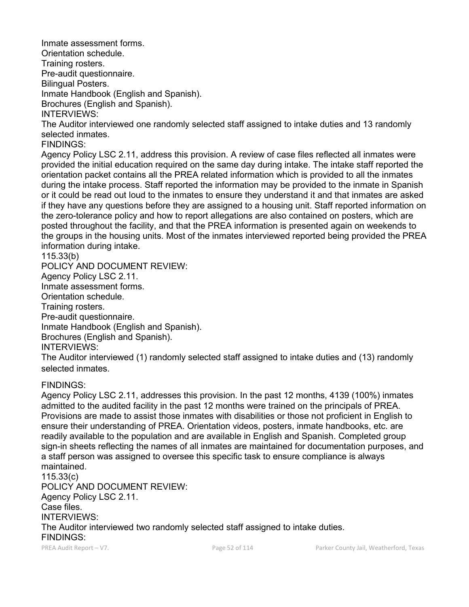Orientation schedule. Training rosters. Pre-audit questionnaire. Bilingual Posters. Inmate Handbook (English and Spanish). Brochures (English and Spanish). INTERVIEWS:

The Auditor interviewed one randomly selected staff assigned to intake duties and 13 randomly selected inmates.

FINDINGS:

Inmate assessment forms.

Agency Policy LSC 2.11, address this provision. A review of case files reflected all inmates were provided the initial education required on the same day during intake. The intake staff reported the orientation packet contains all the PREA related information which is provided to all the inmates during the intake process. Staff reported the information may be provided to the inmate in Spanish or it could be read out loud to the inmates to ensure they understand it and that inmates are asked if they have any questions before they are assigned to a housing unit. Staff reported information on the zero-tolerance policy and how to report allegations are also contained on posters, which are posted throughout the facility, and that the PREA information is presented again on weekends to the groups in the housing units. Most of the inmates interviewed reported being provided the PREA information during intake.

115.33(b) POLICY AND DOCUMENT REVIEW: Agency Policy LSC 2.11. Inmate assessment forms. Orientation schedule. Training rosters. Pre-audit questionnaire. Inmate Handbook (English and Spanish). Brochures (English and Spanish). INTERVIEWS:

The Auditor interviewed (1) randomly selected staff assigned to intake duties and (13) randomly selected inmates.

## FINDINGS:

Agency Policy LSC 2.11, addresses this provision. In the past 12 months, 4139 (100%) inmates admitted to the audited facility in the past 12 months were trained on the principals of PREA. Provisions are made to assist those inmates with disabilities or those not proficient in English to ensure their understanding of PREA. Orientation videos, posters, inmate handbooks, etc. are readily available to the population and are available in English and Spanish. Completed group sign-in sheets reflecting the names of all inmates are maintained for documentation purposes, and a staff person was assigned to oversee this specific task to ensure compliance is always maintained. 115.33(c) POLICY AND DOCUMENT REVIEW:

Agency Policy LSC 2.11. Case files. INTERVIEWS: The Auditor interviewed two randomly selected staff assigned to intake duties. FINDINGS: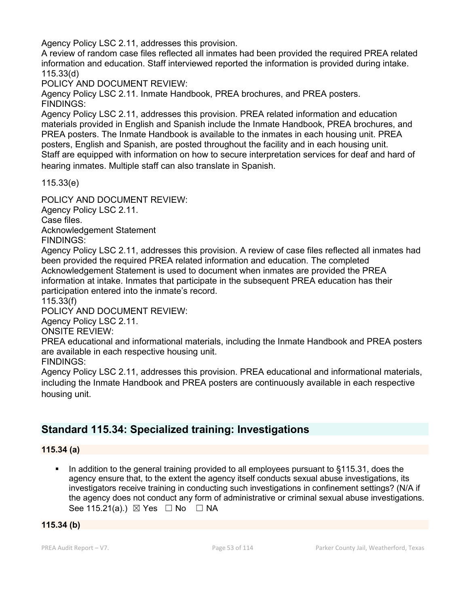Agency Policy LSC 2.11, addresses this provision.

A review of random case files reflected all inmates had been provided the required PREA related information and education. Staff interviewed reported the information is provided during intake. 115.33(d)

POLICY AND DOCUMENT REVIEW:

Agency Policy LSC 2.11. Inmate Handbook, PREA brochures, and PREA posters. FINDINGS:

Agency Policy LSC 2.11, addresses this provision. PREA related information and education materials provided in English and Spanish include the Inmate Handbook, PREA brochures, and PREA posters. The Inmate Handbook is available to the inmates in each housing unit. PREA posters, English and Spanish, are posted throughout the facility and in each housing unit. Staff are equipped with information on how to secure interpretation services for deaf and hard of hearing inmates. Multiple staff can also translate in Spanish.

115.33(e)

POLICY AND DOCUMENT REVIEW:

Agency Policy LSC 2.11.

Case files.

Acknowledgement Statement

FINDINGS:

Agency Policy LSC 2.11, addresses this provision. A review of case files reflected all inmates had been provided the required PREA related information and education. The completed Acknowledgement Statement is used to document when inmates are provided the PREA information at intake. Inmates that participate in the subsequent PREA education has their participation entered into the inmate's record.

115.33(f)

POLICY AND DOCUMENT REVIEW:

Agency Policy LSC 2.11.

ONSITE REVIEW:

PREA educational and informational materials, including the Inmate Handbook and PREA posters are available in each respective housing unit.

FINDINGS:

Agency Policy LSC 2.11, addresses this provision. PREA educational and informational materials, including the Inmate Handbook and PREA posters are continuously available in each respective housing unit.

## **Standard 115.34: Specialized training: Investigations**

#### **115.34 (a)**

 In addition to the general training provided to all employees pursuant to §115.31, does the agency ensure that, to the extent the agency itself conducts sexual abuse investigations, its investigators receive training in conducting such investigations in confinement settings? (N/A if the agency does not conduct any form of administrative or criminal sexual abuse investigations. See 115.21(a).)  $\boxtimes$  Yes  $\Box$  No  $\Box$  NA

#### **115.34 (b)**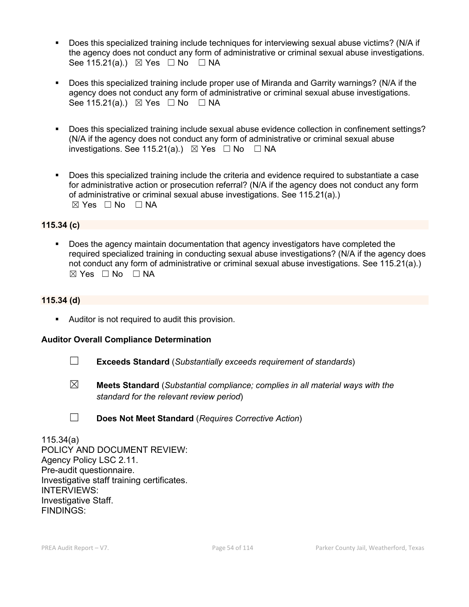- Does this specialized training include techniques for interviewing sexual abuse victims? (N/A if the agency does not conduct any form of administrative or criminal sexual abuse investigations. See 115.21(a).)  $\boxtimes$  Yes  $\Box$  No  $\Box$  NA
- Does this specialized training include proper use of Miranda and Garrity warnings? (N/A if the agency does not conduct any form of administrative or criminal sexual abuse investigations. See 115.21(a).)  $\boxtimes$  Yes  $\Box$  No  $\Box$  NA
- Does this specialized training include sexual abuse evidence collection in confinement settings? (N/A if the agency does not conduct any form of administrative or criminal sexual abuse investigations. See 115.21(a).)  $\boxtimes$  Yes  $\Box$  No  $\Box$  NA
- Does this specialized training include the criteria and evidence required to substantiate a case for administrative action or prosecution referral? (N/A if the agency does not conduct any form of administrative or criminal sexual abuse investigations. See 115.21(a).)  $⊠ Yes ⊡ No ⊡ NA$

#### **115.34 (c)**

 Does the agency maintain documentation that agency investigators have completed the required specialized training in conducting sexual abuse investigations? (N/A if the agency does not conduct any form of administrative or criminal sexual abuse investigations. See 115.21(a).)  $⊠ Yes □ No □ NA$ 

#### **115.34 (d)**

Auditor is not required to audit this provision.

#### **Auditor Overall Compliance Determination**

- ☐ **Exceeds Standard** (*Substantially exceeds requirement of standards*)
- ☒ **Meets Standard** (*Substantial compliance; complies in all material ways with the standard for the relevant review period*)
- 
- ☐ **Does Not Meet Standard** (*Requires Corrective Action*)

115.34(a) POLICY AND DOCUMENT REVIEW: Agency Policy LSC 2.11. Pre-audit questionnaire. Investigative staff training certificates. INTERVIEWS: Investigative Staff. FINDINGS: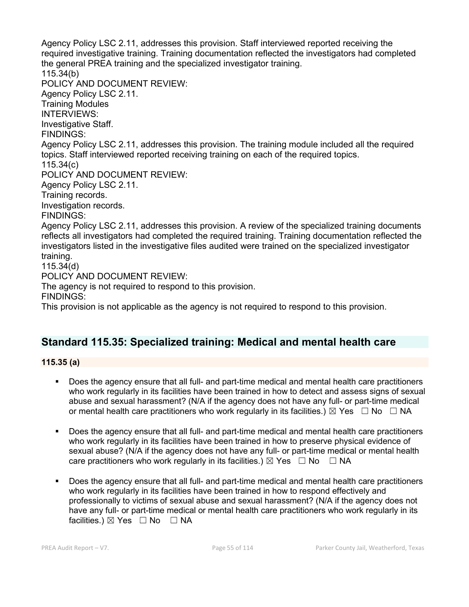Agency Policy LSC 2.11, addresses this provision. Staff interviewed reported receiving the required investigative training. Training documentation reflected the investigators had completed the general PREA training and the specialized investigator training. 115.34(b) POLICY AND DOCUMENT REVIEW: Agency Policy LSC 2.11. Training Modules INTERVIEWS: Investigative Staff. FINDINGS: Agency Policy LSC 2.11, addresses this provision. The training module included all the required topics. Staff interviewed reported receiving training on each of the required topics. 115.34(c) POLICY AND DOCUMENT REVIEW: Agency Policy LSC 2.11. Training records. Investigation records. FINDINGS: Agency Policy LSC 2.11, addresses this provision. A review of the specialized training documents reflects all investigators had completed the required training. Training documentation reflected the investigators listed in the investigative files audited were trained on the specialized investigator training. 115.34(d) POLICY AND DOCUMENT REVIEW: The agency is not required to respond to this provision. FINDINGS:

This provision is not applicable as the agency is not required to respond to this provision.

## **Standard 115.35: Specialized training: Medical and mental health care**

**115.35 (a)**

- Does the agency ensure that all full- and part-time medical and mental health care practitioners who work regularly in its facilities have been trained in how to detect and assess signs of sexual abuse and sexual harassment? (N/A if the agency does not have any full- or part-time medical or mental health care practitioners who work regularly in its facilities.)  $\boxtimes$  Yes  $\Box$  No  $\Box$  NA
- Does the agency ensure that all full- and part-time medical and mental health care practitioners who work regularly in its facilities have been trained in how to preserve physical evidence of sexual abuse? (N/A if the agency does not have any full- or part-time medical or mental health care practitioners who work regularly in its facilities.)  $\boxtimes$  Yes  $\Box$  No  $\Box$  NA
- Does the agency ensure that all full- and part-time medical and mental health care practitioners who work regularly in its facilities have been trained in how to respond effectively and professionally to victims of sexual abuse and sexual harassment? (N/A if the agency does not have any full- or part-time medical or mental health care practitioners who work regularly in its facilities.)  $\boxtimes$  Yes  $\Box$  No  $\Box$  NA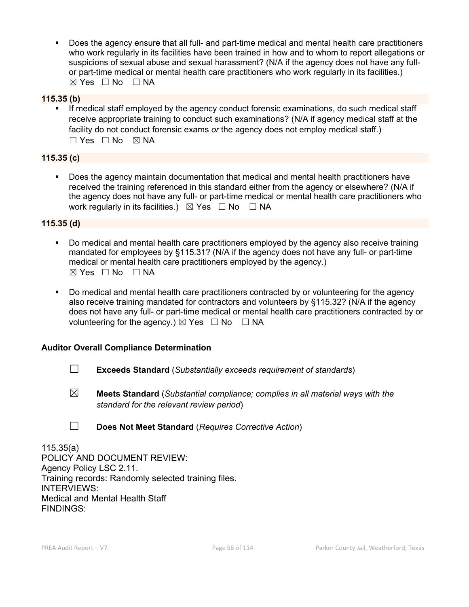Does the agency ensure that all full- and part-time medical and mental health care practitioners who work regularly in its facilities have been trained in how and to whom to report allegations or suspicions of sexual abuse and sexual harassment? (N/A if the agency does not have any fullor part-time medical or mental health care practitioners who work regularly in its facilities.)  $\boxtimes$  Yes  $\Box$  No  $\Box$  NA

#### **115.35 (b)**

 If medical staff employed by the agency conduct forensic examinations, do such medical staff receive appropriate training to conduct such examinations? (N/A if agency medical staff at the facility do not conduct forensic exams *or* the agency does not employ medical staff.)  $\Box$  Yes  $\Box$  No  $\boxtimes$  NA

#### **115.35 (c)**

 Does the agency maintain documentation that medical and mental health practitioners have received the training referenced in this standard either from the agency or elsewhere? (N/A if the agency does not have any full- or part-time medical or mental health care practitioners who work regularly in its facilities.)  $\boxtimes$  Yes  $\Box$  No  $\Box$  NA

#### **115.35 (d)**

- Do medical and mental health care practitioners employed by the agency also receive training mandated for employees by §115.31? (N/A if the agency does not have any full- or part-time medical or mental health care practitioners employed by the agency.)  $\boxtimes$  Yes  $\Box$  No  $\Box$  NA
- Do medical and mental health care practitioners contracted by or volunteering for the agency also receive training mandated for contractors and volunteers by §115.32? (N/A if the agency does not have any full- or part-time medical or mental health care practitioners contracted by or volunteering for the agency.)  $\boxtimes$  Yes  $\Box$  No  $\Box$  NA

#### **Auditor Overall Compliance Determination**

- ☐ **Exceeds Standard** (*Substantially exceeds requirement of standards*)
- ☒ **Meets Standard** (*Substantial compliance; complies in all material ways with the standard for the relevant review period*)
- ☐ **Does Not Meet Standard** (*Requires Corrective Action*)

115.35(a) POLICY AND DOCUMENT REVIEW: Agency Policy LSC 2.11. Training records: Randomly selected training files. INTERVIEWS: Medical and Mental Health Staff FINDINGS: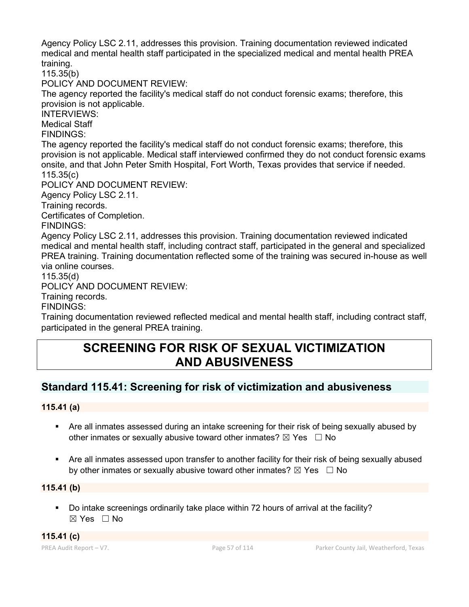Agency Policy LSC 2.11, addresses this provision. Training documentation reviewed indicated medical and mental health staff participated in the specialized medical and mental health PREA training.

115.35(b)

POLICY AND DOCUMENT REVIEW:

The agency reported the facility's medical staff do not conduct forensic exams; therefore, this provision is not applicable.

INTERVIEWS:

Medical Staff

FINDINGS:

The agency reported the facility's medical staff do not conduct forensic exams; therefore, this provision is not applicable. Medical staff interviewed confirmed they do not conduct forensic exams onsite, and that John Peter Smith Hospital, Fort Worth, Texas provides that service if needed. 115.35(c)

POLICY AND DOCUMENT REVIEW:

Agency Policy LSC 2.11.

Training records.

Certificates of Completion.

FINDINGS:

Agency Policy LSC 2.11, addresses this provision. Training documentation reviewed indicated medical and mental health staff, including contract staff, participated in the general and specialized PREA training. Training documentation reflected some of the training was secured in-house as well via online courses.

115.35(d)

POLICY AND DOCUMENT REVIEW:

Training records.

FINDINGS:

Training documentation reviewed reflected medical and mental health staff, including contract staff, participated in the general PREA training.

# **SCREENING FOR RISK OF SEXUAL VICTIMIZATION AND ABUSIVENESS**

## **Standard 115.41: Screening for risk of victimization and abusiveness**

#### **115.41 (a)**

- Are all inmates assessed during an intake screening for their risk of being sexually abused by other inmates or sexually abusive toward other inmates?  $\boxtimes$  Yes  $\Box$  No
- Are all inmates assessed upon transfer to another facility for their risk of being sexually abused by other inmates or sexually abusive toward other inmates?  $\boxtimes$  Yes  $\Box$  No

#### **115.41 (b)**

 Do intake screenings ordinarily take place within 72 hours of arrival at the facility? ☒ Yes ☐ No

**115.41 (c)**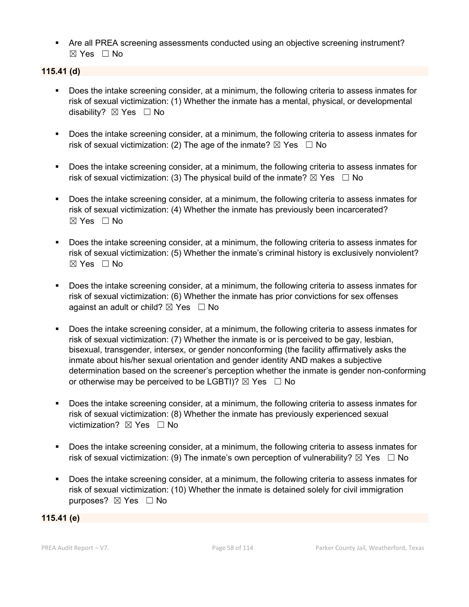Are all PREA screening assessments conducted using an objective screening instrument? ☒ Yes ☐ No

#### **115.41 (d)**

- Does the intake screening consider, at a minimum, the following criteria to assess inmates for risk of sexual victimization: (1) Whether the inmate has a mental, physical, or developmental disability? **⊠** Yes □ No
- **Does the intake screening consider, at a minimum, the following criteria to assess inmates for** risk of sexual victimization: (2) The age of the inmate?  $\boxtimes$  Yes  $\Box$  No
- Does the intake screening consider, at a minimum, the following criteria to assess inmates for risk of sexual victimization: (3) The physical build of the inmate?  $\boxtimes$  Yes  $\Box$  No
- Does the intake screening consider, at a minimum, the following criteria to assess inmates for risk of sexual victimization: (4) Whether the inmate has previously been incarcerated?  $\boxtimes$  Yes  $\Box$  No
- Does the intake screening consider, at a minimum, the following criteria to assess inmates for risk of sexual victimization: (5) Whether the inmate's criminal history is exclusively nonviolent?  $\boxtimes$  Yes  $\Box$  No
- **Does the intake screening consider, at a minimum, the following criteria to assess inmates for** risk of sexual victimization: (6) Whether the inmate has prior convictions for sex offenses against an adult or child?  $\boxtimes$  Yes  $\Box$  No
- Does the intake screening consider, at a minimum, the following criteria to assess inmates for risk of sexual victimization: (7) Whether the inmate is or is perceived to be gay, lesbian, bisexual, transgender, intersex, or gender nonconforming (the facility affirmatively asks the inmate about his/her sexual orientation and gender identity AND makes a subjective determination based on the screener's perception whether the inmate is gender non-conforming or otherwise may be perceived to be LGBTI)?  $\boxtimes$  Yes  $\Box$  No
- Does the intake screening consider, at a minimum, the following criteria to assess inmates for risk of sexual victimization: (8) Whether the inmate has previously experienced sexual victimization?  $\boxtimes$  Yes  $\Box$  No
- **Does the intake screening consider, at a minimum, the following criteria to assess inmates for** risk of sexual victimization: (9) The inmate's own perception of vulnerability?  $\boxtimes$  Yes  $\Box$  No
- Does the intake screening consider, at a minimum, the following criteria to assess inmates for risk of sexual victimization: (10) Whether the inmate is detained solely for civil immigration purposes? ⊠ Yes □ No

#### **115.41 (e)**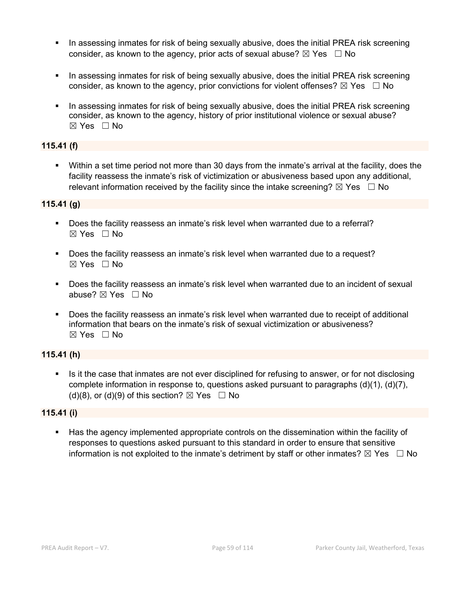- In assessing inmates for risk of being sexually abusive, does the initial PREA risk screening consider, as known to the agency, prior acts of sexual abuse?  $\boxtimes$  Yes  $\Box$  No
- In assessing inmates for risk of being sexually abusive, does the initial PREA risk screening consider, as known to the agency, prior convictions for violent offenses?  $\boxtimes$  Yes  $\Box$  No
- In assessing inmates for risk of being sexually abusive, does the initial PREA risk screening consider, as known to the agency, history of prior institutional violence or sexual abuse? ☒ Yes ☐ No

### **115.41 (f)**

 Within a set time period not more than 30 days from the inmate's arrival at the facility, does the facility reassess the inmate's risk of victimization or abusiveness based upon any additional, relevant information received by the facility since the intake screening?  $\boxtimes$  Yes  $\Box$  No

## **115.41 (g)**

- Does the facility reassess an inmate's risk level when warranted due to a referral? ☒ Yes ☐ No
- Does the facility reassess an inmate's risk level when warranted due to a request? ☒ Yes ☐ No
- Does the facility reassess an inmate's risk level when warranted due to an incident of sexual abuse? ⊠ Yes □ No
- Does the facility reassess an inmate's risk level when warranted due to receipt of additional information that bears on the inmate's risk of sexual victimization or abusiveness?  $\boxtimes$  Yes  $\Box$  No

## **115.41 (h)**

Is it the case that inmates are not ever disciplined for refusing to answer, or for not disclosing complete information in response to, questions asked pursuant to paragraphs  $(d)(1)$ ,  $(d)(7)$ , (d)(8), or (d)(9) of this section?  $\boxtimes$  Yes  $\Box$  No

## **115.41 (i)**

 Has the agency implemented appropriate controls on the dissemination within the facility of responses to questions asked pursuant to this standard in order to ensure that sensitive information is not exploited to the inmate's detriment by staff or other inmates?  $\boxtimes$  Yes  $\Box$  No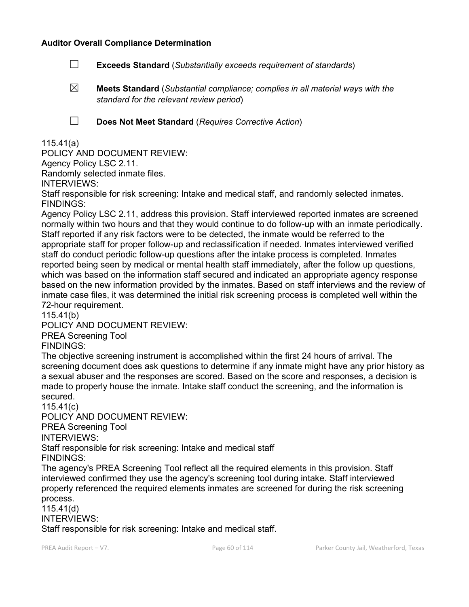#### **Auditor Overall Compliance Determination**

- ☐ **Exceeds Standard** (*Substantially exceeds requirement of standards*)
- ☒ **Meets Standard** (*Substantial compliance; complies in all material ways with the standard for the relevant review period*)

☐ **Does Not Meet Standard** (*Requires Corrective Action*)

### 115.41(a)

POLICY AND DOCUMENT REVIEW:

Agency Policy LSC 2.11.

Randomly selected inmate files.

INTERVIEWS:

Staff responsible for risk screening: Intake and medical staff, and randomly selected inmates. FINDINGS:

Agency Policy LSC 2.11, address this provision. Staff interviewed reported inmates are screened normally within two hours and that they would continue to do follow-up with an inmate periodically. Staff reported if any risk factors were to be detected, the inmate would be referred to the appropriate staff for proper follow-up and reclassification if needed. Inmates interviewed verified staff do conduct periodic follow-up questions after the intake process is completed. Inmates reported being seen by medical or mental health staff immediately, after the follow up questions, which was based on the information staff secured and indicated an appropriate agency response based on the new information provided by the inmates. Based on staff interviews and the review of inmate case files, it was determined the initial risk screening process is completed well within the 72-hour requirement.

115.41(b)

POLICY AND DOCUMENT REVIEW:

PREA Screening Tool

FINDINGS:

The objective screening instrument is accomplished within the first 24 hours of arrival. The screening document does ask questions to determine if any inmate might have any prior history as a sexual abuser and the responses are scored. Based on the score and responses, a decision is made to properly house the inmate. Intake staff conduct the screening, and the information is secured.

115.41(c)

POLICY AND DOCUMENT REVIEW:

PREA Screening Tool

INTERVIEWS:

Staff responsible for risk screening: Intake and medical staff

FINDINGS:

The agency's PREA Screening Tool reflect all the required elements in this provision. Staff interviewed confirmed they use the agency's screening tool during intake. Staff interviewed properly referenced the required elements inmates are screened for during the risk screening process.

115.41(d)

INTERVIEWS:

Staff responsible for risk screening: Intake and medical staff.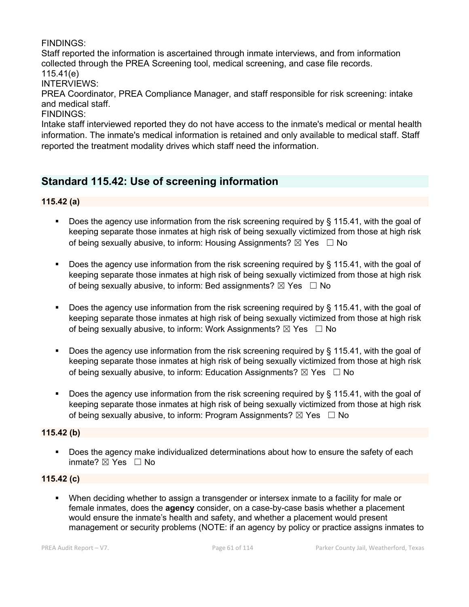## FINDINGS:

Staff reported the information is ascertained through inmate interviews, and from information collected through the PREA Screening tool, medical screening, and case file records. 115.41(e)

INTERVIEWS:

PREA Coordinator, PREA Compliance Manager, and staff responsible for risk screening: intake and medical staff.

FINDINGS:

Intake staff interviewed reported they do not have access to the inmate's medical or mental health information. The inmate's medical information is retained and only available to medical staff. Staff reported the treatment modality drives which staff need the information.

## **Standard 115.42: Use of screening information**

**115.42 (a)**

- Does the agency use information from the risk screening required by § 115.41, with the goal of keeping separate those inmates at high risk of being sexually victimized from those at high risk of being sexually abusive, to inform: Housing Assignments?  $\boxtimes$  Yes  $\Box$  No
- Does the agency use information from the risk screening required by  $\S$  115.41, with the goal of keeping separate those inmates at high risk of being sexually victimized from those at high risk of being sexually abusive, to inform: Bed assignments?  $\boxtimes$  Yes  $\Box$  No
- Does the agency use information from the risk screening required by § 115.41, with the goal of keeping separate those inmates at high risk of being sexually victimized from those at high risk of being sexually abusive, to inform: Work Assignments?  $\boxtimes$  Yes  $\Box$  No
- Does the agency use information from the risk screening required by  $\S$  115.41, with the goal of keeping separate those inmates at high risk of being sexually victimized from those at high risk of being sexually abusive, to inform: Education Assignments?  $\boxtimes$  Yes  $\Box$  No
- Does the agency use information from the risk screening required by § 115.41, with the goal of keeping separate those inmates at high risk of being sexually victimized from those at high risk of being sexually abusive, to inform: Program Assignments?  $\boxtimes$  Yes  $\Box$  No

#### **115.42 (b)**

**Does the agency make individualized determinations about how to ensure the safety of each** inmate? ⊠ Yes □ No

#### **115.42 (c)**

 When deciding whether to assign a transgender or intersex inmate to a facility for male or female inmates, does the **agency** consider, on a case-by-case basis whether a placement would ensure the inmate's health and safety, and whether a placement would present management or security problems (NOTE: if an agency by policy or practice assigns inmates to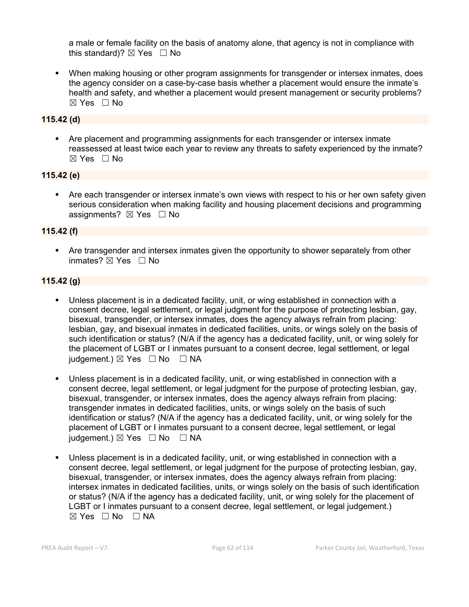a male or female facility on the basis of anatomy alone, that agency is not in compliance with this standard)?  $\boxtimes$  Yes  $\Box$  No

 When making housing or other program assignments for transgender or intersex inmates, does the agency consider on a case-by-case basis whether a placement would ensure the inmate's health and safety, and whether a placement would present management or security problems?  $\boxtimes$  Yes  $\Box$  No

### **115.42 (d)**

 Are placement and programming assignments for each transgender or intersex inmate reassessed at least twice each year to review any threats to safety experienced by the inmate? ☒ Yes ☐ No

### **115.42 (e)**

 Are each transgender or intersex inmate's own views with respect to his or her own safety given serious consideration when making facility and housing placement decisions and programming assignments?  $\boxtimes$  Yes  $\Box$  No

#### **115.42 (f)**

 Are transgender and intersex inmates given the opportunity to shower separately from other inmates? ☒ Yes ☐ No

## **115.42 (g)**

- Unless placement is in a dedicated facility, unit, or wing established in connection with a consent decree, legal settlement, or legal judgment for the purpose of protecting lesbian, gay, bisexual, transgender, or intersex inmates, does the agency always refrain from placing: lesbian, gay, and bisexual inmates in dedicated facilities, units, or wings solely on the basis of such identification or status? (N/A if the agency has a dedicated facility, unit, or wing solely for the placement of LGBT or I inmates pursuant to a consent decree, legal settlement, or legal judgement.)  $\boxtimes$  Yes  $\Box$  No  $\Box$  NA
- Unless placement is in a dedicated facility, unit, or wing established in connection with a consent decree, legal settlement, or legal judgment for the purpose of protecting lesbian, gay, bisexual, transgender, or intersex inmates, does the agency always refrain from placing: transgender inmates in dedicated facilities, units, or wings solely on the basis of such identification or status? (N/A if the agency has a dedicated facility, unit, or wing solely for the placement of LGBT or I inmates pursuant to a consent decree, legal settlement, or legal judgement.)  $\boxtimes$  Yes  $\Box$  No  $\Box$  NA
- Unless placement is in a dedicated facility, unit, or wing established in connection with a consent decree, legal settlement, or legal judgment for the purpose of protecting lesbian, gay, bisexual, transgender, or intersex inmates, does the agency always refrain from placing: intersex inmates in dedicated facilities, units, or wings solely on the basis of such identification or status? (N/A if the agency has a dedicated facility, unit, or wing solely for the placement of LGBT or I inmates pursuant to a consent decree, legal settlement, or legal judgement.)  $\boxtimes$  Yes  $\Box$  No  $\Box$  NA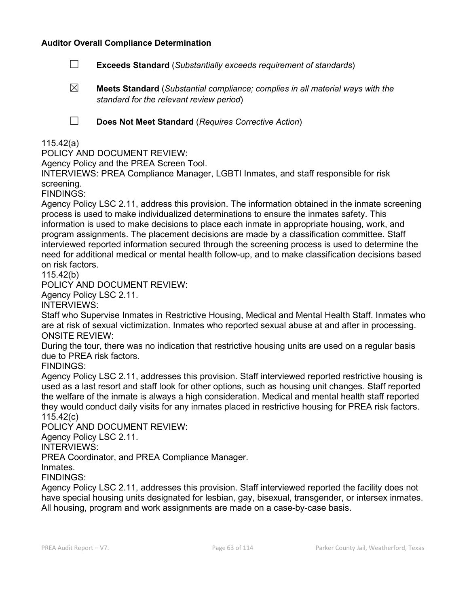#### **Auditor Overall Compliance Determination**

- ☐ **Exceeds Standard** (*Substantially exceeds requirement of standards*)
- ☒ **Meets Standard** (*Substantial compliance; complies in all material ways with the standard for the relevant review period*)
- 

☐ **Does Not Meet Standard** (*Requires Corrective Action*)

### 115.42(a)

POLICY AND DOCUMENT REVIEW:

Agency Policy and the PREA Screen Tool.

INTERVIEWS: PREA Compliance Manager, LGBTI Inmates, and staff responsible for risk screening.

FINDINGS:

Agency Policy LSC 2.11, address this provision. The information obtained in the inmate screening process is used to make individualized determinations to ensure the inmates safety. This information is used to make decisions to place each inmate in appropriate housing, work, and program assignments. The placement decisions are made by a classification committee. Staff interviewed reported information secured through the screening process is used to determine the need for additional medical or mental health follow-up, and to make classification decisions based on risk factors.

115.42(b)

POLICY AND DOCUMENT REVIEW:

Agency Policy LSC 2.11.

INTERVIEWS:

Staff who Supervise Inmates in Restrictive Housing, Medical and Mental Health Staff. Inmates who are at risk of sexual victimization. Inmates who reported sexual abuse at and after in processing. ONSITE REVIEW:

During the tour, there was no indication that restrictive housing units are used on a regular basis due to PREA risk factors.

FINDINGS:

Agency Policy LSC 2.11, addresses this provision. Staff interviewed reported restrictive housing is used as a last resort and staff look for other options, such as housing unit changes. Staff reported the welfare of the inmate is always a high consideration. Medical and mental health staff reported they would conduct daily visits for any inmates placed in restrictive housing for PREA risk factors. 115.42(c)

POLICY AND DOCUMENT REVIEW:

Agency Policy LSC 2.11.

INTERVIEWS:

PREA Coordinator, and PREA Compliance Manager.

Inmates.

FINDINGS:

Agency Policy LSC 2.11, addresses this provision. Staff interviewed reported the facility does not have special housing units designated for lesbian, gay, bisexual, transgender, or intersex inmates. All housing, program and work assignments are made on a case-by-case basis.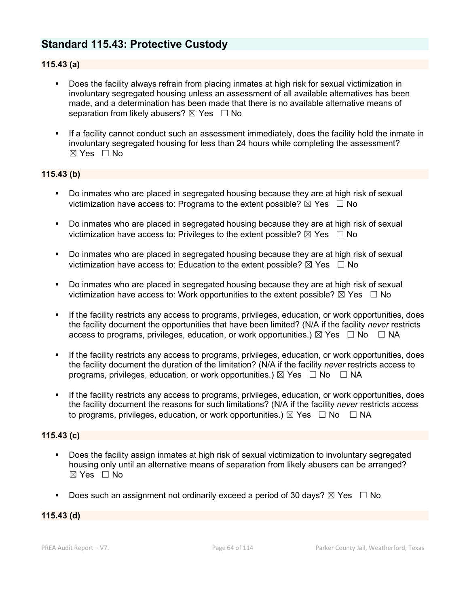## **Standard 115.43: Protective Custody**

### **115.43 (a)**

- Does the facility always refrain from placing inmates at high risk for sexual victimization in involuntary segregated housing unless an assessment of all available alternatives has been made, and a determination has been made that there is no available alternative means of separation from likely abusers?  $\boxtimes$  Yes  $\Box$  No
- If a facility cannot conduct such an assessment immediately, does the facility hold the inmate in involuntary segregated housing for less than 24 hours while completing the assessment? ☒ Yes ☐ No

#### **115.43 (b)**

- **Do inmates who are placed in segregated housing because they are at high risk of sexual** victimization have access to: Programs to the extent possible?  $\boxtimes$  Yes  $\Box$  No
- Do inmates who are placed in segregated housing because they are at high risk of sexual victimization have access to: Privileges to the extent possible?  $\boxtimes$  Yes  $\Box$  No
- Do inmates who are placed in segregated housing because they are at high risk of sexual victimization have access to: Education to the extent possible?  $\boxtimes$  Yes  $\Box$  No
- Do inmates who are placed in segregated housing because they are at high risk of sexual victimization have access to: Work opportunities to the extent possible?  $\boxtimes$  Yes  $\Box$  No
- If the facility restricts any access to programs, privileges, education, or work opportunities, does the facility document the opportunities that have been limited? (N/A if the facility *never* restricts access to programs, privileges, education, or work opportunities.)  $\boxtimes$  Yes  $\Box$  No  $\Box$  NA
- If the facility restricts any access to programs, privileges, education, or work opportunities, does the facility document the duration of the limitation? (N/A if the facility *never* restricts access to programs, privileges, education, or work opportunities.)  $\boxtimes$  Yes  $\Box$  No  $\Box$  NA
- If the facility restricts any access to programs, privileges, education, or work opportunities, does the facility document the reasons for such limitations? (N/A if the facility *never* restricts access to programs, privileges, education, or work opportunities.)  $\boxtimes$  Yes  $\Box$  No  $\Box$  NA

#### **115.43 (c)**

- Does the facility assign inmates at high risk of sexual victimization to involuntary segregated housing only until an alternative means of separation from likely abusers can be arranged? ☒ Yes ☐ No
- Does such an assignment not ordinarily exceed a period of 30 days?  $\boxtimes$  Yes  $\Box$  No

#### **115.43 (d)**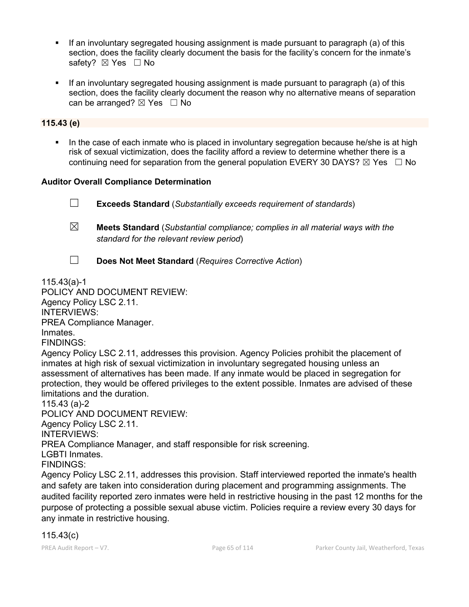- If an involuntary segregated housing assignment is made pursuant to paragraph (a) of this section, does the facility clearly document the basis for the facility's concern for the inmate's safety? ⊠ Yes □ No
- If an involuntary segregated housing assignment is made pursuant to paragraph (a) of this section, does the facility clearly document the reason why no alternative means of separation can be arranged?  $\boxtimes$  Yes  $\Box$  No

#### **115.43 (e)**

 In the case of each inmate who is placed in involuntary segregation because he/she is at high risk of sexual victimization, does the facility afford a review to determine whether there is a continuing need for separation from the general population EVERY 30 DAYS?  $\boxtimes$  Yes  $\Box$  No

#### **Auditor Overall Compliance Determination**

☐ **Exceeds Standard** (*Substantially exceeds requirement of standards*)

- ☒ **Meets Standard** (*Substantial compliance; complies in all material ways with the standard for the relevant review period*)
- ☐ **Does Not Meet Standard** (*Requires Corrective Action*)

115.43(a)-1

POLICY AND DOCUMENT REVIEW:

Agency Policy LSC 2.11.

INTERVIEWS:

PREA Compliance Manager.

Inmates.

FINDINGS:

Agency Policy LSC 2.11, addresses this provision. Agency Policies prohibit the placement of inmates at high risk of sexual victimization in involuntary segregated housing unless an assessment of alternatives has been made. If any inmate would be placed in segregation for protection, they would be offered privileges to the extent possible. Inmates are advised of these limitations and the duration.

115.43 (a)-2

POLICY AND DOCUMENT REVIEW: Agency Policy LSC 2.11. INTERVIEWS: PREA Compliance Manager, and staff responsible for risk screening. LGBTI Inmates.

FINDINGS:

Agency Policy LSC 2.11, addresses this provision. Staff interviewed reported the inmate's health and safety are taken into consideration during placement and programming assignments. The audited facility reported zero inmates were held in restrictive housing in the past 12 months for the purpose of protecting a possible sexual abuse victim. Policies require a review every 30 days for any inmate in restrictive housing.

## 115.43(c)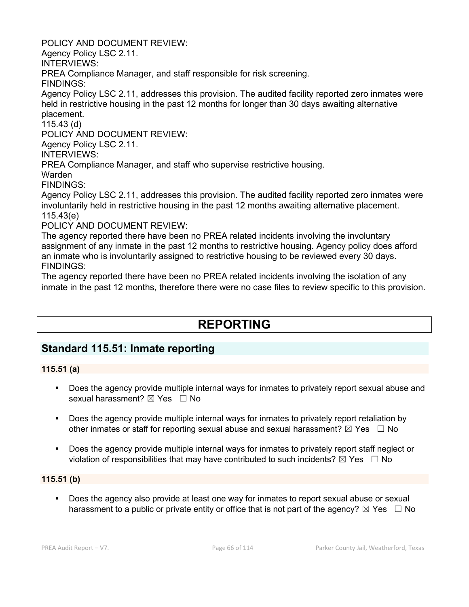POLICY AND DOCUMENT REVIEW:

Agency Policy LSC 2.11.

INTERVIEWS:

PREA Compliance Manager, and staff responsible for risk screening.

FINDINGS:

Agency Policy LSC 2.11, addresses this provision. The audited facility reported zero inmates were held in restrictive housing in the past 12 months for longer than 30 days awaiting alternative placement.

115.43 (d)

POLICY AND DOCUMENT REVIEW:

Agency Policy LSC 2.11.

INTERVIEWS:

PREA Compliance Manager, and staff who supervise restrictive housing.

Warden

FINDINGS:

Agency Policy LSC 2.11, addresses this provision. The audited facility reported zero inmates were involuntarily held in restrictive housing in the past 12 months awaiting alternative placement. 115.43(e)

POLICY AND DOCUMENT REVIEW:

The agency reported there have been no PREA related incidents involving the involuntary assignment of any inmate in the past 12 months to restrictive housing. Agency policy does afford an inmate who is involuntarily assigned to restrictive housing to be reviewed every 30 days. FINDINGS:

The agency reported there have been no PREA related incidents involving the isolation of any inmate in the past 12 months, therefore there were no case files to review specific to this provision.

# **REPORTING**

## **Standard 115.51: Inmate reporting**

## **115.51 (a)**

- **Does the agency provide multiple internal ways for inmates to privately report sexual abuse and** sexual harassment?  $\boxtimes$  Yes  $\Box$  No
- Does the agency provide multiple internal ways for inmates to privately report retaliation by other inmates or staff for reporting sexual abuse and sexual harassment?  $\boxtimes$  Yes  $\Box$  No
- Does the agency provide multiple internal ways for inmates to privately report staff neglect or violation of responsibilities that may have contributed to such incidents?  $\boxtimes$  Yes  $\Box$  No

## **115.51 (b)**

 Does the agency also provide at least one way for inmates to report sexual abuse or sexual harassment to a public or private entity or office that is not part of the agency?  $\boxtimes$  Yes  $\Box$  No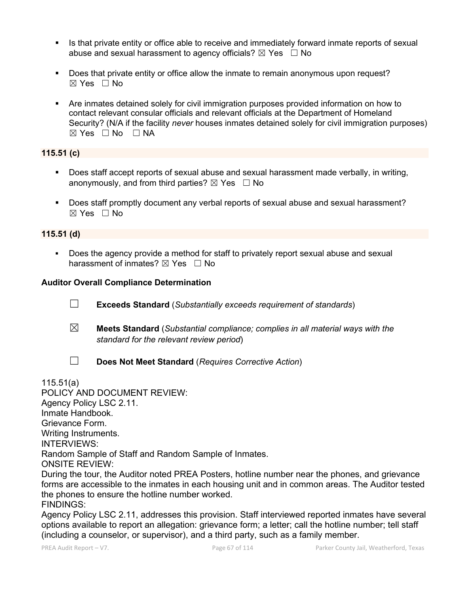- Is that private entity or office able to receive and immediately forward inmate reports of sexual abuse and sexual harassment to agency officials?  $\boxtimes$  Yes  $\Box$  No
- Does that private entity or office allow the inmate to remain anonymous upon request?  $\boxtimes$  Yes  $\Box$  No
- Are inmates detained solely for civil immigration purposes provided information on how to contact relevant consular officials and relevant officials at the Department of Homeland Security? (N/A if the facility *never* houses inmates detained solely for civil immigration purposes)  $⊠ Yes □ No □ NA$

## **115.51 (c)**

- Does staff accept reports of sexual abuse and sexual harassment made verbally, in writing, anonymously, and from third parties?  $\boxtimes$  Yes  $\Box$  No
- Does staff promptly document any verbal reports of sexual abuse and sexual harassment?  $\boxtimes$  Yes  $\Box$  No

#### **115.51 (d)**

 Does the agency provide a method for staff to privately report sexual abuse and sexual harassment of inmates?  $\boxtimes$  Yes  $\Box$  No

#### **Auditor Overall Compliance Determination**

- ☐ **Exceeds Standard** (*Substantially exceeds requirement of standards*)
- ☒ **Meets Standard** (*Substantial compliance; complies in all material ways with the standard for the relevant review period*)
- 
- ☐ **Does Not Meet Standard** (*Requires Corrective Action*)

115.51(a)

POLICY AND DOCUMENT REVIEW: Agency Policy LSC 2.11. Inmate Handbook. Grievance Form. Writing Instruments. INTERVIEWS: Random Sample of Staff and Random Sample of Inmates. ONSITE REVIEW: During the tour, the Auditor noted PREA Posters, hotline number near the phones, and grievance forms are accessible to the inmates in each housing unit and in common areas. The Auditor tested the phones to ensure the hotline number worked.

FINDINGS:

Agency Policy LSC 2.11, addresses this provision. Staff interviewed reported inmates have several options available to report an allegation: grievance form; a letter; call the hotline number; tell staff (including a counselor, or supervisor), and a third party, such as a family member.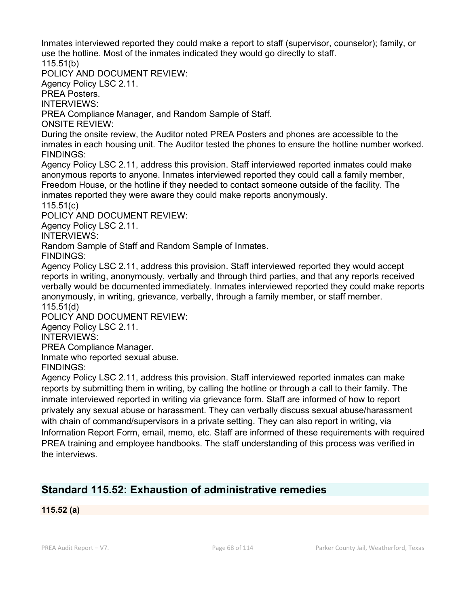Inmates interviewed reported they could make a report to staff (supervisor, counselor); family, or use the hotline. Most of the inmates indicated they would go directly to staff. 115.51(b)

POLICY AND DOCUMENT REVIEW:

Agency Policy LSC 2.11.

PREA Posters.

INTERVIEWS:

PREA Compliance Manager, and Random Sample of Staff.

ONSITE REVIEW:

During the onsite review, the Auditor noted PREA Posters and phones are accessible to the inmates in each housing unit. The Auditor tested the phones to ensure the hotline number worked. FINDINGS:

Agency Policy LSC 2.11, address this provision. Staff interviewed reported inmates could make anonymous reports to anyone. Inmates interviewed reported they could call a family member, Freedom House, or the hotline if they needed to contact someone outside of the facility. The inmates reported they were aware they could make reports anonymously.

115.51(c)

POLICY AND DOCUMENT REVIEW:

Agency Policy LSC 2.11.

INTERVIEWS:

Random Sample of Staff and Random Sample of Inmates.

FINDINGS:

Agency Policy LSC 2.11, address this provision. Staff interviewed reported they would accept reports in writing, anonymously, verbally and through third parties, and that any reports received verbally would be documented immediately. Inmates interviewed reported they could make reports anonymously, in writing, grievance, verbally, through a family member, or staff member. 115.51(d)

POLICY AND DOCUMENT REVIEW: Agency Policy LSC 2.11.

INTERVIEWS:

PREA Compliance Manager.

Inmate who reported sexual abuse.

FINDINGS:

Agency Policy LSC 2.11, address this provision. Staff interviewed reported inmates can make reports by submitting them in writing, by calling the hotline or through a call to their family. The inmate interviewed reported in writing via grievance form. Staff are informed of how to report privately any sexual abuse or harassment. They can verbally discuss sexual abuse/harassment with chain of command/supervisors in a private setting. They can also report in writing, via Information Report Form, email, memo, etc. Staff are informed of these requirements with required PREA training and employee handbooks. The staff understanding of this process was verified in the interviews.

## **Standard 115.52: Exhaustion of administrative remedies**

**115.52 (a)**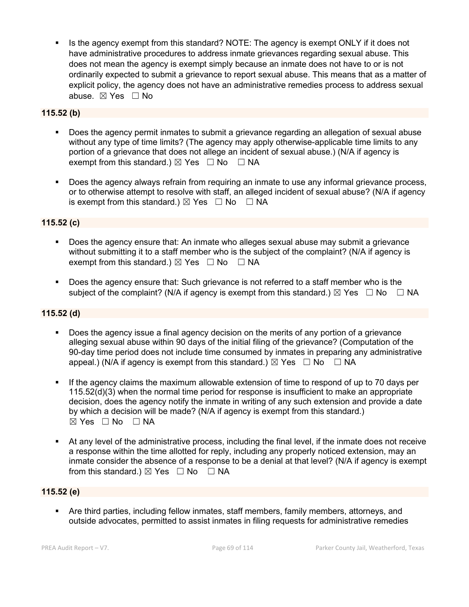Is the agency exempt from this standard? NOTE: The agency is exempt ONLY if it does not have administrative procedures to address inmate grievances regarding sexual abuse. This does not mean the agency is exempt simply because an inmate does not have to or is not ordinarily expected to submit a grievance to report sexual abuse. This means that as a matter of explicit policy, the agency does not have an administrative remedies process to address sexual abuse. ☒ Yes ☐ No

### **115.52 (b)**

- Does the agency permit inmates to submit a grievance regarding an allegation of sexual abuse without any type of time limits? (The agency may apply otherwise-applicable time limits to any portion of a grievance that does not allege an incident of sexual abuse.) (N/A if agency is exempt from this standard.)  $\boxtimes$  Yes  $\Box$  No  $\Box$  NA
- Does the agency always refrain from requiring an inmate to use any informal grievance process, or to otherwise attempt to resolve with staff, an alleged incident of sexual abuse? (N/A if agency is exempt from this standard.)  $\boxtimes$  Yes  $\Box$  No  $\Box$  NA

### **115.52 (c)**

- Does the agency ensure that: An inmate who alleges sexual abuse may submit a grievance without submitting it to a staff member who is the subject of the complaint? (N/A if agency is exempt from this standard.)  $\boxtimes$  Yes  $\Box$  No  $\Box$  NA
- Does the agency ensure that: Such grievance is not referred to a staff member who is the subject of the complaint? (N/A if agency is exempt from this standard.)  $\boxtimes$  Yes  $\Box$  No  $\Box$  NA

#### **115.52 (d)**

- Does the agency issue a final agency decision on the merits of any portion of a grievance alleging sexual abuse within 90 days of the initial filing of the grievance? (Computation of the 90-day time period does not include time consumed by inmates in preparing any administrative appeal.) (N/A if agency is exempt from this standard.)  $\boxtimes$  Yes  $\Box$  No  $\Box$  NA
- If the agency claims the maximum allowable extension of time to respond of up to 70 days per 115.52(d)(3) when the normal time period for response is insufficient to make an appropriate decision, does the agency notify the inmate in writing of any such extension and provide a date by which a decision will be made? (N/A if agency is exempt from this standard.) ☒ Yes ☐ No ☐ NA
- At any level of the administrative process, including the final level, if the inmate does not receive a response within the time allotted for reply, including any properly noticed extension, may an inmate consider the absence of a response to be a denial at that level? (N/A if agency is exempt from this standard.)  $\boxtimes$  Yes  $\Box$  No  $\Box$  NA

#### **115.52 (e)**

 Are third parties, including fellow inmates, staff members, family members, attorneys, and outside advocates, permitted to assist inmates in filing requests for administrative remedies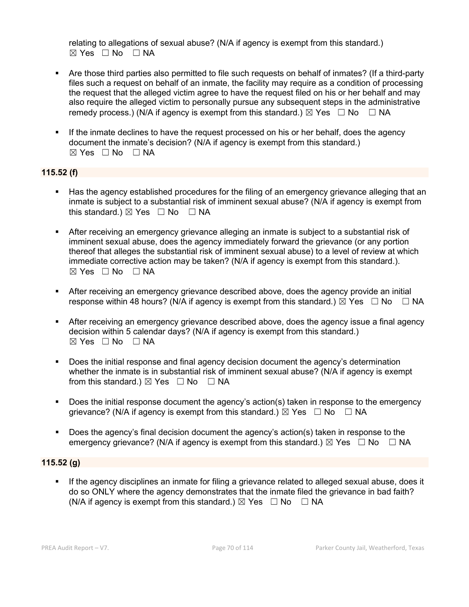relating to allegations of sexual abuse? (N/A if agency is exempt from this standard.)  $\boxtimes$  Yes  $\Box$  No  $\Box$  NA

- Are those third parties also permitted to file such requests on behalf of inmates? (If a third-party files such a request on behalf of an inmate, the facility may require as a condition of processing the request that the alleged victim agree to have the request filed on his or her behalf and may also require the alleged victim to personally pursue any subsequent steps in the administrative remedy process.) (N/A if agency is exempt from this standard.)  $\boxtimes$  Yes  $\Box$  No  $\Box$  NA
- If the inmate declines to have the request processed on his or her behalf, does the agency document the inmate's decision? (N/A if agency is exempt from this standard.) ☒ Yes ☐ No ☐ NA

### **115.52 (f)**

- Has the agency established procedures for the filing of an emergency grievance alleging that an inmate is subject to a substantial risk of imminent sexual abuse? (N/A if agency is exempt from this standard.)  $\boxtimes$  Yes  $\Box$  No  $\Box$  NA
- After receiving an emergency grievance alleging an inmate is subject to a substantial risk of imminent sexual abuse, does the agency immediately forward the grievance (or any portion thereof that alleges the substantial risk of imminent sexual abuse) to a level of review at which immediate corrective action may be taken? (N/A if agency is exempt from this standard.).  $\boxtimes$  Yes  $\Box$  No  $\Box$  NA
- After receiving an emergency grievance described above, does the agency provide an initial response within 48 hours? (N/A if agency is exempt from this standard.)  $\boxtimes$  Yes  $\Box$  No  $\Box$  NA
- After receiving an emergency grievance described above, does the agency issue a final agency decision within 5 calendar days? (N/A if agency is exempt from this standard.) ☒ Yes ☐ No ☐ NA
- Does the initial response and final agency decision document the agency's determination whether the inmate is in substantial risk of imminent sexual abuse? (N/A if agency is exempt from this standard.)  $\boxtimes$  Yes  $\Box$  No  $\Box$  NA
- Does the initial response document the agency's action(s) taken in response to the emergency grievance? (N/A if agency is exempt from this standard.)  $\boxtimes$  Yes  $\Box$  No  $\Box$  NA
- Does the agency's final decision document the agency's action(s) taken in response to the emergency grievance? (N/A if agency is exempt from this standard.)  $\boxtimes$  Yes  $\Box$  No  $\Box$  NA

#### **115.52 (g)**

 If the agency disciplines an inmate for filing a grievance related to alleged sexual abuse, does it do so ONLY where the agency demonstrates that the inmate filed the grievance in bad faith? (N/A if agency is exempt from this standard.)  $\boxtimes$  Yes  $\Box$  No  $\Box$  NA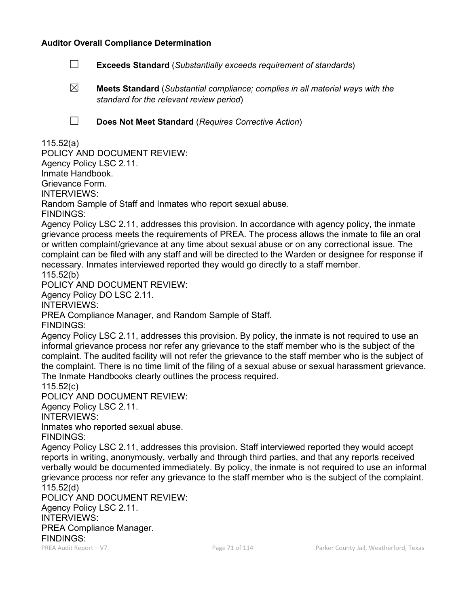#### **Auditor Overall Compliance Determination**

- ☐ **Exceeds Standard** (*Substantially exceeds requirement of standards*)
- ☒ **Meets Standard** (*Substantial compliance; complies in all material ways with the standard for the relevant review period*)
- 
- ☐ **Does Not Meet Standard** (*Requires Corrective Action*)

### 115.52(a)

POLICY AND DOCUMENT REVIEW: Agency Policy LSC 2.11. Inmate Handbook. Grievance Form. INTERVIEWS: Random Sample of Staff and Inmates who report sexual abuse. FINDINGS:

Agency Policy LSC 2.11, addresses this provision. In accordance with agency policy, the inmate grievance process meets the requirements of PREA. The process allows the inmate to file an oral or written complaint/grievance at any time about sexual abuse or on any correctional issue. The complaint can be filed with any staff and will be directed to the Warden or designee for response if necessary. Inmates interviewed reported they would go directly to a staff member. 115.52(b)

POLICY AND DOCUMENT REVIEW:

Agency Policy DO LSC 2.11.

INTERVIEWS:

PREA Compliance Manager, and Random Sample of Staff.

FINDINGS:

Agency Policy LSC 2.11, addresses this provision. By policy, the inmate is not required to use an informal grievance process nor refer any grievance to the staff member who is the subject of the complaint. The audited facility will not refer the grievance to the staff member who is the subject of the complaint. There is no time limit of the filing of a sexual abuse or sexual harassment grievance. The Inmate Handbooks clearly outlines the process required.

115.52(c)

POLICY AND DOCUMENT REVIEW:

Agency Policy LSC 2.11.

INTERVIEWS:

Inmates who reported sexual abuse.

FINDINGS:

Agency Policy LSC 2.11, addresses this provision. Staff interviewed reported they would accept reports in writing, anonymously, verbally and through third parties, and that any reports received verbally would be documented immediately. By policy, the inmate is not required to use an informal grievance process nor refer any grievance to the staff member who is the subject of the complaint. 115.52(d)

POLICY AND DOCUMENT REVIEW: Agency Policy LSC 2.11. INTERVIEWS: PREA Compliance Manager. FINDINGS: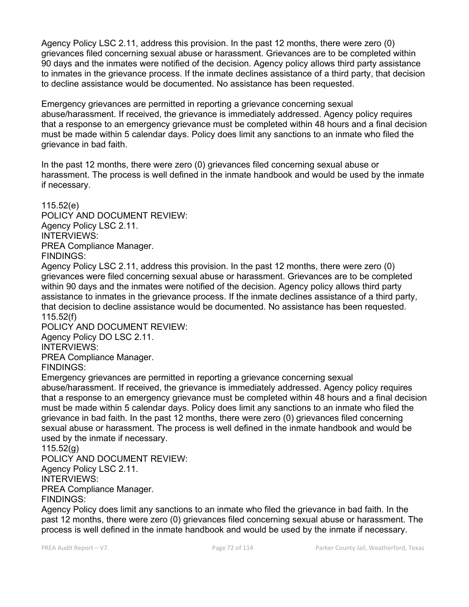Agency Policy LSC 2.11, address this provision. In the past 12 months, there were zero (0) grievances filed concerning sexual abuse or harassment. Grievances are to be completed within 90 days and the inmates were notified of the decision. Agency policy allows third party assistance to inmates in the grievance process. If the inmate declines assistance of a third party, that decision to decline assistance would be documented. No assistance has been requested.

Emergency grievances are permitted in reporting a grievance concerning sexual abuse/harassment. If received, the grievance is immediately addressed. Agency policy requires that a response to an emergency grievance must be completed within 48 hours and a final decision must be made within 5 calendar days. Policy does limit any sanctions to an inmate who filed the grievance in bad faith.

In the past 12 months, there were zero (0) grievances filed concerning sexual abuse or harassment. The process is well defined in the inmate handbook and would be used by the inmate if necessary.

115.52(e) POLICY AND DOCUMENT REVIEW: Agency Policy LSC 2.11. INTERVIEWS: PREA Compliance Manager. FINDINGS:

Agency Policy LSC 2.11, address this provision. In the past 12 months, there were zero (0) grievances were filed concerning sexual abuse or harassment. Grievances are to be completed within 90 days and the inmates were notified of the decision. Agency policy allows third party assistance to inmates in the grievance process. If the inmate declines assistance of a third party, that decision to decline assistance would be documented. No assistance has been requested. 115.52(f)

POLICY AND DOCUMENT REVIEW: Agency Policy DO LSC 2.11.

INTERVIEWS:

PREA Compliance Manager.

FINDINGS:

Emergency grievances are permitted in reporting a grievance concerning sexual abuse/harassment. If received, the grievance is immediately addressed. Agency policy requires that a response to an emergency grievance must be completed within 48 hours and a final decision must be made within 5 calendar days. Policy does limit any sanctions to an inmate who filed the grievance in bad faith. In the past 12 months, there were zero (0) grievances filed concerning sexual abuse or harassment. The process is well defined in the inmate handbook and would be used by the inmate if necessary.

115.52(g)

POLICY AND DOCUMENT REVIEW: Agency Policy LSC 2.11. INTERVIEWS: PREA Compliance Manager. FINDINGS:

Agency Policy does limit any sanctions to an inmate who filed the grievance in bad faith. In the past 12 months, there were zero (0) grievances filed concerning sexual abuse or harassment. The process is well defined in the inmate handbook and would be used by the inmate if necessary.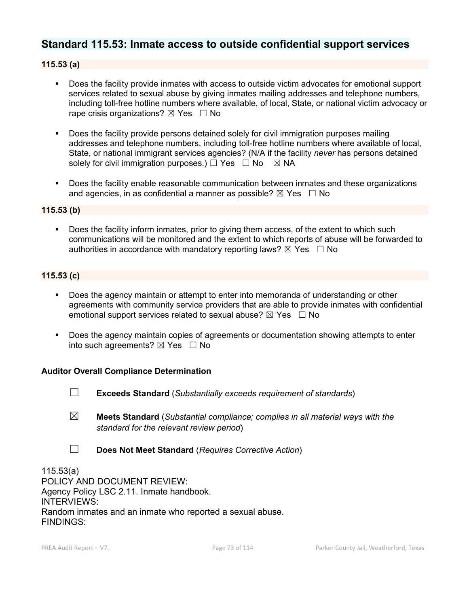# **Standard 115.53: Inmate access to outside confidential support services**

## **115.53 (a)**

- Does the facility provide inmates with access to outside victim advocates for emotional support services related to sexual abuse by giving inmates mailing addresses and telephone numbers, including toll-free hotline numbers where available, of local, State, or national victim advocacy or rape crisis organizations?  $\boxtimes$  Yes  $\Box$  No
- Does the facility provide persons detained solely for civil immigration purposes mailing addresses and telephone numbers, including toll-free hotline numbers where available of local, State, or national immigrant services agencies? (N/A if the facility *never* has persons detained solely for civil immigration purposes.)  $\Box$  Yes  $\Box$  No  $\boxtimes$  NA
- Does the facility enable reasonable communication between inmates and these organizations and agencies, in as confidential a manner as possible?  $\boxtimes$  Yes  $\Box$  No

### **115.53 (b)**

 Does the facility inform inmates, prior to giving them access, of the extent to which such communications will be monitored and the extent to which reports of abuse will be forwarded to authorities in accordance with mandatory reporting laws?  $\boxtimes$  Yes  $\Box$  No

### **115.53 (c)**

- Does the agency maintain or attempt to enter into memoranda of understanding or other agreements with community service providers that are able to provide inmates with confidential emotional support services related to sexual abuse?  $\boxtimes$  Yes  $\Box$  No
- Does the agency maintain copies of agreements or documentation showing attempts to enter into such agreements?  $\boxtimes$  Yes  $\Box$  No

#### **Auditor Overall Compliance Determination**

- 
- ☐ **Exceeds Standard** (*Substantially exceeds requirement of standards*)
- ☒ **Meets Standard** (*Substantial compliance; complies in all material ways with the standard for the relevant review period*)
- ☐ **Does Not Meet Standard** (*Requires Corrective Action*)

115.53(a) POLICY AND DOCUMENT REVIEW: Agency Policy LSC 2.11. Inmate handbook. INTERVIEWS: Random inmates and an inmate who reported a sexual abuse. FINDINGS: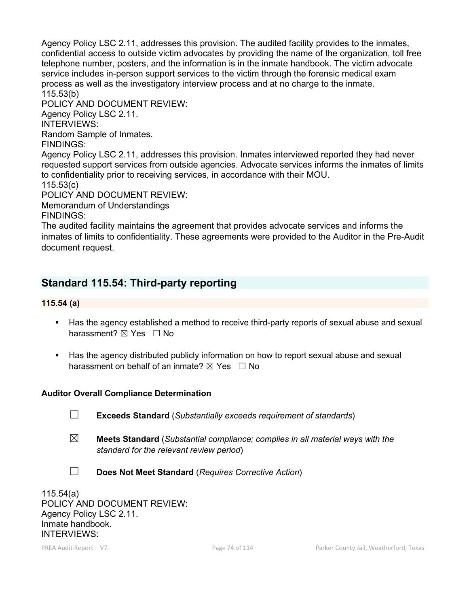Agency Policy LSC 2.11, addresses this provision. The audited facility provides to the inmates, confidential access to outside victim advocates by providing the name of the organization, toll free telephone number, posters, and the information is in the inmate handbook. The victim advocate service includes in-person support services to the victim through the forensic medical exam process as well as the investigatory interview process and at no charge to the inmate. 115.53(b)

POLICY AND DOCUMENT REVIEW: Agency Policy LSC 2.11.

INTERVIEWS:

Random Sample of Inmates.

FINDINGS:

Agency Policy LSC 2.11, addresses this provision. Inmates interviewed reported they had never requested support services from outside agencies. Advocate services informs the inmates of limits to confidentiality prior to receiving services, in accordance with their MOU.

115.53(c)

POLICY AND DOCUMENT REVIEW:

Memorandum of Understandings FINDINGS:

The audited facility maintains the agreement that provides advocate services and informs the inmates of limits to confidentiality. These agreements were provided to the Auditor in the Pre-Audit document request.

# **Standard 115.54: Third-party reporting**

# **115.54 (a)**

- Has the agency established a method to receive third-party reports of sexual abuse and sexual harassment? **⊠** Yes □ No
- Has the agency distributed publicly information on how to report sexual abuse and sexual harassment on behalf of an inmate?  $\boxtimes$  Yes  $\Box$  No

# **Auditor Overall Compliance Determination**

- ☐ **Exceeds Standard** (*Substantially exceeds requirement of standards*)
- ☒ **Meets Standard** (*Substantial compliance; complies in all material ways with the standard for the relevant review period*)
- ☐ **Does Not Meet Standard** (*Requires Corrective Action*)

115.54(a) POLICY AND DOCUMENT REVIEW: Agency Policy LSC 2.11. Inmate handbook. INTERVIEWS: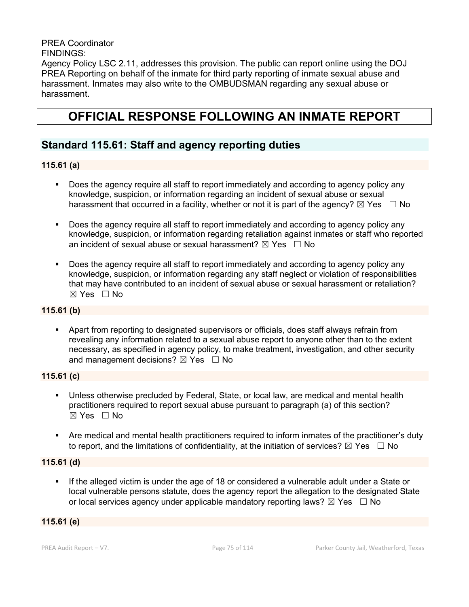PREA Coordinator FINDINGS: Agency Policy LSC 2.11, addresses this provision. The public can report online using the DOJ PREA Reporting on behalf of the inmate for third party reporting of inmate sexual abuse and harassment. Inmates may also write to the OMBUDSMAN regarding any sexual abuse or harassment.

# **OFFICIAL RESPONSE FOLLOWING AN INMATE REPORT**

# **Standard 115.61: Staff and agency reporting duties**

### **115.61 (a)**

- Does the agency require all staff to report immediately and according to agency policy any knowledge, suspicion, or information regarding an incident of sexual abuse or sexual harassment that occurred in a facility, whether or not it is part of the agency?  $\boxtimes$  Yes  $\Box$  No
- Does the agency require all staff to report immediately and according to agency policy any knowledge, suspicion, or information regarding retaliation against inmates or staff who reported an incident of sexual abuse or sexual harassment?  $\boxtimes$  Yes  $\Box$  No
- Does the agency require all staff to report immediately and according to agency policy any knowledge, suspicion, or information regarding any staff neglect or violation of responsibilities that may have contributed to an incident of sexual abuse or sexual harassment or retaliation?  $\boxtimes$  Yes  $\Box$  No

### **115.61 (b)**

 Apart from reporting to designated supervisors or officials, does staff always refrain from revealing any information related to a sexual abuse report to anyone other than to the extent necessary, as specified in agency policy, to make treatment, investigation, and other security and management decisions?  $\boxtimes$  Yes  $\Box$  No

### **115.61 (c)**

- Unless otherwise precluded by Federal, State, or local law, are medical and mental health practitioners required to report sexual abuse pursuant to paragraph (a) of this section?  $\boxtimes$  Yes  $\Box$  No
- Are medical and mental health practitioners required to inform inmates of the practitioner's duty to report, and the limitations of confidentiality, at the initiation of services?  $\boxtimes$  Yes  $\Box$  No

### **115.61 (d)**

 If the alleged victim is under the age of 18 or considered a vulnerable adult under a State or local vulnerable persons statute, does the agency report the allegation to the designated State or local services agency under applicable mandatory reporting laws?  $\boxtimes$  Yes  $\Box$  No

### **115.61 (e)**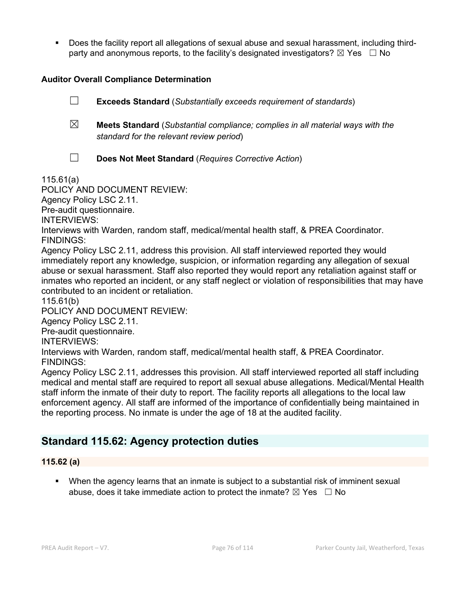Does the facility report all allegations of sexual abuse and sexual harassment, including thirdparty and anonymous reports, to the facility's designated investigators?  $\boxtimes$  Yes  $\Box$  No

## **Auditor Overall Compliance Determination**

☐ **Exceeds Standard** (*Substantially exceeds requirement of standards*)

☒ **Meets Standard** (*Substantial compliance; complies in all material ways with the standard for the relevant review period*)

☐ **Does Not Meet Standard** (*Requires Corrective Action*)

115.61(a)

### POLICY AND DOCUMENT REVIEW:

Agency Policy LSC 2.11.

Pre-audit questionnaire.

INTERVIEWS:

Interviews with Warden, random staff, medical/mental health staff, & PREA Coordinator. FINDINGS:

Agency Policy LSC 2.11, address this provision. All staff interviewed reported they would immediately report any knowledge, suspicion, or information regarding any allegation of sexual abuse or sexual harassment. Staff also reported they would report any retaliation against staff or inmates who reported an incident, or any staff neglect or violation of responsibilities that may have contributed to an incident or retaliation.

115.61(b)

POLICY AND DOCUMENT REVIEW:

Agency Policy LSC 2.11.

Pre-audit questionnaire.

INTERVIEWS:

Interviews with Warden, random staff, medical/mental health staff, & PREA Coordinator. FINDINGS:

Agency Policy LSC 2.11, addresses this provision. All staff interviewed reported all staff including medical and mental staff are required to report all sexual abuse allegations. Medical/Mental Health staff inform the inmate of their duty to report. The facility reports all allegations to the local law enforcement agency. All staff are informed of the importance of confidentially being maintained in the reporting process. No inmate is under the age of 18 at the audited facility.

# **Standard 115.62: Agency protection duties**

## **115.62 (a)**

 When the agency learns that an inmate is subject to a substantial risk of imminent sexual abuse, does it take immediate action to protect the inmate?  $\boxtimes$  Yes  $\Box$  No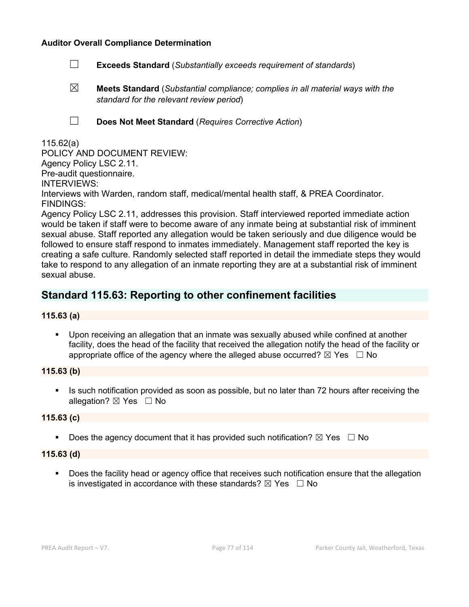### **Auditor Overall Compliance Determination**

- ☐ **Exceeds Standard** (*Substantially exceeds requirement of standards*)
- ☒ **Meets Standard** (*Substantial compliance; complies in all material ways with the standard for the relevant review period*)
- 
- ☐ **Does Not Meet Standard** (*Requires Corrective Action*)

### 115.62(a)

POLICY AND DOCUMENT REVIEW: Agency Policy LSC 2.11. Pre-audit questionnaire. INTERVIEWS: Interviews with Warden, random staff, medical/mental health staff, & PREA Coordinator. FINDINGS:

Agency Policy LSC 2.11, addresses this provision. Staff interviewed reported immediate action would be taken if staff were to become aware of any inmate being at substantial risk of imminent sexual abuse. Staff reported any allegation would be taken seriously and due diligence would be followed to ensure staff respond to inmates immediately. Management staff reported the key is creating a safe culture. Randomly selected staff reported in detail the immediate steps they would take to respond to any allegation of an inmate reporting they are at a substantial risk of imminent sexual abuse.

# **Standard 115.63: Reporting to other confinement facilities**

### **115.63 (a)**

 Upon receiving an allegation that an inmate was sexually abused while confined at another facility, does the head of the facility that received the allegation notify the head of the facility or appropriate office of the agency where the alleged abuse occurred?  $\boxtimes$  Yes  $\Box$  No

### **115.63 (b)**

 Is such notification provided as soon as possible, but no later than 72 hours after receiving the allegation?  $\boxtimes$  Yes  $\Box$  No

#### **115.63 (c)**

Does the agency document that it has provided such notification?  $\boxtimes$  Yes  $\Box$  No

#### **115.63 (d)**

**Does the facility head or agency office that receives such notification ensure that the allegation** is investigated in accordance with these standards?  $\boxtimes$  Yes  $\Box$  No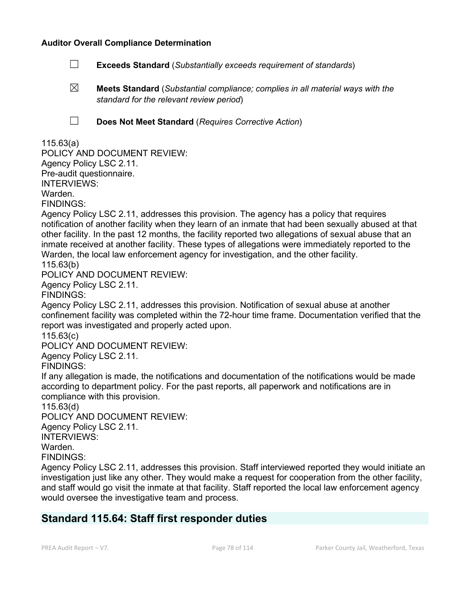### **Auditor Overall Compliance Determination**

- ☐ **Exceeds Standard** (*Substantially exceeds requirement of standards*)
- ☒ **Meets Standard** (*Substantial compliance; complies in all material ways with the standard for the relevant review period*)
- 
- ☐ **Does Not Meet Standard** (*Requires Corrective Action*)

### 115.63(a)

POLICY AND DOCUMENT REVIEW: Agency Policy LSC 2.11. Pre-audit questionnaire. INTERVIEWS: Warden. FINDINGS:

Agency Policy LSC 2.11, addresses this provision. The agency has a policy that requires notification of another facility when they learn of an inmate that had been sexually abused at that other facility. In the past 12 months, the facility reported two allegations of sexual abuse that an inmate received at another facility. These types of allegations were immediately reported to the Warden, the local law enforcement agency for investigation, and the other facility. 115.63(b)

POLICY AND DOCUMENT REVIEW:

Agency Policy LSC 2.11.

FINDINGS:

Agency Policy LSC 2.11, addresses this provision. Notification of sexual abuse at another confinement facility was completed within the 72-hour time frame. Documentation verified that the report was investigated and properly acted upon.

115.63(c)

POLICY AND DOCUMENT REVIEW:

Agency Policy LSC 2.11.

FINDINGS:

If any allegation is made, the notifications and documentation of the notifications would be made according to department policy. For the past reports, all paperwork and notifications are in compliance with this provision.

115.63(d)

POLICY AND DOCUMENT REVIEW: Agency Policy LSC 2.11. INTERVIEWS: Warden. FINDINGS:

Agency Policy LSC 2.11, addresses this provision. Staff interviewed reported they would initiate an investigation just like any other. They would make a request for cooperation from the other facility, and staff would go visit the inmate at that facility. Staff reported the local law enforcement agency would oversee the investigative team and process.

# **Standard 115.64: Staff first responder duties**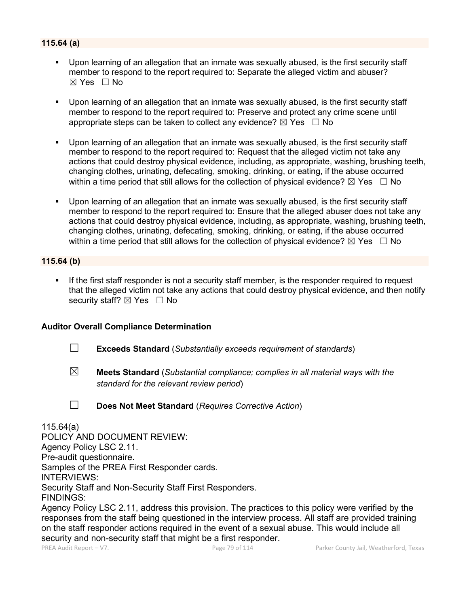## **115.64 (a)**

- Upon learning of an allegation that an inmate was sexually abused, is the first security staff member to respond to the report required to: Separate the alleged victim and abuser?  $\boxtimes$  Yes  $\Box$  No
- Upon learning of an allegation that an inmate was sexually abused, is the first security staff member to respond to the report required to: Preserve and protect any crime scene until appropriate steps can be taken to collect any evidence?  $\boxtimes$  Yes  $\Box$  No
- Upon learning of an allegation that an inmate was sexually abused, is the first security staff member to respond to the report required to: Request that the alleged victim not take any actions that could destroy physical evidence, including, as appropriate, washing, brushing teeth, changing clothes, urinating, defecating, smoking, drinking, or eating, if the abuse occurred within a time period that still allows for the collection of physical evidence?  $\boxtimes$  Yes  $\Box$  No
- Upon learning of an allegation that an inmate was sexually abused, is the first security staff member to respond to the report required to: Ensure that the alleged abuser does not take any actions that could destroy physical evidence, including, as appropriate, washing, brushing teeth, changing clothes, urinating, defecating, smoking, drinking, or eating, if the abuse occurred within a time period that still allows for the collection of physical evidence?  $\boxtimes$  Yes  $\;\;\Box$  No

### **115.64 (b)**

 If the first staff responder is not a security staff member, is the responder required to request that the alleged victim not take any actions that could destroy physical evidence, and then notify security staff? ⊠ Yes □ No

### **Auditor Overall Compliance Determination**

- ☐ **Exceeds Standard** (*Substantially exceeds requirement of standards*)
- ☒ **Meets Standard** (*Substantial compliance; complies in all material ways with the standard for the relevant review period*)

☐ **Does Not Meet Standard** (*Requires Corrective Action*)

### 115.64(a) POLICY AND DOCUMENT REVIEW: Agency Policy LSC 2.11. Pre-audit questionnaire. Samples of the PREA First Responder cards. INTERVIEWS: Security Staff and Non-Security Staff First Responders. FINDINGS:

Agency Policy LSC 2.11, address this provision. The practices to this policy were verified by the responses from the staff being questioned in the interview process. All staff are provided training on the staff responder actions required in the event of a sexual abuse. This would include all security and non-security staff that might be a first responder.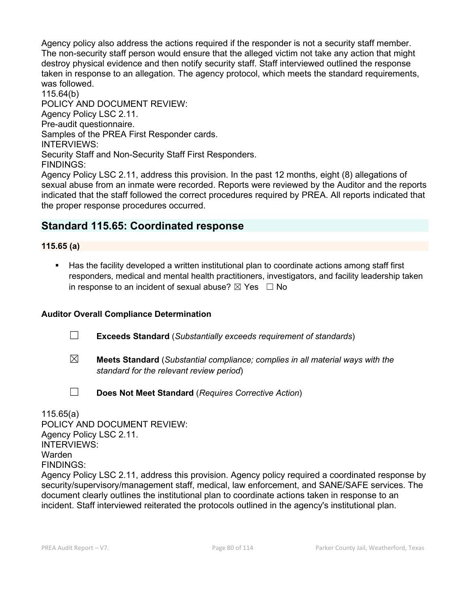Agency policy also address the actions required if the responder is not a security staff member. The non-security staff person would ensure that the alleged victim not take any action that might destroy physical evidence and then notify security staff. Staff interviewed outlined the response taken in response to an allegation. The agency protocol, which meets the standard requirements, was followed.

115.64(b) POLICY AND DOCUMENT REVIEW: Agency Policy LSC 2.11. Pre-audit questionnaire. Samples of the PREA First Responder cards. INTERVIEWS: Security Staff and Non-Security Staff First Responders. FINDINGS:

Agency Policy LSC 2.11, address this provision. In the past 12 months, eight (8) allegations of sexual abuse from an inmate were recorded. Reports were reviewed by the Auditor and the reports indicated that the staff followed the correct procedures required by PREA. All reports indicated that the proper response procedures occurred.

# **Standard 115.65: Coordinated response**

## **115.65 (a)**

 Has the facility developed a written institutional plan to coordinate actions among staff first responders, medical and mental health practitioners, investigators, and facility leadership taken in response to an incident of sexual abuse?  $\boxtimes$  Yes  $\Box$  No

## **Auditor Overall Compliance Determination**

- ☐ **Exceeds Standard** (*Substantially exceeds requirement of standards*)
- ☒ **Meets Standard** (*Substantial compliance; complies in all material ways with the standard for the relevant review period*)
- 
- ☐ **Does Not Meet Standard** (*Requires Corrective Action*)

115.65(a) POLICY AND DOCUMENT REVIEW: Agency Policy LSC 2.11. INTERVIEWS: Warden FINDINGS: Agency Policy LSC 2.11, address this provision. Agency policy required a coordinated response by security/supervisory/management staff, medical, law enforcement, and SANE/SAFE services. The document clearly outlines the institutional plan to coordinate actions taken in response to an incident. Staff interviewed reiterated the protocols outlined in the agency's institutional plan.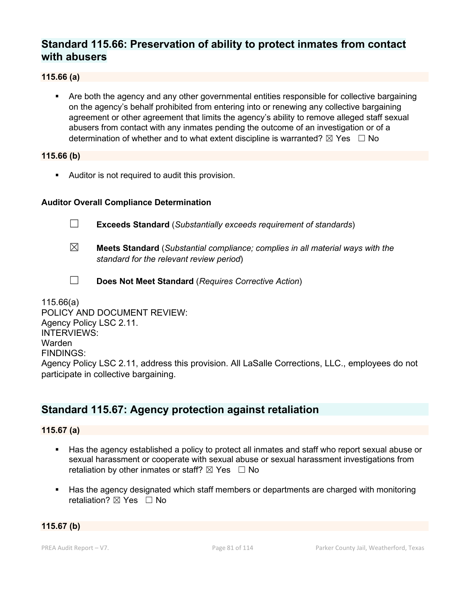# **Standard 115.66: Preservation of ability to protect inmates from contact with abusers**

### **115.66 (a)**

 Are both the agency and any other governmental entities responsible for collective bargaining on the agency's behalf prohibited from entering into or renewing any collective bargaining agreement or other agreement that limits the agency's ability to remove alleged staff sexual abusers from contact with any inmates pending the outcome of an investigation or of a determination of whether and to what extent discipline is warranted?  $\boxtimes$  Yes  $\Box$  No

### **115.66 (b)**

Auditor is not required to audit this provision.

### **Auditor Overall Compliance Determination**

- ☐ **Exceeds Standard** (*Substantially exceeds requirement of standards*)
- ☒ **Meets Standard** (*Substantial compliance; complies in all material ways with the standard for the relevant review period*)
- ☐ **Does Not Meet Standard** (*Requires Corrective Action*)

115.66(a) POLICY AND DOCUMENT REVIEW: Agency Policy LSC 2.11. INTERVIEWS: Warden FINDINGS: Agency Policy LSC 2.11, address this provision. All LaSalle Corrections, LLC., employees do not participate in collective bargaining.

# **Standard 115.67: Agency protection against retaliation**

## **115.67 (a)**

- Has the agency established a policy to protect all inmates and staff who report sexual abuse or sexual harassment or cooperate with sexual abuse or sexual harassment investigations from retaliation by other inmates or staff?  $\boxtimes$  Yes  $\Box$  No
- Has the agency designated which staff members or departments are charged with monitoring retaliation?  $\boxtimes$  Yes  $\Box$  No

### **115.67 (b)**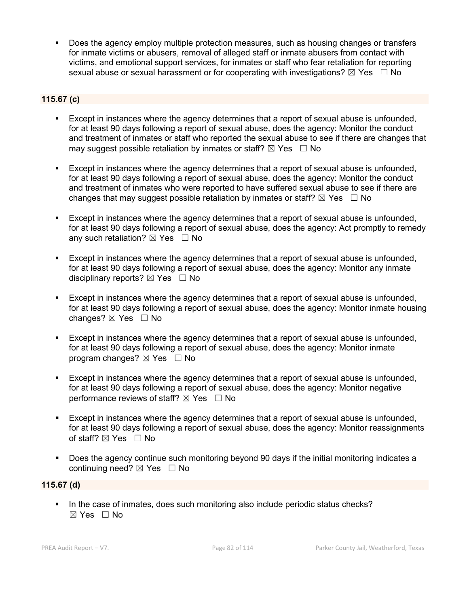Does the agency employ multiple protection measures, such as housing changes or transfers for inmate victims or abusers, removal of alleged staff or inmate abusers from contact with victims, and emotional support services, for inmates or staff who fear retaliation for reporting sexual abuse or sexual harassment or for cooperating with investigations?  $\boxtimes$  Yes  $\Box$  No

# **115.67 (c)**

- Except in instances where the agency determines that a report of sexual abuse is unfounded, for at least 90 days following a report of sexual abuse, does the agency: Monitor the conduct and treatment of inmates or staff who reported the sexual abuse to see if there are changes that may suggest possible retaliation by inmates or staff?  $\boxtimes$  Yes  $\Box$  No
- Except in instances where the agency determines that a report of sexual abuse is unfounded, for at least 90 days following a report of sexual abuse, does the agency: Monitor the conduct and treatment of inmates who were reported to have suffered sexual abuse to see if there are changes that may suggest possible retaliation by inmates or staff?  $\boxtimes$  Yes  $\Box$  No
- Except in instances where the agency determines that a report of sexual abuse is unfounded, for at least 90 days following a report of sexual abuse, does the agency: Act promptly to remedy any such retaliation?  $\boxtimes$  Yes  $\Box$  No
- Except in instances where the agency determines that a report of sexual abuse is unfounded, for at least 90 days following a report of sexual abuse, does the agency: Monitor any inmate disciplinary reports?  $\boxtimes$  Yes  $\Box$  No
- Except in instances where the agency determines that a report of sexual abuse is unfounded, for at least 90 days following a report of sexual abuse, does the agency: Monitor inmate housing changes?  $\boxtimes$  Yes  $\Box$  No
- Except in instances where the agency determines that a report of sexual abuse is unfounded, for at least 90 days following a report of sexual abuse, does the agency: Monitor inmate program changes?  $\boxtimes$  Yes  $\Box$  No
- Except in instances where the agency determines that a report of sexual abuse is unfounded, for at least 90 days following a report of sexual abuse, does the agency: Monitor negative performance reviews of staff?  $\boxtimes$  Yes  $\Box$  No
- Except in instances where the agency determines that a report of sexual abuse is unfounded, for at least 90 days following a report of sexual abuse, does the agency: Monitor reassignments of staff?  $\boxtimes$  Yes  $\Box$  No
- Does the agency continue such monitoring beyond 90 days if the initial monitoring indicates a continuing need? ⊠ Yes □ No

### **115.67 (d)**

In the case of inmates, does such monitoring also include periodic status checks? ☒ Yes ☐ No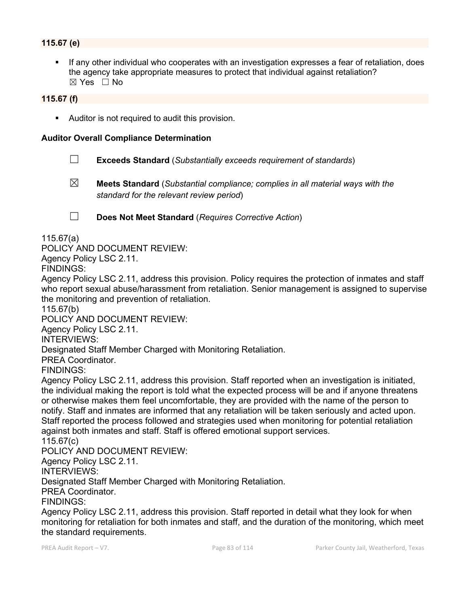## **115.67 (e)**

 If any other individual who cooperates with an investigation expresses a fear of retaliation, does the agency take appropriate measures to protect that individual against retaliation?  $\boxtimes$  Yes  $\Box$  No

### **115.67 (f)**

Auditor is not required to audit this provision.

#### **Auditor Overall Compliance Determination**

- ☐ **Exceeds Standard** (*Substantially exceeds requirement of standards*)
- ☒ **Meets Standard** (*Substantial compliance; complies in all material ways with the standard for the relevant review period*)
- 

☐ **Does Not Meet Standard** (*Requires Corrective Action*)

115.67(a)

POLICY AND DOCUMENT REVIEW:

Agency Policy LSC 2.11.

FINDINGS:

Agency Policy LSC 2.11, address this provision. Policy requires the protection of inmates and staff who report sexual abuse/harassment from retaliation. Senior management is assigned to supervise the monitoring and prevention of retaliation.

115.67(b)

POLICY AND DOCUMENT REVIEW:

Agency Policy LSC 2.11.

INTERVIEWS:

Designated Staff Member Charged with Monitoring Retaliation.

PREA Coordinator.

FINDINGS:

Agency Policy LSC 2.11, address this provision. Staff reported when an investigation is initiated, the individual making the report is told what the expected process will be and if anyone threatens or otherwise makes them feel uncomfortable, they are provided with the name of the person to notify. Staff and inmates are informed that any retaliation will be taken seriously and acted upon. Staff reported the process followed and strategies used when monitoring for potential retaliation against both inmates and staff. Staff is offered emotional support services.

115.67(c)

POLICY AND DOCUMENT REVIEW:

Agency Policy LSC 2.11.

INTERVIEWS:

Designated Staff Member Charged with Monitoring Retaliation.

PREA Coordinator.

FINDINGS:

Agency Policy LSC 2.11, address this provision. Staff reported in detail what they look for when monitoring for retaliation for both inmates and staff, and the duration of the monitoring, which meet the standard requirements.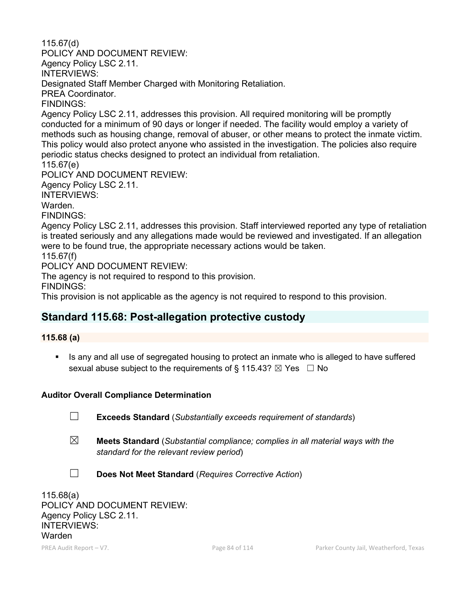115.67(d) POLICY AND DOCUMENT REVIEW: Agency Policy LSC 2.11. INTERVIEWS: Designated Staff Member Charged with Monitoring Retaliation. PREA Coordinator. FINDINGS: Agency Policy LSC 2.11, addresses this provision. All required monitoring will be promptly conducted for a minimum of 90 days or longer if needed. The facility would employ a variety of methods such as housing change, removal of abuser, or other means to protect the inmate victim. This policy would also protect anyone who assisted in the investigation. The policies also require periodic status checks designed to protect an individual from retaliation. 115.67(e) POLICY AND DOCUMENT REVIEW: Agency Policy LSC 2.11. INTERVIEWS: Warden. FINDINGS: Agency Policy LSC 2.11, addresses this provision. Staff interviewed reported any type of retaliation is treated seriously and any allegations made would be reviewed and investigated. If an allegation were to be found true, the appropriate necessary actions would be taken. 115.67(f) POLICY AND DOCUMENT REVIEW: The agency is not required to respond to this provision. FINDINGS:

This provision is not applicable as the agency is not required to respond to this provision.

# **Standard 115.68: Post-allegation protective custody**

# **115.68 (a)**

Is any and all use of segregated housing to protect an inmate who is alleged to have suffered sexual abuse subject to the requirements of § 115.43?  $\boxtimes$  Yes  $\Box$  No

## **Auditor Overall Compliance Determination**

- ☐ **Exceeds Standard** (*Substantially exceeds requirement of standards*)
- ☒ **Meets Standard** (*Substantial compliance; complies in all material ways with the standard for the relevant review period*)
- ☐ **Does Not Meet Standard** (*Requires Corrective Action*)

115.68(a) POLICY AND DOCUMENT REVIEW: Agency Policy LSC 2.11. INTERVIEWS: Warden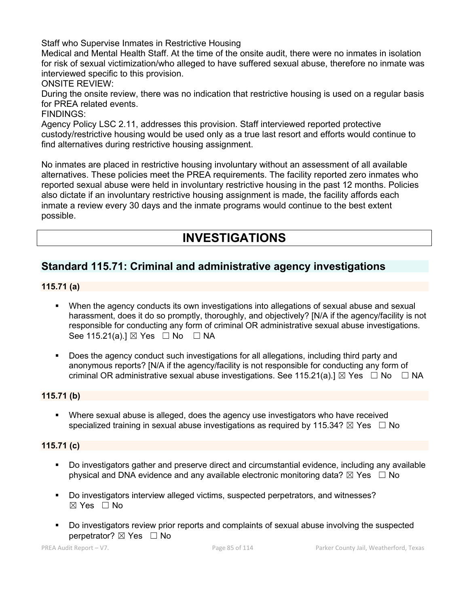Staff who Supervise Inmates in Restrictive Housing

Medical and Mental Health Staff. At the time of the onsite audit, there were no inmates in isolation for risk of sexual victimization/who alleged to have suffered sexual abuse, therefore no inmate was interviewed specific to this provision.

ONSITE REVIEW:

During the onsite review, there was no indication that restrictive housing is used on a regular basis for PREA related events.

### FINDINGS:

Agency Policy LSC 2.11, addresses this provision. Staff interviewed reported protective custody/restrictive housing would be used only as a true last resort and efforts would continue to find alternatives during restrictive housing assignment.

No inmates are placed in restrictive housing involuntary without an assessment of all available alternatives. These policies meet the PREA requirements. The facility reported zero inmates who reported sexual abuse were held in involuntary restrictive housing in the past 12 months. Policies also dictate if an involuntary restrictive housing assignment is made, the facility affords each inmate a review every 30 days and the inmate programs would continue to the best extent possible.

# **INVESTIGATIONS**

# **Standard 115.71: Criminal and administrative agency investigations**

### **115.71 (a)**

- When the agency conducts its own investigations into allegations of sexual abuse and sexual harassment, does it do so promptly, thoroughly, and objectively? [N/A if the agency/facility is not responsible for conducting any form of criminal OR administrative sexual abuse investigations. See 115.21(a).]  $\boxtimes$  Yes  $\Box$  No  $\Box$  NA
- Does the agency conduct such investigations for all allegations, including third party and anonymous reports? [N/A if the agency/facility is not responsible for conducting any form of criminal OR administrative sexual abuse investigations. See 115.21(a). $\mathbb{I} \boxtimes \mathsf{Yes} \square \mathsf{No} \square \mathsf{NA}$

## **115.71 (b)**

 Where sexual abuse is alleged, does the agency use investigators who have received specialized training in sexual abuse investigations as required by 115.34?  $\boxtimes$  Yes  $\Box$  No

### **115.71 (c)**

- Do investigators gather and preserve direct and circumstantial evidence, including any available physical and DNA evidence and any available electronic monitoring data?  $\boxtimes$  Yes  $\Box$  No
- Do investigators interview alleged victims, suspected perpetrators, and witnesses? ☒ Yes ☐ No
- Do investigators review prior reports and complaints of sexual abuse involving the suspected perpetrator? ⊠ Yes □ No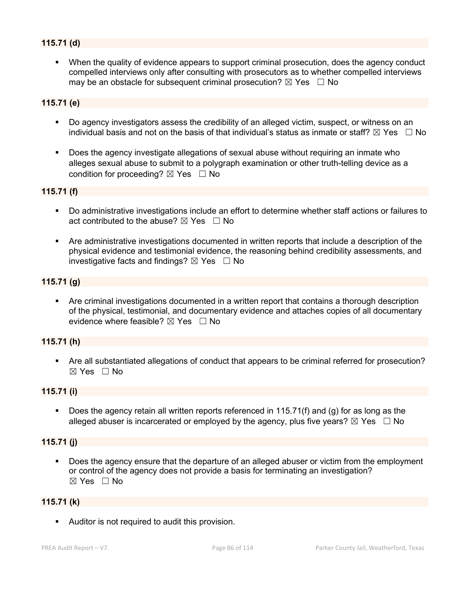### **115.71 (d)**

 When the quality of evidence appears to support criminal prosecution, does the agency conduct compelled interviews only after consulting with prosecutors as to whether compelled interviews may be an obstacle for subsequent criminal prosecution?  $\boxtimes$  Yes  $\Box$  No

### **115.71 (e)**

- Do agency investigators assess the credibility of an alleged victim, suspect, or witness on an individual basis and not on the basis of that individual's status as inmate or staff?  $\boxtimes$  Yes  $\Box$  No
- Does the agency investigate allegations of sexual abuse without requiring an inmate who alleges sexual abuse to submit to a polygraph examination or other truth-telling device as a condition for proceeding?  $\boxtimes$  Yes  $\Box$  No

### **115.71 (f)**

- Do administrative investigations include an effort to determine whether staff actions or failures to act contributed to the abuse?  $\boxtimes$  Yes  $\Box$  No
- Are administrative investigations documented in written reports that include a description of the physical evidence and testimonial evidence, the reasoning behind credibility assessments, and investigative facts and findings?  $\boxtimes$  Yes  $\Box$  No

#### **115.71 (g)**

 Are criminal investigations documented in a written report that contains a thorough description of the physical, testimonial, and documentary evidence and attaches copies of all documentary evidence where feasible?  $\boxtimes$  Yes  $\Box$  No

#### **115.71 (h)**

 Are all substantiated allegations of conduct that appears to be criminal referred for prosecution? ☒ Yes ☐ No

### **115.71 (i)**

 Does the agency retain all written reports referenced in 115.71(f) and (g) for as long as the alleged abuser is incarcerated or employed by the agency, plus five years?  $\boxtimes$  Yes  $\Box$  No

#### **115.71 (j)**

 Does the agency ensure that the departure of an alleged abuser or victim from the employment or control of the agency does not provide a basis for terminating an investigation? ☒ Yes ☐ No

#### **115.71 (k)**

Auditor is not required to audit this provision.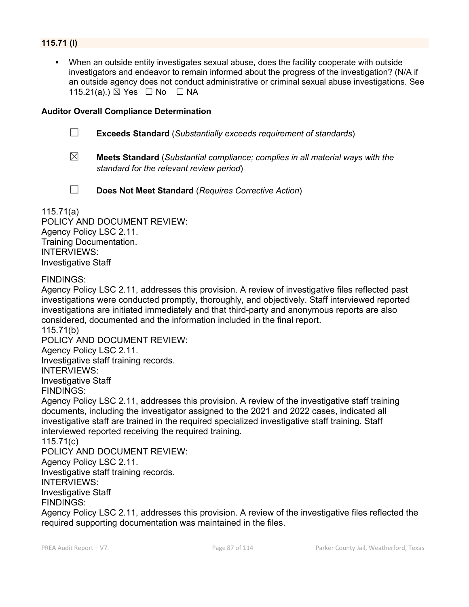### **115.71 (l)**

 When an outside entity investigates sexual abuse, does the facility cooperate with outside investigators and endeavor to remain informed about the progress of the investigation? (N/A if an outside agency does not conduct administrative or criminal sexual abuse investigations. See 115.21(a).) ⊠ Yes □ No □ NA

### **Auditor Overall Compliance Determination**

- ☐ **Exceeds Standard** (*Substantially exceeds requirement of standards*)
- ☒ **Meets Standard** (*Substantial compliance; complies in all material ways with the standard for the relevant review period*)
- 
- ☐ **Does Not Meet Standard** (*Requires Corrective Action*)

115.71(a) POLICY AND DOCUMENT REVIEW: Agency Policy LSC 2.11.

Training Documentation. INTERVIEWS: Investigative Staff

### FINDINGS:

Agency Policy LSC 2.11, addresses this provision. A review of investigative files reflected past investigations were conducted promptly, thoroughly, and objectively. Staff interviewed reported investigations are initiated immediately and that third-party and anonymous reports are also considered, documented and the information included in the final report. 115.71(b)

POLICY AND DOCUMENT REVIEW:

Agency Policy LSC 2.11.

Investigative staff training records.

INTERVIEWS:

Investigative Staff FINDINGS:

Agency Policy LSC 2.11, addresses this provision. A review of the investigative staff training documents, including the investigator assigned to the 2021 and 2022 cases, indicated all investigative staff are trained in the required specialized investigative staff training. Staff interviewed reported receiving the required training.

#### 115.71(c)

POLICY AND DOCUMENT REVIEW:

Agency Policy LSC 2.11. Investigative staff training records.

INTERVIEWS:

Investigative Staff

# FINDINGS:

Agency Policy LSC 2.11, addresses this provision. A review of the investigative files reflected the required supporting documentation was maintained in the files.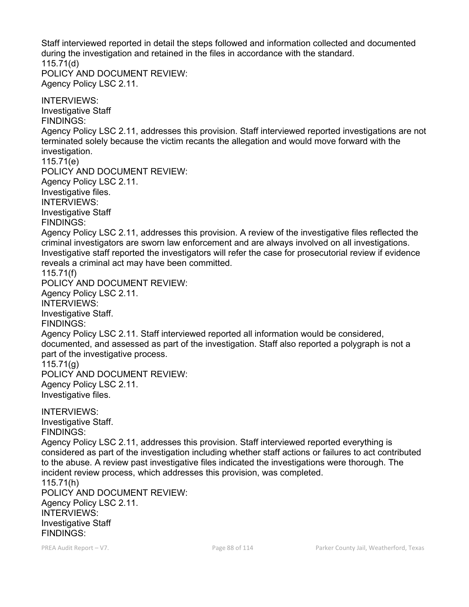Staff interviewed reported in detail the steps followed and information collected and documented during the investigation and retained in the files in accordance with the standard. 115.71(d) POLICY AND DOCUMENT REVIEW: Agency Policy LSC 2.11. INTERVIEWS: Investigative Staff FINDINGS: Agency Policy LSC 2.11, addresses this provision. Staff interviewed reported investigations are not terminated solely because the victim recants the allegation and would move forward with the investigation. 115.71(e) POLICY AND DOCUMENT REVIEW: Agency Policy LSC 2.11. Investigative files.

INTERVIEWS: Investigative Staff FINDINGS:

115.71(f)

Agency Policy LSC 2.11, addresses this provision. A review of the investigative files reflected the criminal investigators are sworn law enforcement and are always involved on all investigations. Investigative staff reported the investigators will refer the case for prosecutorial review if evidence reveals a criminal act may have been committed.

POLICY AND DOCUMENT REVIEW: Agency Policy LSC 2.11. INTERVIEWS: Investigative Staff. FINDINGS: Agency Policy LSC 2.11. Staff interviewed reported all information would be considered, documented, and assessed as part of the investigation. Staff also reported a polygraph is not a part of the investigative process. 115.71(g) POLICY AND DOCUMENT REVIEW: Agency Policy LSC 2.11. Investigative files.

INTERVIEWS: Investigative Staff. FINDINGS:

Agency Policy LSC 2.11, addresses this provision. Staff interviewed reported everything is considered as part of the investigation including whether staff actions or failures to act contributed to the abuse. A review past investigative files indicated the investigations were thorough. The incident review process, which addresses this provision, was completed.

115.71(h) POLICY AND DOCUMENT REVIEW: Agency Policy LSC 2.11. INTERVIEWS: Investigative Staff FINDINGS: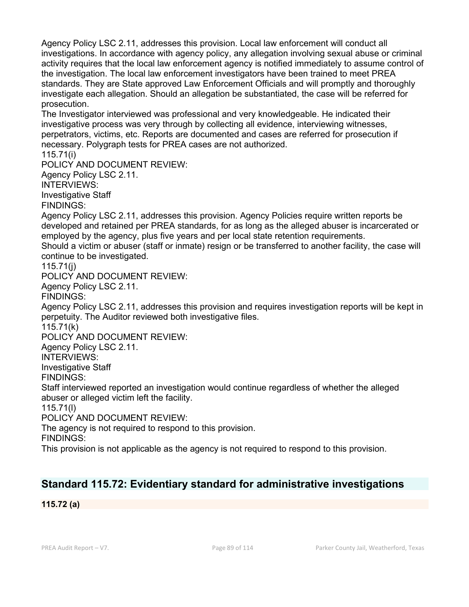Agency Policy LSC 2.11, addresses this provision. Local law enforcement will conduct all investigations. In accordance with agency policy, any allegation involving sexual abuse or criminal activity requires that the local law enforcement agency is notified immediately to assume control of the investigation. The local law enforcement investigators have been trained to meet PREA standards. They are State approved Law Enforcement Officials and will promptly and thoroughly investigate each allegation. Should an allegation be substantiated, the case will be referred for prosecution.

The Investigator interviewed was professional and very knowledgeable. He indicated their investigative process was very through by collecting all evidence, interviewing witnesses, perpetrators, victims, etc. Reports are documented and cases are referred for prosecution if necessary. Polygraph tests for PREA cases are not authorized.

115.71(i)

POLICY AND DOCUMENT REVIEW:

Agency Policy LSC 2.11.

INTERVIEWS:

Investigative Staff

FINDINGS:

Agency Policy LSC 2.11, addresses this provision. Agency Policies require written reports be developed and retained per PREA standards, for as long as the alleged abuser is incarcerated or employed by the agency, plus five years and per local state retention requirements. Should a victim or abuser (staff or inmate) resign or be transferred to another facility, the case will

continue to be investigated.

115.71(j)

POLICY AND DOCUMENT REVIEW:

Agency Policy LSC 2.11.

FINDINGS:

Agency Policy LSC 2.11, addresses this provision and requires investigation reports will be kept in perpetuity. The Auditor reviewed both investigative files.

115.71(k)

POLICY AND DOCUMENT REVIEW:

Agency Policy LSC 2.11.

INTERVIEWS:

Investigative Staff

FINDINGS:

Staff interviewed reported an investigation would continue regardless of whether the alleged abuser or alleged victim left the facility.

115.71(l)

POLICY AND DOCUMENT REVIEW:

The agency is not required to respond to this provision.

FINDINGS:

This provision is not applicable as the agency is not required to respond to this provision.

# **Standard 115.72: Evidentiary standard for administrative investigations**

**115.72 (a)**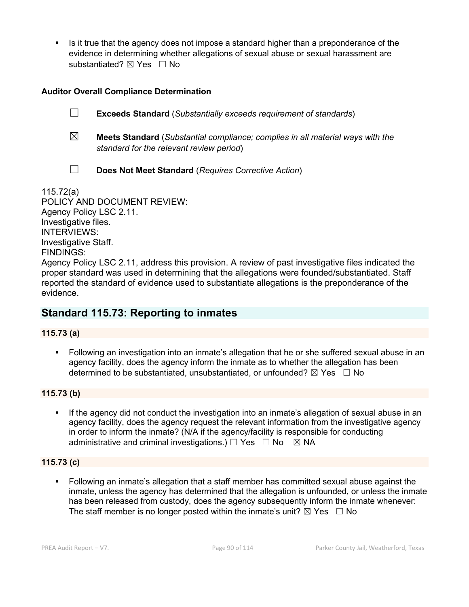Is it true that the agency does not impose a standard higher than a preponderance of the evidence in determining whether allegations of sexual abuse or sexual harassment are substantiated? ⊠ Yes □ No

## **Auditor Overall Compliance Determination**

☐ **Exceeds Standard** (*Substantially exceeds requirement of standards*)

- ☒ **Meets Standard** (*Substantial compliance; complies in all material ways with the standard for the relevant review period*)
- ☐ **Does Not Meet Standard** (*Requires Corrective Action*)

115.72(a) POLICY AND DOCUMENT REVIEW: Agency Policy LSC 2.11. Investigative files. INTERVIEWS: Investigative Staff. FINDINGS:

Agency Policy LSC 2.11, address this provision. A review of past investigative files indicated the proper standard was used in determining that the allegations were founded/substantiated. Staff reported the standard of evidence used to substantiate allegations is the preponderance of the evidence.

# **Standard 115.73: Reporting to inmates**

**115.73 (a)**

 Following an investigation into an inmate's allegation that he or she suffered sexual abuse in an agency facility, does the agency inform the inmate as to whether the allegation has been determined to be substantiated, unsubstantiated, or unfounded?  $\boxtimes$  Yes  $\Box$  No

# **115.73 (b)**

 If the agency did not conduct the investigation into an inmate's allegation of sexual abuse in an agency facility, does the agency request the relevant information from the investigative agency in order to inform the inmate? (N/A if the agency/facility is responsible for conducting administrative and criminal investigations.)  $\Box$  Yes  $\Box$  No  $\boxtimes$  NA

## **115.73 (c)**

 Following an inmate's allegation that a staff member has committed sexual abuse against the inmate, unless the agency has determined that the allegation is unfounded, or unless the inmate has been released from custody, does the agency subsequently inform the inmate whenever: The staff member is no longer posted within the inmate's unit?  $\boxtimes$  Yes  $\Box$  No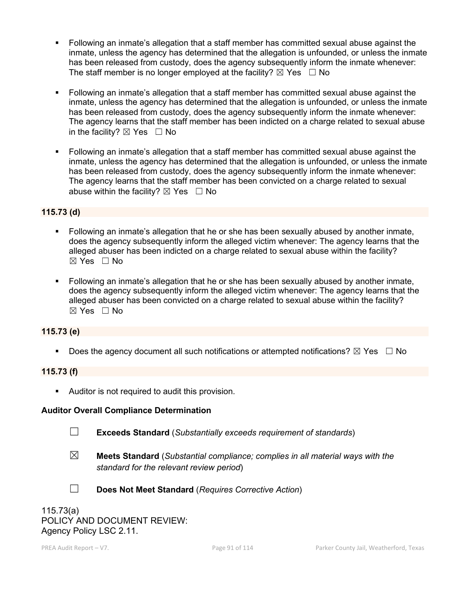- Following an inmate's allegation that a staff member has committed sexual abuse against the inmate, unless the agency has determined that the allegation is unfounded, or unless the inmate has been released from custody, does the agency subsequently inform the inmate whenever: The staff member is no longer employed at the facility?  $\boxtimes$  Yes  $\Box$  No
- Following an inmate's allegation that a staff member has committed sexual abuse against the inmate, unless the agency has determined that the allegation is unfounded, or unless the inmate has been released from custody, does the agency subsequently inform the inmate whenever: The agency learns that the staff member has been indicted on a charge related to sexual abuse in the facility?  $\boxtimes$  Yes  $\Box$  No
- Following an inmate's allegation that a staff member has committed sexual abuse against the inmate, unless the agency has determined that the allegation is unfounded, or unless the inmate has been released from custody, does the agency subsequently inform the inmate whenever: The agency learns that the staff member has been convicted on a charge related to sexual abuse within the facility?  $\boxtimes$  Yes  $\Box$  No

### **115.73 (d)**

- Following an inmate's allegation that he or she has been sexually abused by another inmate, does the agency subsequently inform the alleged victim whenever: The agency learns that the alleged abuser has been indicted on a charge related to sexual abuse within the facility?  $\boxtimes$  Yes  $\Box$  No
- Following an inmate's allegation that he or she has been sexually abused by another inmate, does the agency subsequently inform the alleged victim whenever: The agency learns that the alleged abuser has been convicted on a charge related to sexual abuse within the facility?  $\boxtimes$  Yes  $\Box$  No

### **115.73 (e)**

Does the agency document all such notifications or attempted notifications?  $\boxtimes$  Yes  $\Box$  No

### **115.73 (f)**

Auditor is not required to audit this provision.

### **Auditor Overall Compliance Determination**

- 
- ☐ **Exceeds Standard** (*Substantially exceeds requirement of standards*)
- ☒ **Meets Standard** (*Substantial compliance; complies in all material ways with the standard for the relevant review period*)
- 
- ☐ **Does Not Meet Standard** (*Requires Corrective Action*)

115.73(a) POLICY AND DOCUMENT REVIEW: Agency Policy LSC 2.11.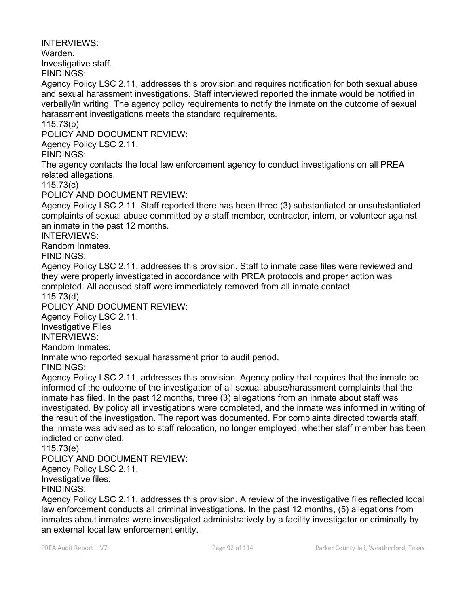INTERVIEWS:

Warden.

Investigative staff.

FINDINGS:

Agency Policy LSC 2.11, addresses this provision and requires notification for both sexual abuse and sexual harassment investigations. Staff interviewed reported the inmate would be notified in verbally/in writing. The agency policy requirements to notify the inmate on the outcome of sexual harassment investigations meets the standard requirements.

115.73(b)

POLICY AND DOCUMENT REVIEW:

Agency Policy LSC 2.11.

FINDINGS:

The agency contacts the local law enforcement agency to conduct investigations on all PREA related allegations.

115.73(c)

POLICY AND DOCUMENT REVIEW:

Agency Policy LSC 2.11. Staff reported there has been three (3) substantiated or unsubstantiated complaints of sexual abuse committed by a staff member, contractor, intern, or volunteer against an inmate in the past 12 months.

INTERVIEWS:

Random Inmates.

FINDINGS:

Agency Policy LSC 2.11, addresses this provision. Staff to inmate case files were reviewed and they were properly investigated in accordance with PREA protocols and proper action was completed. All accused staff were immediately removed from all inmate contact.

115.73(d)

POLICY AND DOCUMENT REVIEW:

Agency Policy LSC 2.11.

Investigative Files

INTERVIEWS:

Random Inmates.

Inmate who reported sexual harassment prior to audit period.

FINDINGS:

Agency Policy LSC 2.11, addresses this provision. Agency policy that requires that the inmate be informed of the outcome of the investigation of all sexual abuse/harassment complaints that the inmate has filed. In the past 12 months, three (3) allegations from an inmate about staff was investigated. By policy all investigations were completed, and the inmate was informed in writing of the result of the investigation. The report was documented. For complaints directed towards staff, the inmate was advised as to staff relocation, no longer employed, whether staff member has been indicted or convicted.

115.73(e)

POLICY AND DOCUMENT REVIEW:

Agency Policy LSC 2.11.

Investigative files.

FINDINGS:

Agency Policy LSC 2.11, addresses this provision. A review of the investigative files reflected local law enforcement conducts all criminal investigations. In the past 12 months, (5) allegations from inmates about inmates were investigated administratively by a facility investigator or criminally by an external local law enforcement entity.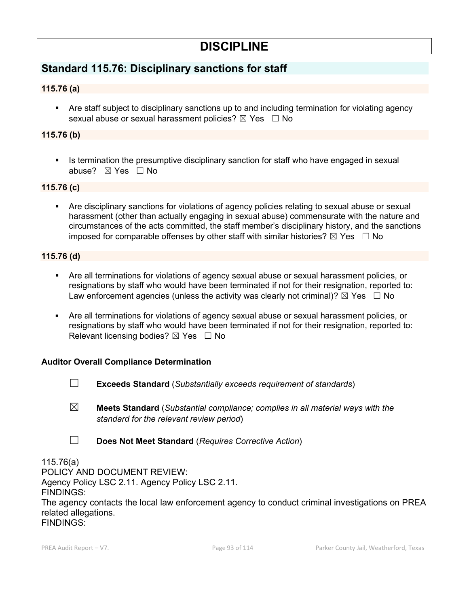# **DISCIPLINE**

# **Standard 115.76: Disciplinary sanctions for staff**

# **115.76 (a)**

 Are staff subject to disciplinary sanctions up to and including termination for violating agency sexual abuse or sexual harassment policies?  $\boxtimes$  Yes  $\Box$  No

### **115.76 (b)**

 Is termination the presumptive disciplinary sanction for staff who have engaged in sexual abuse? ☒ Yes ☐ No

### **115.76 (c)**

 Are disciplinary sanctions for violations of agency policies relating to sexual abuse or sexual harassment (other than actually engaging in sexual abuse) commensurate with the nature and circumstances of the acts committed, the staff member's disciplinary history, and the sanctions imposed for comparable offenses by other staff with similar histories?  $\boxtimes$  Yes  $\Box$  No

### **115.76 (d)**

- Are all terminations for violations of agency sexual abuse or sexual harassment policies, or resignations by staff who would have been terminated if not for their resignation, reported to: Law enforcement agencies (unless the activity was clearly not criminal)?  $\boxtimes$  Yes  $\Box$  No
- Are all terminations for violations of agency sexual abuse or sexual harassment policies, or resignations by staff who would have been terminated if not for their resignation, reported to: Relevant licensing bodies?  $\boxtimes$  Yes  $\Box$  No

## **Auditor Overall Compliance Determination**

- ☐ **Exceeds Standard** (*Substantially exceeds requirement of standards*)
- ☒ **Meets Standard** (*Substantial compliance; complies in all material ways with the standard for the relevant review period*)
- ☐ **Does Not Meet Standard** (*Requires Corrective Action*)

115.76(a) POLICY AND DOCUMENT REVIEW: Agency Policy LSC 2.11. Agency Policy LSC 2.11. FINDINGS: The agency contacts the local law enforcement agency to conduct criminal investigations on PREA related allegations. FINDINGS: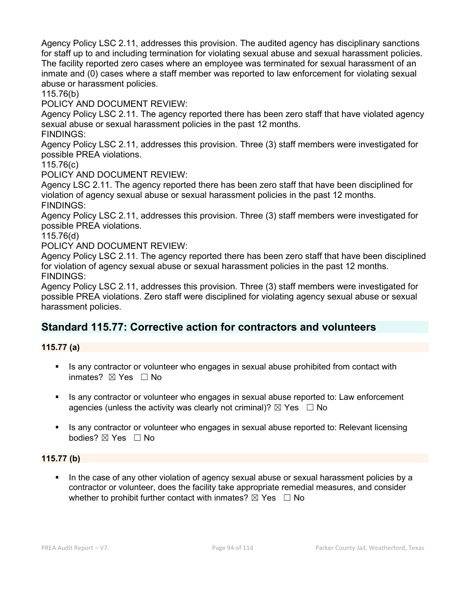Agency Policy LSC 2.11, addresses this provision. The audited agency has disciplinary sanctions for staff up to and including termination for violating sexual abuse and sexual harassment policies. The facility reported zero cases where an employee was terminated for sexual harassment of an inmate and (0) cases where a staff member was reported to law enforcement for violating sexual abuse or harassment policies.

115.76(b)

POLICY AND DOCUMENT REVIEW:

Agency Policy LSC 2.11. The agency reported there has been zero staff that have violated agency sexual abuse or sexual harassment policies in the past 12 months.

FINDINGS:

Agency Policy LSC 2.11, addresses this provision. Three (3) staff members were investigated for possible PREA violations.

115.76(c)

POLICY AND DOCUMENT REVIEW:

Agency LSC 2.11. The agency reported there has been zero staff that have been disciplined for violation of agency sexual abuse or sexual harassment policies in the past 12 months. FINDINGS:

Agency Policy LSC 2.11, addresses this provision. Three (3) staff members were investigated for possible PREA violations.

115.76(d)

POLICY AND DOCUMENT REVIEW:

Agency Policy LSC 2.11. The agency reported there has been zero staff that have been disciplined for violation of agency sexual abuse or sexual harassment policies in the past 12 months. FINDINGS:

Agency Policy LSC 2.11, addresses this provision. Three (3) staff members were investigated for possible PREA violations. Zero staff were disciplined for violating agency sexual abuse or sexual harassment policies.

# **Standard 115.77: Corrective action for contractors and volunteers**

**115.77 (a)**

- Is any contractor or volunteer who engages in sexual abuse prohibited from contact with inmates? ☒ Yes ☐ No
- Is any contractor or volunteer who engages in sexual abuse reported to: Law enforcement agencies (unless the activity was clearly not criminal)?  $\boxtimes$  Yes  $\Box$  No
- Is any contractor or volunteer who engages in sexual abuse reported to: Relevant licensing bodies? ⊠ Yes □ No

#### **115.77 (b)**

 In the case of any other violation of agency sexual abuse or sexual harassment policies by a contractor or volunteer, does the facility take appropriate remedial measures, and consider whether to prohibit further contact with inmates?  $\boxtimes$  Yes  $\Box$  No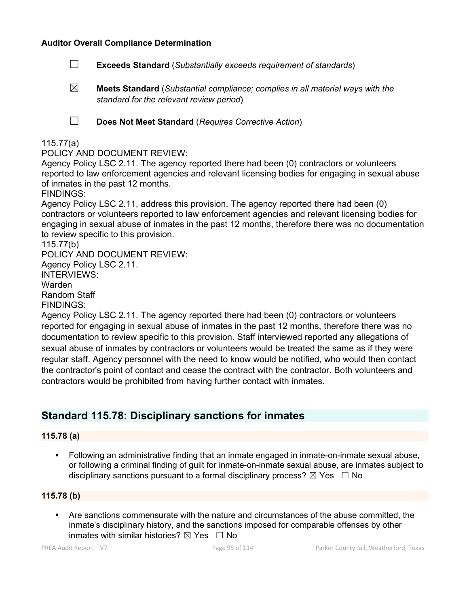### **Auditor Overall Compliance Determination**

- ☐ **Exceeds Standard** (*Substantially exceeds requirement of standards*)
- ☒ **Meets Standard** (*Substantial compliance; complies in all material ways with the standard for the relevant review period*)

☐ **Does Not Meet Standard** (*Requires Corrective Action*)

### 115.77(a)

### POLICY AND DOCUMENT REVIEW:

Agency Policy LSC 2.11. The agency reported there had been (0) contractors or volunteers reported to law enforcement agencies and relevant licensing bodies for engaging in sexual abuse of inmates in the past 12 months.

FINDINGS:

Agency Policy LSC 2.11, address this provision. The agency reported there had been (0) contractors or volunteers reported to law enforcement agencies and relevant licensing bodies for engaging in sexual abuse of inmates in the past 12 months, therefore there was no documentation to review specific to this provision.

115.77(b) POLICY AND DOCUMENT REVIEW: Agency Policy LSC 2.11. INTERVIEWS: Warden Random Staff FINDINGS:

Agency Policy LSC 2.11. The agency reported there had been (0) contractors or volunteers reported for engaging in sexual abuse of inmates in the past 12 months, therefore there was no documentation to review specific to this provision. Staff interviewed reported any allegations of sexual abuse of inmates by contractors or volunteers would be treated the same as if they were regular staff. Agency personnel with the need to know would be notified, who would then contact the contractor's point of contact and cease the contract with the contractor. Both volunteers and contractors would be prohibited from having further contact with inmates.

# **Standard 115.78: Disciplinary sanctions for inmates**

### **115.78 (a)**

 Following an administrative finding that an inmate engaged in inmate-on-inmate sexual abuse, or following a criminal finding of guilt for inmate-on-inmate sexual abuse, are inmates subject to disciplinary sanctions pursuant to a formal disciplinary process?  $\boxtimes$  Yes  $\Box$  No

### **115.78 (b)**

 Are sanctions commensurate with the nature and circumstances of the abuse committed, the inmate's disciplinary history, and the sanctions imposed for comparable offenses by other inmates with similar histories?  $\boxtimes$  Yes  $\Box$  No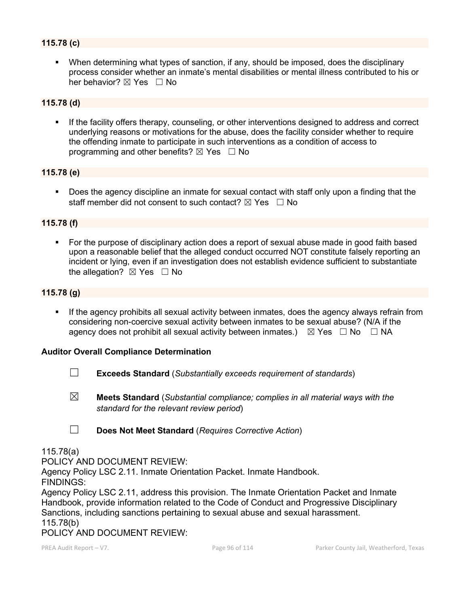### **115.78 (c)**

 When determining what types of sanction, if any, should be imposed, does the disciplinary process consider whether an inmate's mental disabilities or mental illness contributed to his or her behavior?  $\nabla$  Yes  $\Box$  No

### **115.78 (d)**

 If the facility offers therapy, counseling, or other interventions designed to address and correct underlying reasons or motivations for the abuse, does the facility consider whether to require the offending inmate to participate in such interventions as a condition of access to programming and other benefits?  $\boxtimes$  Yes  $\Box$  No

### **115.78 (e)**

**Does the agency discipline an inmate for sexual contact with staff only upon a finding that the** staff member did not consent to such contact?  $\boxtimes$  Yes  $\Box$  No

### **115.78 (f)**

 For the purpose of disciplinary action does a report of sexual abuse made in good faith based upon a reasonable belief that the alleged conduct occurred NOT constitute falsely reporting an incident or lying, even if an investigation does not establish evidence sufficient to substantiate the allegation?  $\boxtimes$  Yes  $\Box$  No

### **115.78 (g)**

**If the agency prohibits all sexual activity between inmates, does the agency always refrain from** considering non-coercive sexual activity between inmates to be sexual abuse? (N/A if the agency does not prohibit all sexual activity between inmates.)  $\boxtimes$  Yes  $\Box$  No  $\Box$  NA

#### **Auditor Overall Compliance Determination**

- ☐ **Exceeds Standard** (*Substantially exceeds requirement of standards*)
- ☒ **Meets Standard** (*Substantial compliance; complies in all material ways with the standard for the relevant review period*)
- ☐ **Does Not Meet Standard** (*Requires Corrective Action*)

#### 115.78(a)

POLICY AND DOCUMENT REVIEW:

Agency Policy LSC 2.11. Inmate Orientation Packet. Inmate Handbook.

FINDINGS:

Agency Policy LSC 2.11, address this provision. The Inmate Orientation Packet and Inmate Handbook, provide information related to the Code of Conduct and Progressive Disciplinary Sanctions, including sanctions pertaining to sexual abuse and sexual harassment. 115.78(b)

POLICY AND DOCUMENT REVIEW: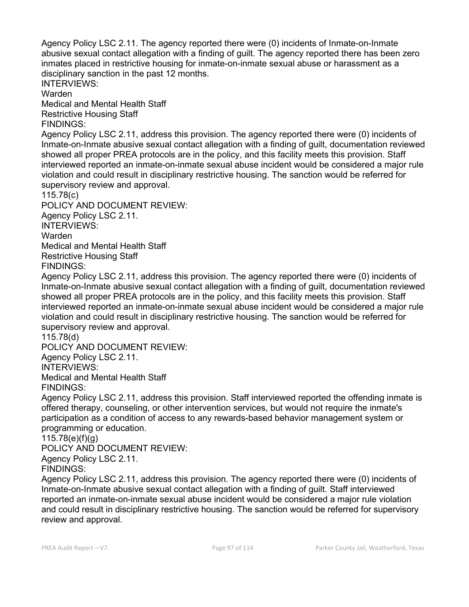Agency Policy LSC 2.11. The agency reported there were (0) incidents of Inmate-on-Inmate abusive sexual contact allegation with a finding of guilt. The agency reported there has been zero inmates placed in restrictive housing for inmate-on-inmate sexual abuse or harassment as a disciplinary sanction in the past 12 months.

INTERVIEWS:

Warden

Medical and Mental Health Staff Restrictive Housing Staff

FINDINGS:

Agency Policy LSC 2.11, address this provision. The agency reported there were (0) incidents of Inmate-on-Inmate abusive sexual contact allegation with a finding of guilt, documentation reviewed showed all proper PREA protocols are in the policy, and this facility meets this provision. Staff interviewed reported an inmate-on-inmate sexual abuse incident would be considered a major rule violation and could result in disciplinary restrictive housing. The sanction would be referred for supervisory review and approval.

115.78(c)

POLICY AND DOCUMENT REVIEW: Agency Policy LSC 2.11. INTERVIEWS: Warden Medical and Mental Health Staff Restrictive Housing Staff FINDINGS:

Agency Policy LSC 2.11, address this provision. The agency reported there were (0) incidents of Inmate-on-Inmate abusive sexual contact allegation with a finding of guilt, documentation reviewed showed all proper PREA protocols are in the policy, and this facility meets this provision. Staff interviewed reported an inmate-on-inmate sexual abuse incident would be considered a major rule

violation and could result in disciplinary restrictive housing. The sanction would be referred for supervisory review and approval.

115.78(d)

POLICY AND DOCUMENT REVIEW: Agency Policy LSC 2.11.

INTERVIEWS:

Medical and Mental Health Staff FINDINGS:

Agency Policy LSC 2.11, address this provision. Staff interviewed reported the offending inmate is offered therapy, counseling, or other intervention services, but would not require the inmate's participation as a condition of access to any rewards-based behavior management system or programming or education.

115.78(e)(f)(g)

POLICY AND DOCUMENT REVIEW:

Agency Policy LSC 2.11.

FINDINGS:

Agency Policy LSC 2.11, address this provision. The agency reported there were (0) incidents of Inmate-on-Inmate abusive sexual contact allegation with a finding of guilt. Staff interviewed reported an inmate-on-inmate sexual abuse incident would be considered a major rule violation and could result in disciplinary restrictive housing. The sanction would be referred for supervisory review and approval.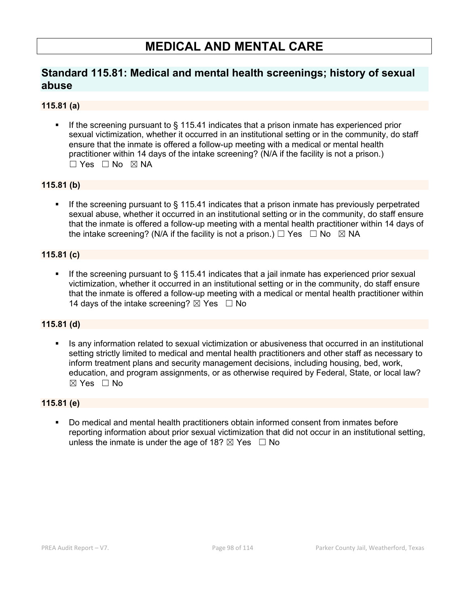# **MEDICAL AND MENTAL CARE**

# **Standard 115.81: Medical and mental health screenings; history of sexual abuse**

## **115.81 (a)**

 If the screening pursuant to § 115.41 indicates that a prison inmate has experienced prior sexual victimization, whether it occurred in an institutional setting or in the community, do staff ensure that the inmate is offered a follow-up meeting with a medical or mental health practitioner within 14 days of the intake screening? (N/A if the facility is not a prison.)  $\Box$  Yes  $\Box$  No  $\boxtimes$  NA

## **115.81 (b)**

 If the screening pursuant to § 115.41 indicates that a prison inmate has previously perpetrated sexual abuse, whether it occurred in an institutional setting or in the community, do staff ensure that the inmate is offered a follow-up meeting with a mental health practitioner within 14 days of the intake screening? (N/A if the facility is not a prison.)  $\Box$  Yes  $\Box$  No  $\boxtimes$  NA

# **115.81 (c)**

If the screening pursuant to § 115.41 indicates that a jail inmate has experienced prior sexual victimization, whether it occurred in an institutional setting or in the community, do staff ensure that the inmate is offered a follow-up meeting with a medical or mental health practitioner within 14 days of the intake screening?  $\boxtimes$  Yes  $\Box$  No

### **115.81 (d)**

Is any information related to sexual victimization or abusiveness that occurred in an institutional setting strictly limited to medical and mental health practitioners and other staff as necessary to inform treatment plans and security management decisions, including housing, bed, work, education, and program assignments, or as otherwise required by Federal, State, or local law?  $\boxtimes$  Yes  $\Box$  No

## **115.81 (e)**

 Do medical and mental health practitioners obtain informed consent from inmates before reporting information about prior sexual victimization that did not occur in an institutional setting, unless the inmate is under the age of 18?  $\boxtimes$  Yes  $\Box$  No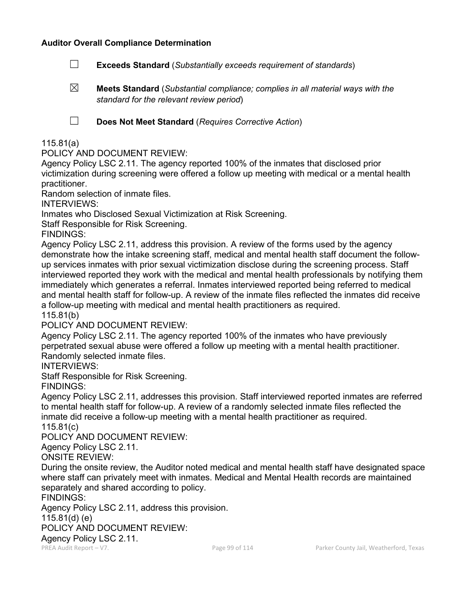### **Auditor Overall Compliance Determination**

- ☐ **Exceeds Standard** (*Substantially exceeds requirement of standards*)
- ☒ **Meets Standard** (*Substantial compliance; complies in all material ways with the standard for the relevant review period*)

☐ **Does Not Meet Standard** (*Requires Corrective Action*)

### 115.81(a)

POLICY AND DOCUMENT REVIEW:

Agency Policy LSC 2.11. The agency reported 100% of the inmates that disclosed prior victimization during screening were offered a follow up meeting with medical or a mental health practitioner.

Random selection of inmate files.

INTERVIEWS:

Inmates who Disclosed Sexual Victimization at Risk Screening.

Staff Responsible for Risk Screening.

FINDINGS:

Agency Policy LSC 2.11, address this provision. A review of the forms used by the agency demonstrate how the intake screening staff, medical and mental health staff document the followup services inmates with prior sexual victimization disclose during the screening process. Staff interviewed reported they work with the medical and mental health professionals by notifying them immediately which generates a referral. Inmates interviewed reported being referred to medical and mental health staff for follow-up. A review of the inmate files reflected the inmates did receive a follow-up meeting with medical and mental health practitioners as required.

115.81(b)

POLICY AND DOCUMENT REVIEW:

Agency Policy LSC 2.11. The agency reported 100% of the inmates who have previously perpetrated sexual abuse were offered a follow up meeting with a mental health practitioner. Randomly selected inmate files.

INTERVIEWS:

Staff Responsible for Risk Screening.

FINDINGS:

Agency Policy LSC 2.11, addresses this provision. Staff interviewed reported inmates are referred to mental health staff for follow-up. A review of a randomly selected inmate files reflected the inmate did receive a follow-up meeting with a mental health practitioner as required.

115.81(c)

POLICY AND DOCUMENT REVIEW:

Agency Policy LSC 2.11.

ONSITE REVIEW:

During the onsite review, the Auditor noted medical and mental health staff have designated space where staff can privately meet with inmates. Medical and Mental Health records are maintained separately and shared according to policy.

FINDINGS:

Agency Policy LSC 2.11, address this provision.

115.81(d) (e)

POLICY AND DOCUMENT REVIEW:

Agency Policy LSC 2.11.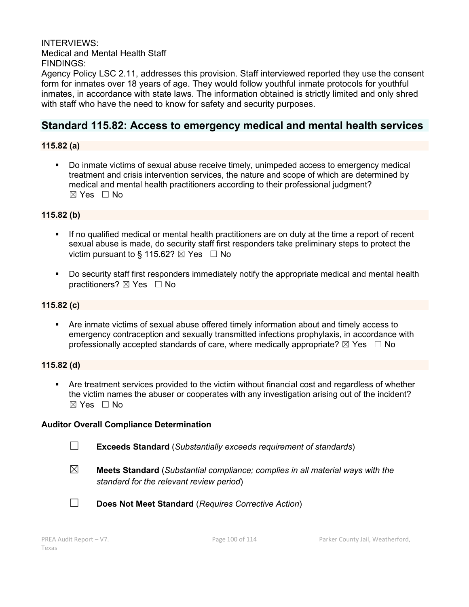INTERVIEWS: Medical and Mental Health Staff FINDINGS:

Agency Policy LSC 2.11, addresses this provision. Staff interviewed reported they use the consent form for inmates over 18 years of age. They would follow youthful inmate protocols for youthful inmates, in accordance with state laws. The information obtained is strictly limited and only shred with staff who have the need to know for safety and security purposes.

# **Standard 115.82: Access to emergency medical and mental health services**

### **115.82 (a)**

 Do inmate victims of sexual abuse receive timely, unimpeded access to emergency medical treatment and crisis intervention services, the nature and scope of which are determined by medical and mental health practitioners according to their professional judgment?  $\boxtimes$  Yes  $\Box$  No

### **115.82 (b)**

- If no qualified medical or mental health practitioners are on duty at the time a report of recent sexual abuse is made, do security staff first responders take preliminary steps to protect the victim pursuant to § 115.62?  $\boxtimes$  Yes  $\Box$  No
- Do security staff first responders immediately notify the appropriate medical and mental health practitioners? ⊠ Yes □ No

### **115.82 (c)**

 Are inmate victims of sexual abuse offered timely information about and timely access to emergency contraception and sexually transmitted infections prophylaxis, in accordance with professionally accepted standards of care, where medically appropriate?  $\boxtimes$  Yes  $\Box$  No

### **115.82 (d)**

 Are treatment services provided to the victim without financial cost and regardless of whether the victim names the abuser or cooperates with any investigation arising out of the incident? ☒ Yes ☐ No

#### **Auditor Overall Compliance Determination**

☐ **Exceeds Standard** (*Substantially exceeds requirement of standards*)

☒ **Meets Standard** (*Substantial compliance; complies in all material ways with the standard for the relevant review period*)



☐ **Does Not Meet Standard** (*Requires Corrective Action*)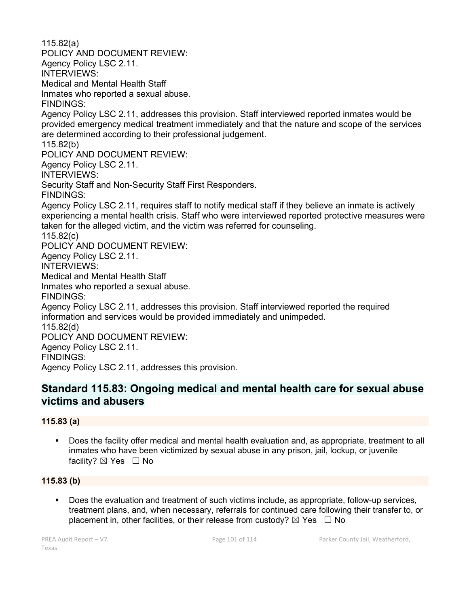115.82(a) POLICY AND DOCUMENT REVIEW: Agency Policy LSC 2.11. INTERVIEWS: Medical and Mental Health Staff Inmates who reported a sexual abuse. FINDINGS: Agency Policy LSC 2.11, addresses this provision. Staff interviewed reported inmates would be provided emergency medical treatment immediately and that the nature and scope of the services are determined according to their professional judgement. 115.82(b) POLICY AND DOCUMENT REVIEW: Agency Policy LSC 2.11. INTERVIEWS: Security Staff and Non-Security Staff First Responders. FINDINGS: Agency Policy LSC 2.11, requires staff to notify medical staff if they believe an inmate is actively experiencing a mental health crisis. Staff who were interviewed reported protective measures were taken for the alleged victim, and the victim was referred for counseling. 115.82(c) POLICY AND DOCUMENT REVIEW: Agency Policy LSC 2.11. INTERVIEWS: Medical and Mental Health Staff Inmates who reported a sexual abuse. FINDINGS: Agency Policy LSC 2.11, addresses this provision. Staff interviewed reported the required information and services would be provided immediately and unimpeded. 115.82(d) POLICY AND DOCUMENT REVIEW: Agency Policy LSC 2.11. FINDINGS: Agency Policy LSC 2.11, addresses this provision.

# **Standard 115.83: Ongoing medical and mental health care for sexual abuse victims and abusers**

## **115.83 (a)**

 Does the facility offer medical and mental health evaluation and, as appropriate, treatment to all inmates who have been victimized by sexual abuse in any prison, jail, lockup, or juvenile facility? ⊠ Yes □ No

## **115.83 (b)**

 Does the evaluation and treatment of such victims include, as appropriate, follow-up services, treatment plans, and, when necessary, referrals for continued care following their transfer to, or placement in, other facilities, or their release from custody?  $\boxtimes$  Yes  $\Box$  No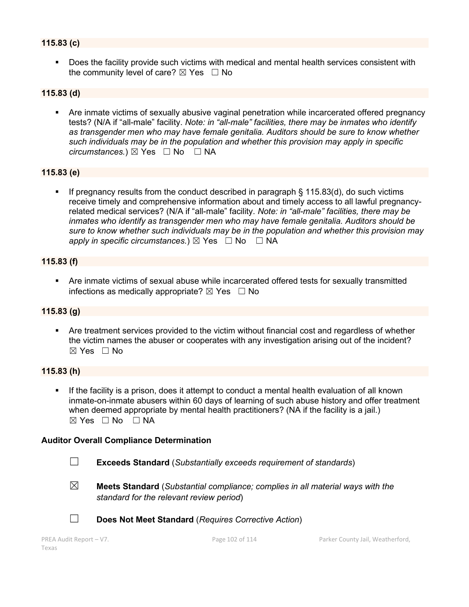## **115.83 (c)**

 Does the facility provide such victims with medical and mental health services consistent with the community level of care?  $\boxtimes$  Yes  $\Box$  No

### **115.83 (d)**

 Are inmate victims of sexually abusive vaginal penetration while incarcerated offered pregnancy tests? (N/A if "all-male" facility. *Note: in "all-male" facilities, there may be inmates who identify as transgender men who may have female genitalia. Auditors should be sure to know whether such individuals may be in the population and whether this provision may apply in specific circumstances.*) ⊠ Yes  $□$  No  $□$  NA

#### **115.83 (e)**

If pregnancy results from the conduct described in paragraph  $\S$  115.83(d), do such victims receive timely and comprehensive information about and timely access to all lawful pregnancyrelated medical services? (N/A if "all-male" facility. *Note: in "all-male" facilities, there may be inmates who identify as transgender men who may have female genitalia. Auditors should be sure to know whether such individuals may be in the population and whether this provision may apply in specific circumstances.*)  $\boxtimes$  Yes  $\Box$  No  $\Box$  NA

#### **115.83 (f)**

 Are inmate victims of sexual abuse while incarcerated offered tests for sexually transmitted infections as medically appropriate?  $\boxtimes$  Yes  $\Box$  No

### **115.83 (g)**

 Are treatment services provided to the victim without financial cost and regardless of whether the victim names the abuser or cooperates with any investigation arising out of the incident?  $\boxtimes$  Yes  $\Box$  No

### **115.83 (h)**

 If the facility is a prison, does it attempt to conduct a mental health evaluation of all known inmate-on-inmate abusers within 60 days of learning of such abuse history and offer treatment when deemed appropriate by mental health practitioners? (NA if the facility is a jail.) ☒ Yes ☐ No ☐ NA

#### **Auditor Overall Compliance Determination**



☐ **Exceeds Standard** (*Substantially exceeds requirement of standards*)



☒ **Meets Standard** (*Substantial compliance; complies in all material ways with the standard for the relevant review period*)



☐ **Does Not Meet Standard** (*Requires Corrective Action*)

```
Texas
```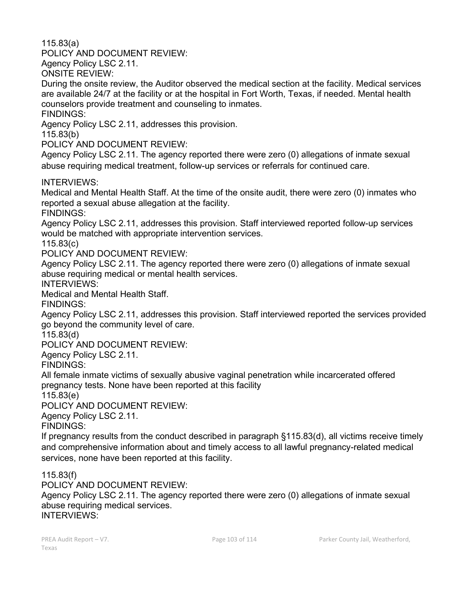115.83(a)

POLICY AND DOCUMENT REVIEW:

Agency Policy LSC 2.11.

ONSITE REVIEW:

During the onsite review, the Auditor observed the medical section at the facility. Medical services are available 24/7 at the facility or at the hospital in Fort Worth, Texas, if needed. Mental health counselors provide treatment and counseling to inmates.

FINDINGS:

Agency Policy LSC 2.11, addresses this provision.

115.83(b)

POLICY AND DOCUMENT REVIEW:

Agency Policy LSC 2.11. The agency reported there were zero (0) allegations of inmate sexual abuse requiring medical treatment, follow-up services or referrals for continued care.

INTERVIEWS:

Medical and Mental Health Staff. At the time of the onsite audit, there were zero (0) inmates who reported a sexual abuse allegation at the facility.

FINDINGS:

Agency Policy LSC 2.11, addresses this provision. Staff interviewed reported follow-up services would be matched with appropriate intervention services.

115.83(c)

POLICY AND DOCUMENT REVIEW:

Agency Policy LSC 2.11. The agency reported there were zero (0) allegations of inmate sexual abuse requiring medical or mental health services.

INTERVIEWS:

Medical and Mental Health Staff.

FINDINGS:

Agency Policy LSC 2.11, addresses this provision. Staff interviewed reported the services provided go beyond the community level of care.

115.83(d)

POLICY AND DOCUMENT REVIEW:

Agency Policy LSC 2.11.

FINDINGS:

All female inmate victims of sexually abusive vaginal penetration while incarcerated offered pregnancy tests. None have been reported at this facility

115.83(e)

POLICY AND DOCUMENT REVIEW:

Agency Policy LSC 2.11.

FINDINGS:

If pregnancy results from the conduct described in paragraph §115.83(d), all victims receive timely and comprehensive information about and timely access to all lawful pregnancy-related medical services, none have been reported at this facility.

115.83(f)

POLICY AND DOCUMENT REVIEW:

Agency Policy LSC 2.11. The agency reported there were zero (0) allegations of inmate sexual abuse requiring medical services.

INTERVIEWS: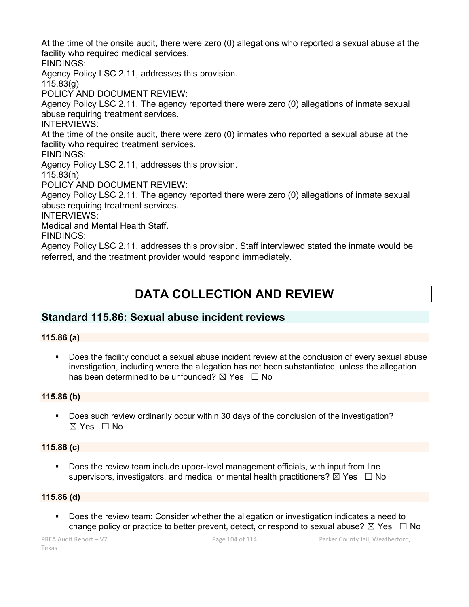At the time of the onsite audit, there were zero (0) allegations who reported a sexual abuse at the facility who required medical services.

FINDINGS:

Agency Policy LSC 2.11, addresses this provision.

115.83(g)

POLICY AND DOCUMENT REVIEW:

Agency Policy LSC 2.11. The agency reported there were zero (0) allegations of inmate sexual abuse requiring treatment services.

INTERVIEWS:

At the time of the onsite audit, there were zero (0) inmates who reported a sexual abuse at the facility who required treatment services.

FINDINGS:

Agency Policy LSC 2.11, addresses this provision.

115.83(h)

POLICY AND DOCUMENT REVIEW:

Agency Policy LSC 2.11. The agency reported there were zero (0) allegations of inmate sexual abuse requiring treatment services.

INTERVIEWS:

Medical and Mental Health Staff.

FINDINGS:

Agency Policy LSC 2.11, addresses this provision. Staff interviewed stated the inmate would be referred, and the treatment provider would respond immediately.

# **DATA COLLECTION AND REVIEW**

# **Standard 115.86: Sexual abuse incident reviews**

# **115.86 (a)**

 Does the facility conduct a sexual abuse incident review at the conclusion of every sexual abuse investigation, including where the allegation has not been substantiated, unless the allegation has been determined to be unfounded?  $\boxtimes$  Yes  $\Box$  No

# **115.86 (b)**

 Does such review ordinarily occur within 30 days of the conclusion of the investigation? ☒ Yes ☐ No

## **115.86 (c)**

 Does the review team include upper-level management officials, with input from line supervisors, investigators, and medical or mental health practitioners?  $\boxtimes$  Yes  $\Box$  No

## **115.86 (d)**

 Does the review team: Consider whether the allegation or investigation indicates a need to change policy or practice to better prevent, detect, or respond to sexual abuse?  $\boxtimes$  Yes  $\Box$  No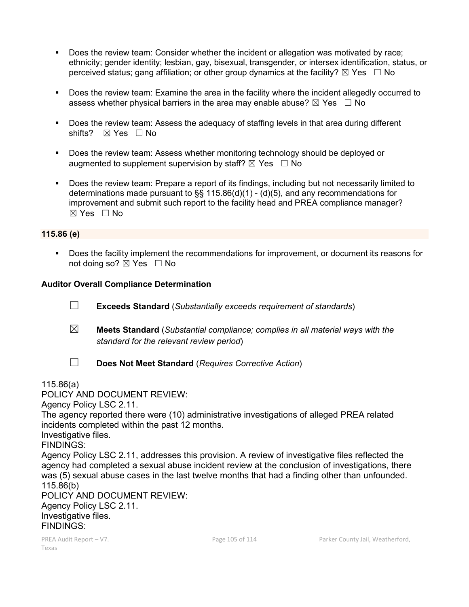- Does the review team: Consider whether the incident or allegation was motivated by race; ethnicity; gender identity; lesbian, gay, bisexual, transgender, or intersex identification, status, or perceived status; gang affiliation; or other group dynamics at the facility?  $\boxtimes$  Yes  $\Box$  No
- Does the review team: Examine the area in the facility where the incident allegedly occurred to assess whether physical barriers in the area may enable abuse?  $\boxtimes$  Yes  $\Box$  No
- Does the review team: Assess the adequacy of staffing levels in that area during different shifts? ⊠ Yes □ No
- Does the review team: Assess whether monitoring technology should be deployed or augmented to supplement supervision by staff?  $\boxtimes$  Yes  $\Box$  No
- Does the review team: Prepare a report of its findings, including but not necessarily limited to determinations made pursuant to  $\S$ § 115.86(d)(1) - (d)(5), and any recommendations for improvement and submit such report to the facility head and PREA compliance manager?  $\boxtimes$  Yes  $\Box$  No

### **115.86 (e)**

 Does the facility implement the recommendations for improvement, or document its reasons for not doing so?  $\boxtimes$  Yes  $\Box$  No

### **Auditor Overall Compliance Determination**

- ☐ **Exceeds Standard** (*Substantially exceeds requirement of standards*)
- ☒ **Meets Standard** (*Substantial compliance; complies in all material ways with the standard for the relevant review period*)
- 
- ☐ **Does Not Meet Standard** (*Requires Corrective Action*)

115.86(a)

POLICY AND DOCUMENT REVIEW:

Agency Policy LSC 2.11.

The agency reported there were (10) administrative investigations of alleged PREA related incidents completed within the past 12 months.

Investigative files.

FINDINGS:

Agency Policy LSC 2.11, addresses this provision. A review of investigative files reflected the agency had completed a sexual abuse incident review at the conclusion of investigations, there was (5) sexual abuse cases in the last twelve months that had a finding other than unfounded. 115.86(b)

POLICY AND DOCUMENT REVIEW: Agency Policy LSC 2.11. Investigative files. FINDINGS: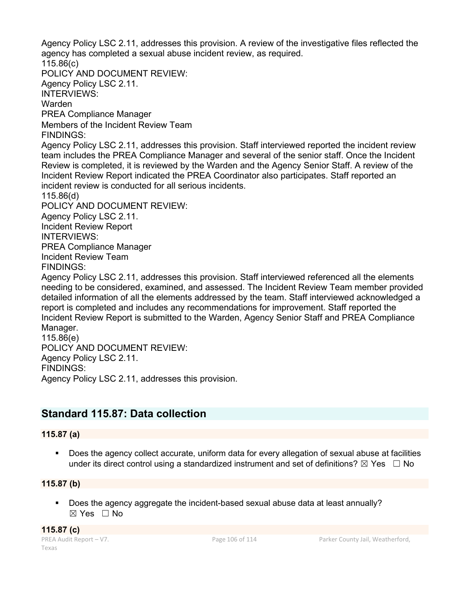Agency Policy LSC 2.11, addresses this provision. A review of the investigative files reflected the agency has completed a sexual abuse incident review, as required. 115.86(c) POLICY AND DOCUMENT REVIEW: Agency Policy LSC 2.11. INTERVIEWS: Warden PREA Compliance Manager Members of the Incident Review Team FINDINGS: Agency Policy LSC 2.11, addresses this provision. Staff interviewed reported the incident review team includes the PREA Compliance Manager and several of the senior staff. Once the Incident Review is completed, it is reviewed by the Warden and the Agency Senior Staff. A review of the Incident Review Report indicated the PREA Coordinator also participates. Staff reported an incident review is conducted for all serious incidents. 115.86(d) POLICY AND DOCUMENT REVIEW: Agency Policy LSC 2.11. Incident Review Report INTERVIEWS: PREA Compliance Manager Incident Review Team FINDINGS: Agency Policy LSC 2.11, addresses this provision. Staff interviewed referenced all the elements needing to be considered, examined, and assessed. The Incident Review Team member provided detailed information of all the elements addressed by the team. Staff interviewed acknowledged a report is completed and includes any recommendations for improvement. Staff reported the Incident Review Report is submitted to the Warden, Agency Senior Staff and PREA Compliance Manager. 115.86(e) POLICY AND DOCUMENT REVIEW: Agency Policy LSC 2.11.

FINDINGS:

Agency Policy LSC 2.11, addresses this provision.

# **Standard 115.87: Data collection**

### **115.87 (a)**

 Does the agency collect accurate, uniform data for every allegation of sexual abuse at facilities under its direct control using a standardized instrument and set of definitions?  $\boxtimes$  Yes  $\Box$  No

### **115.87 (b)**

 Does the agency aggregate the incident-based sexual abuse data at least annually? ☒ Yes ☐ No

**115.87 (c)**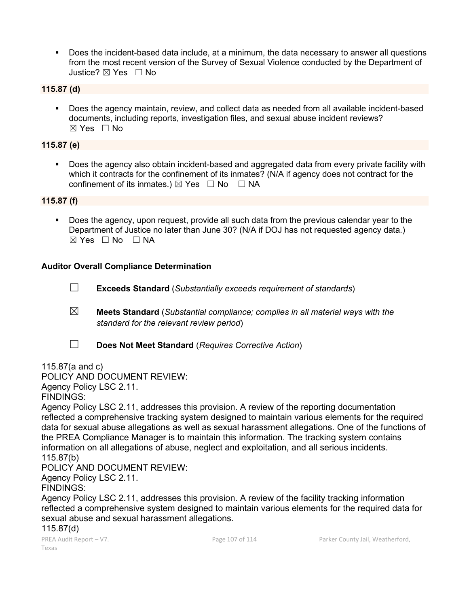Does the incident-based data include, at a minimum, the data necessary to answer all questions from the most recent version of the Survey of Sexual Violence conducted by the Department of Justice? ☒ Yes ☐ No

### **115.87 (d)**

 Does the agency maintain, review, and collect data as needed from all available incident-based documents, including reports, investigation files, and sexual abuse incident reviews?  $\boxtimes$  Yes  $\Box$  No

### **115.87 (e)**

**Does the agency also obtain incident-based and aggregated data from every private facility with** which it contracts for the confinement of its inmates? (N/A if agency does not contract for the confinement of its inmates.)  $\boxtimes$  Yes  $\Box$  No  $\Box$  NA

### **115.87 (f)**

 Does the agency, upon request, provide all such data from the previous calendar year to the Department of Justice no later than June 30? (N/A if DOJ has not requested agency data.)  $\boxtimes$  Yes  $\Box$  No  $\Box$  NA

### **Auditor Overall Compliance Determination**

- ☐ **Exceeds Standard** (*Substantially exceeds requirement of standards*)
- ☒ **Meets Standard** (*Substantial compliance; complies in all material ways with the standard for the relevant review period*)
- ☐ **Does Not Meet Standard** (*Requires Corrective Action*)

115.87(a and c)

POLICY AND DOCUMENT REVIEW:

Agency Policy LSC 2.11.

FINDINGS:

Agency Policy LSC 2.11, addresses this provision. A review of the reporting documentation reflected a comprehensive tracking system designed to maintain various elements for the required data for sexual abuse allegations as well as sexual harassment allegations. One of the functions of the PREA Compliance Manager is to maintain this information. The tracking system contains information on all allegations of abuse, neglect and exploitation, and all serious incidents. 115.87(b)

POLICY AND DOCUMENT REVIEW:

Agency Policy LSC 2.11.

FINDINGS:

Agency Policy LSC 2.11, addresses this provision. A review of the facility tracking information reflected a comprehensive system designed to maintain various elements for the required data for sexual abuse and sexual harassment allegations.

115.87(d)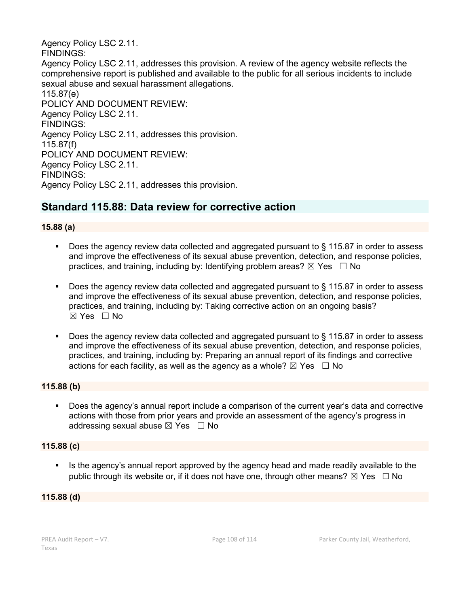Agency Policy LSC 2.11. FINDINGS: Agency Policy LSC 2.11, addresses this provision. A review of the agency website reflects the comprehensive report is published and available to the public for all serious incidents to include sexual abuse and sexual harassment allegations. 115.87(e) POLICY AND DOCUMENT REVIEW: Agency Policy LSC 2.11. FINDINGS: Agency Policy LSC 2.11, addresses this provision. 115.87(f) POLICY AND DOCUMENT REVIEW: Agency Policy LSC 2.11. FINDINGS: Agency Policy LSC 2.11, addresses this provision.

# **Standard 115.88: Data review for corrective action**

### **15.88 (a)**

- Does the agency review data collected and aggregated pursuant to § 115.87 in order to assess and improve the effectiveness of its sexual abuse prevention, detection, and response policies, practices, and training, including by: Identifying problem areas?  $\boxtimes$  Yes  $\Box$  No
- Does the agency review data collected and aggregated pursuant to § 115.87 in order to assess and improve the effectiveness of its sexual abuse prevention, detection, and response policies, practices, and training, including by: Taking corrective action on an ongoing basis?  $\boxtimes$  Yes  $\Box$  No
- Does the agency review data collected and aggregated pursuant to § 115.87 in order to assess and improve the effectiveness of its sexual abuse prevention, detection, and response policies, practices, and training, including by: Preparing an annual report of its findings and corrective actions for each facility, as well as the agency as a whole?  $\boxtimes$  Yes  $\Box$  No

### **115.88 (b)**

 Does the agency's annual report include a comparison of the current year's data and corrective actions with those from prior years and provide an assessment of the agency's progress in addressing sexual abuse  $\boxtimes$  Yes  $\Box$  No

### **115.88 (c)**

 Is the agency's annual report approved by the agency head and made readily available to the public through its website or, if it does not have one, through other means?  $\boxtimes$  Yes  $\Box$  No

#### **115.88 (d)**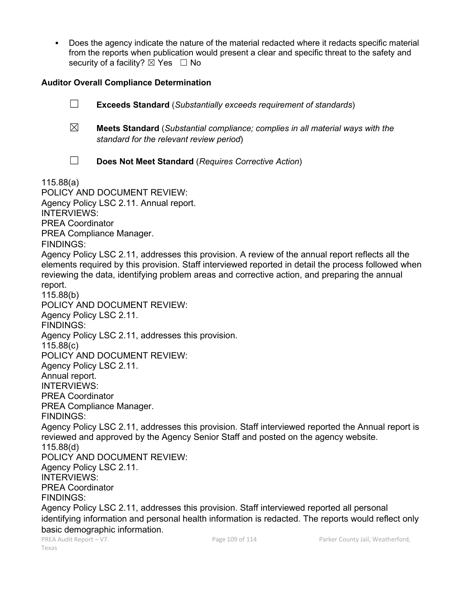Does the agency indicate the nature of the material redacted where it redacts specific material from the reports when publication would present a clear and specific threat to the safety and security of a facility? ⊠ Yes □ No

### **Auditor Overall Compliance Determination**

| $\Box$                                                                                                                                                                                                                                                                                                                                                                                                                                                                                          | <b>Exceeds Standard</b> (Substantially exceeds requirement of standards)                                                                                                                                               |
|-------------------------------------------------------------------------------------------------------------------------------------------------------------------------------------------------------------------------------------------------------------------------------------------------------------------------------------------------------------------------------------------------------------------------------------------------------------------------------------------------|------------------------------------------------------------------------------------------------------------------------------------------------------------------------------------------------------------------------|
| $\boxtimes$                                                                                                                                                                                                                                                                                                                                                                                                                                                                                     | <b>Meets Standard</b> (Substantial compliance; complies in all material ways with the<br>standard for the relevant review period)                                                                                      |
| $\mathcal{L}_{\mathcal{A}}$                                                                                                                                                                                                                                                                                                                                                                                                                                                                     | Does Not Meet Standard (Requires Corrective Action)                                                                                                                                                                    |
| 115.88(a)<br>POLICY AND DOCUMENT REVIEW:<br>Agency Policy LSC 2.11. Annual report.<br><b>INTERVIEWS:</b><br><b>PREA Coordinator</b><br>PREA Compliance Manager.<br><b>FINDINGS:</b><br>Agency Policy LSC 2.11, addresses this provision. A review of the annual report reflects all the<br>elements required by this provision. Staff interviewed reported in detail the process followed when<br>reviewing the data, identifying problem areas and corrective action, and preparing the annual |                                                                                                                                                                                                                        |
| report.<br>115.88(b)<br>Agency Policy LSC 2.11.<br><b>FINDINGS:</b><br>115.88(c)                                                                                                                                                                                                                                                                                                                                                                                                                | POLICY AND DOCUMENT REVIEW:<br>Agency Policy LSC 2.11, addresses this provision.                                                                                                                                       |
| Agency Policy LSC 2.11.<br>Annual report.<br><b>INTERVIEWS:</b><br><b>PREA Coordinator</b><br><b>FINDINGS:</b>                                                                                                                                                                                                                                                                                                                                                                                  | POLICY AND DOCUMENT REVIEW:<br>PREA Compliance Manager.                                                                                                                                                                |
| 115.88(d)<br>Agency Policy LSC 2.11.<br><b>INTERVIEWS:</b><br><b>PREA Coordinator</b><br><b>FINDINGS:</b>                                                                                                                                                                                                                                                                                                                                                                                       | Agency Policy LSC 2.11, addresses this provision. Staff interviewed reported the Annual report is<br>reviewed and approved by the Agency Senior Staff and posted on the agency website.<br>POLICY AND DOCUMENT REVIEW: |
| Agency Policy LSC 2.11, addresses this provision. Staff interviewed reported all personal<br>identifying information and personal health information is redacted. The reports would reflect only<br>basic demographic information.                                                                                                                                                                                                                                                              |                                                                                                                                                                                                                        |

Texas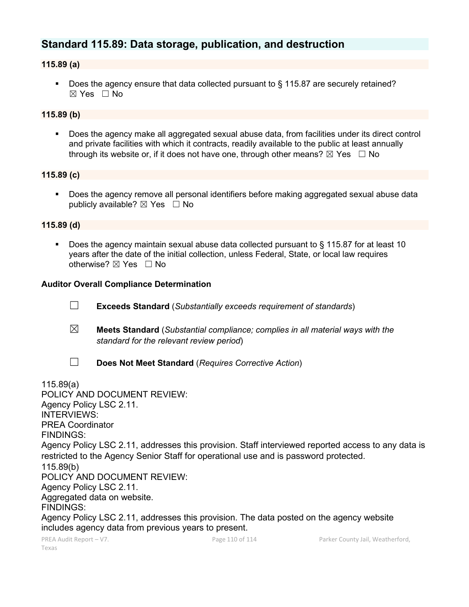## **Standard 115.89: Data storage, publication, and destruction**

#### **115.89 (a)**

■ Does the agency ensure that data collected pursuant to § 115.87 are securely retained?  $\boxtimes$  Yes  $\Box$  No

#### **115.89 (b)**

 Does the agency make all aggregated sexual abuse data, from facilities under its direct control and private facilities with which it contracts, readily available to the public at least annually through its website or, if it does not have one, through other means?  $\boxtimes$  Yes  $\Box$  No

#### **115.89 (c)**

 Does the agency remove all personal identifiers before making aggregated sexual abuse data publicly available?  $\boxtimes$  Yes  $\Box$  No

#### **115.89 (d)**

 Does the agency maintain sexual abuse data collected pursuant to § 115.87 for at least 10 years after the date of the initial collection, unless Federal, State, or local law requires otherwise? ⊠ Yes □ No

#### **Auditor Overall Compliance Determination**

- ☐ **Exceeds Standard** (*Substantially exceeds requirement of standards*)
- ☒ **Meets Standard** (*Substantial compliance; complies in all material ways with the standard for the relevant review period*)
- 
- ☐ **Does Not Meet Standard** (*Requires Corrective Action*)

115.89(a)

POLICY AND DOCUMENT REVIEW: Agency Policy LSC 2.11. INTERVIEWS: PREA Coordinator FINDINGS: Agency Policy LSC 2.11, addresses this provision. Staff interviewed reported access to any data is restricted to the Agency Senior Staff for operational use and is password protected. 115.89(b) POLICY AND DOCUMENT REVIEW: Agency Policy LSC 2.11. Aggregated data on website. FINDINGS: Agency Policy LSC 2.11, addresses this provision. The data posted on the agency website includes agency data from previous years to present.

Texas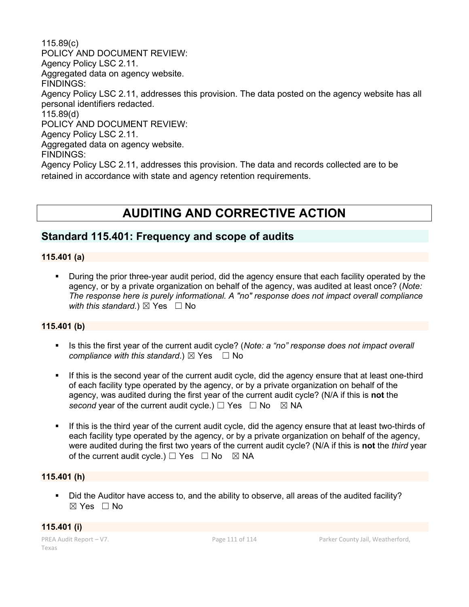115.89(c) POLICY AND DOCUMENT REVIEW: Agency Policy LSC 2.11. Aggregated data on agency website. FINDINGS: Agency Policy LSC 2.11, addresses this provision. The data posted on the agency website has all personal identifiers redacted. 115.89(d) POLICY AND DOCUMENT REVIEW: Agency Policy LSC 2.11. Aggregated data on agency website. FINDINGS: Agency Policy LSC 2.11, addresses this provision. The data and records collected are to be retained in accordance with state and agency retention requirements.

# **AUDITING AND CORRECTIVE ACTION**

## **Standard 115.401: Frequency and scope of audits**

#### **115.401 (a)**

 During the prior three-year audit period, did the agency ensure that each facility operated by the agency, or by a private organization on behalf of the agency, was audited at least once? (*Note: The response here is purely informational. A "no" response does not impact overall compliance with this standard.*)  $\boxtimes$  Yes  $\Box$  No

#### **115.401 (b)**

- Is this the first year of the current audit cycle? (*Note: a "no" response does not impact overall compliance with this standard.*)  $\boxtimes$  Yes  $\Box$  No
- If this is the second year of the current audit cycle, did the agency ensure that at least one-third of each facility type operated by the agency, or by a private organization on behalf of the agency, was audited during the first year of the current audit cycle? (N/A if this is **not** the *second* year of the current audit cycle.)  $\Box$  Yes  $\Box$  No  $\boxtimes$  NA
- If this is the third year of the current audit cycle, did the agency ensure that at least two-thirds of each facility type operated by the agency, or by a private organization on behalf of the agency, were audited during the first two years of the current audit cycle? (N/A if this is **not** the *third* year of the current audit cycle.)  $\Box$  Yes  $\Box$  No  $\boxtimes$  NA

#### **115.401 (h)**

 Did the Auditor have access to, and the ability to observe, all areas of the audited facility? ☒ Yes ☐ No

#### **115.401 (i)**

Texas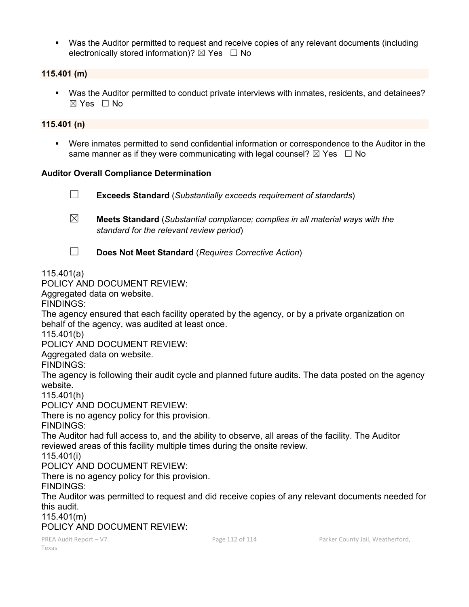Was the Auditor permitted to request and receive copies of any relevant documents (including electronically stored information)?  $\boxtimes$  Yes  $\Box$  No

#### **115.401 (m)**

 Was the Auditor permitted to conduct private interviews with inmates, residents, and detainees?  $\boxtimes$  Yes  $\Box$  No

#### **115.401 (n)**

 Were inmates permitted to send confidential information or correspondence to the Auditor in the same manner as if they were communicating with legal counsel?  $\boxtimes$  Yes  $\Box$  No

#### **Auditor Overall Compliance Determination**

- ☐ **Exceeds Standard** (*Substantially exceeds requirement of standards*)
- ☒ **Meets Standard** (*Substantial compliance; complies in all material ways with the standard for the relevant review period*)
- 
- ☐ **Does Not Meet Standard** (*Requires Corrective Action*)

#### 115.401(a)

#### POLICY AND DOCUMENT REVIEW:

Aggregated data on website.

FINDINGS:

The agency ensured that each facility operated by the agency, or by a private organization on behalf of the agency, was audited at least once.

115.401(b)

POLICY AND DOCUMENT REVIEW:

Aggregated data on website.

FINDINGS:

The agency is following their audit cycle and planned future audits. The data posted on the agency website.

115.401(h)

POLICY AND DOCUMENT REVIEW:

There is no agency policy for this provision.

FINDINGS:

The Auditor had full access to, and the ability to observe, all areas of the facility. The Auditor reviewed areas of this facility multiple times during the onsite review.

115.401(i)

POLICY AND DOCUMENT REVIEW:

There is no agency policy for this provision.

FINDINGS:

The Auditor was permitted to request and did receive copies of any relevant documents needed for this audit.

115.401(m)

POLICY AND DOCUMENT REVIEW: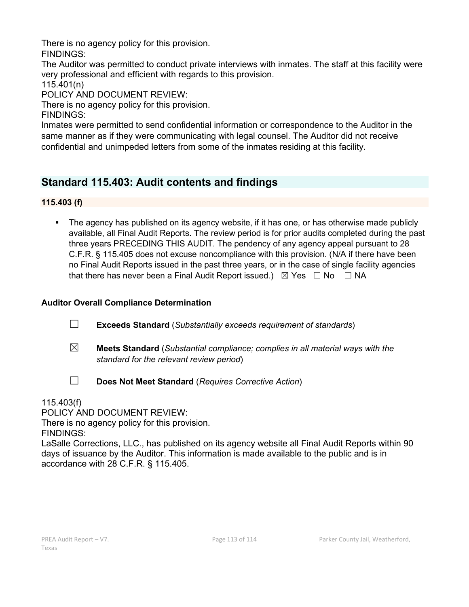There is no agency policy for this provision.

FINDINGS:

The Auditor was permitted to conduct private interviews with inmates. The staff at this facility were very professional and efficient with regards to this provision.

115.401(n)

POLICY AND DOCUMENT REVIEW:

There is no agency policy for this provision.

FINDINGS:

Inmates were permitted to send confidential information or correspondence to the Auditor in the same manner as if they were communicating with legal counsel. The Auditor did not receive confidential and unimpeded letters from some of the inmates residing at this facility.

## **Standard 115.403: Audit contents and findings**

**115.403 (f)**

• The agency has published on its agency website, if it has one, or has otherwise made publicly available, all Final Audit Reports. The review period is for prior audits completed during the past three years PRECEDING THIS AUDIT. The pendency of any agency appeal pursuant to 28 C.F.R. § 115.405 does not excuse noncompliance with this provision. (N/A if there have been no Final Audit Reports issued in the past three years, or in the case of single facility agencies that there has never been a Final Audit Report issued.)  $\boxtimes$  Yes  $\Box$  No  $\Box$  NA

### **Auditor Overall Compliance Determination**

- ☐ **Exceeds Standard** (*Substantially exceeds requirement of standards*)
- ☒ **Meets Standard** (*Substantial compliance; complies in all material ways with the standard for the relevant review period*)

☐ **Does Not Meet Standard** (*Requires Corrective Action*)

115.403(f)

POLICY AND DOCUMENT REVIEW:

There is no agency policy for this provision.

FINDINGS:

LaSalle Corrections, LLC., has published on its agency website all Final Audit Reports within 90 days of issuance by the Auditor. This information is made available to the public and is in accordance with 28 C.F.R. § 115.405.